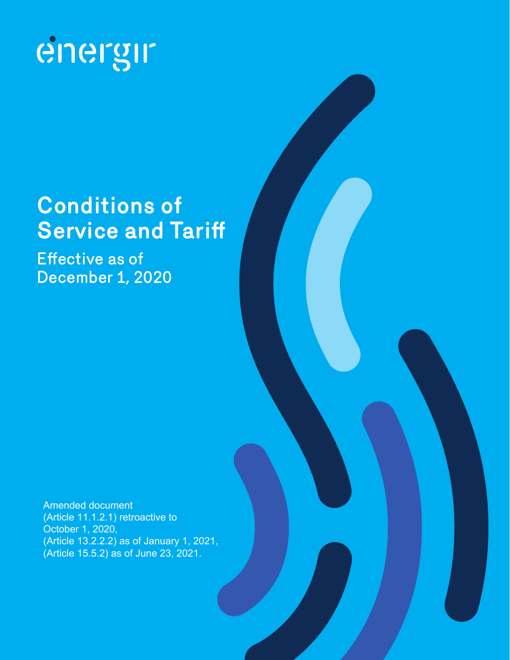

# **Conditions of Service and Tariff**

Effective as of December 1, 2020

Amended document (Article 11.1.2.1) retroactive to October 1, 2020, (Article 13.2.2.2) as of January 1, 2021, (Article 15.5.2) as of June 23, 2021.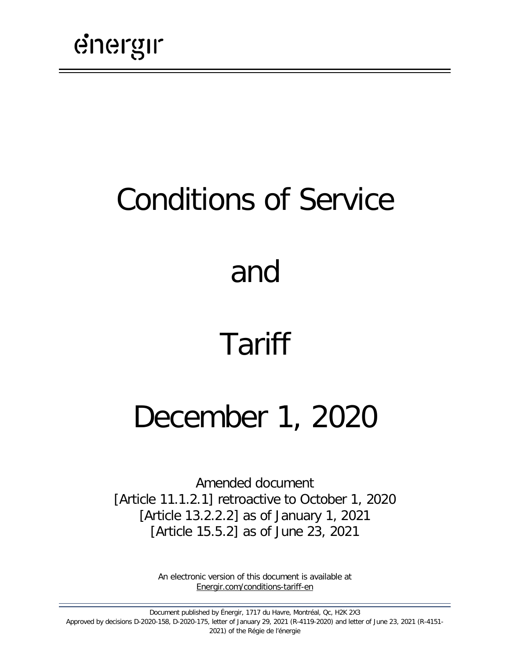# Conditions of Service

# and

# Tariff

# December 1, 2020

Amended document [Article 11.1.2.1] retroactive to October 1, 2020 [Article 13.2.2.2] as of January 1, 2021 [Article 15.5.2] as of June 23, 2021

> An electronic version of this document is available at [Energir.com/conditions-tariff-en](https://www.energir.com/en/residential/customer-centre/billing-and-pricing/pricing/)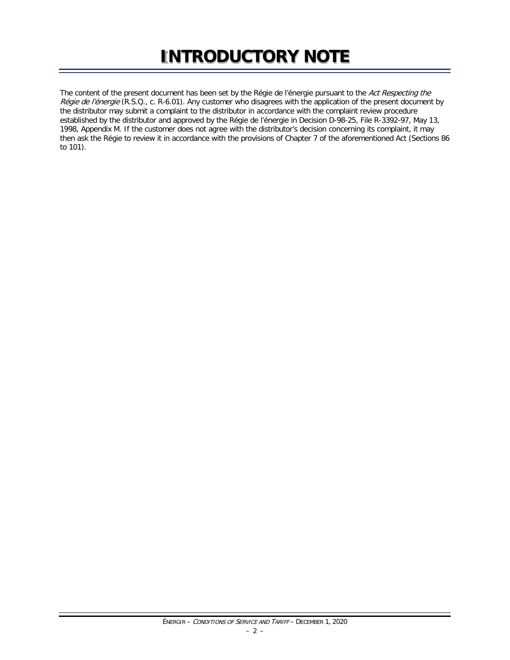## **INTRODUCTORY NOTE**

The content of the present document has been set by the Régie de l'énergie pursuant to the Act Respecting the Régie de l'énergie (R.S.Q., c. R-6.01). Any customer who disagrees with the application of the present document by the distributor may submit a complaint to the distributor in accordance with the complaint review procedure established by the distributor and approved by the Régie de l'énergie in Decision D-98-25, File R-3392-97, May 13, 1998, Appendix M. If the customer does not agree with the distributor's decision concerning its complaint, it may then ask the Régie to review it in accordance with the provisions of Chapter 7 of the aforementioned Act (Sections 86 to 101).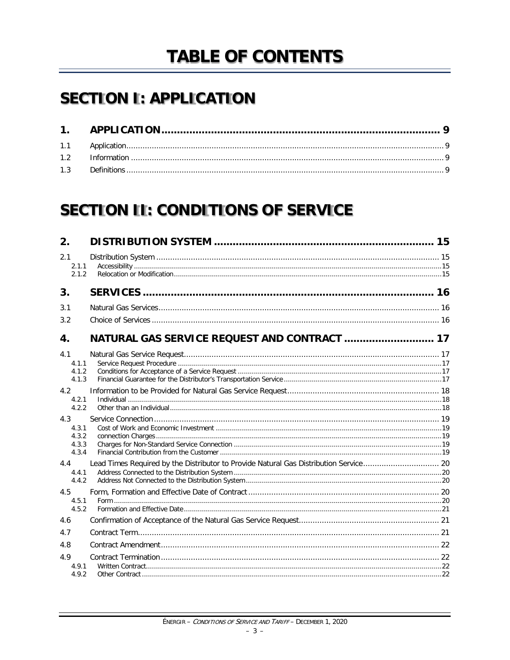## **TABLE OF CONTENTS**

## **SECTION I: APPLICATION**

## **SECTION II: CONDITIONS OF SERVICE**

| 2.                    |                                              |  |
|-----------------------|----------------------------------------------|--|
| 2.1<br>2.1.1<br>2.1.2 |                                              |  |
| 3.                    |                                              |  |
| 3.1                   |                                              |  |
| 3.2                   |                                              |  |
| 4.                    | NATURAL GAS SERVICE REQUEST AND CONTRACT  17 |  |
| 4.1                   |                                              |  |
| 4.1.1                 |                                              |  |
| 4.1.2                 |                                              |  |
| 4.1.3                 |                                              |  |
| 4.2                   |                                              |  |
| 4.2.1<br>4.2.2        |                                              |  |
| 4.3                   |                                              |  |
| 4.3.1                 |                                              |  |
| 4.3.2                 |                                              |  |
| 4.3.3                 |                                              |  |
| 4.3.4                 |                                              |  |
| 4.4                   |                                              |  |
| 4.4.1                 |                                              |  |
| 4.4.2                 |                                              |  |
| 4.5                   |                                              |  |
| 4.5.1<br>4.5.2        |                                              |  |
|                       |                                              |  |
| 4.6                   |                                              |  |
| 4.7                   |                                              |  |
| 4.8                   |                                              |  |
| 4.9                   |                                              |  |
| 4.9.1                 |                                              |  |
| 4.9.2                 |                                              |  |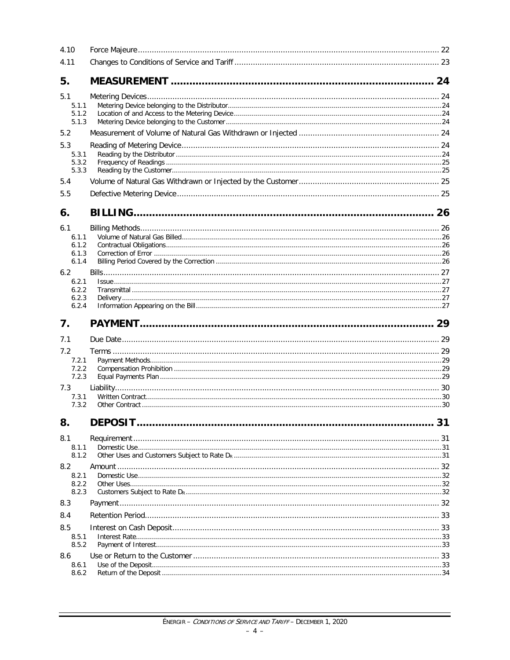| 4.10                                                                      |                |    |
|---------------------------------------------------------------------------|----------------|----|
| 4.11                                                                      |                |    |
| 5.                                                                        |                |    |
| 5.1<br>5.1.1<br>5.1.2<br>5.1.3                                            |                |    |
| 5.2                                                                       |                |    |
| 5.3<br>5.3.1<br>5.3.2<br>5.3.3                                            |                |    |
| 5.4                                                                       |                |    |
| 5.5                                                                       |                |    |
| 6.                                                                        |                |    |
| 6.1<br>6.1.1<br>6.1.2<br>6.1.3<br>6.1.4<br>6.2<br>6.2.1<br>6.2.2<br>6.2.3 |                |    |
| 6.2.4                                                                     |                |    |
| 7.                                                                        |                |    |
| 7.1                                                                       |                |    |
| 7.2                                                                       |                |    |
| 7.2.1<br>7.2.2<br>7.2.3                                                   |                |    |
| 7.3<br>7.3.1<br>7.3.2                                                     |                |    |
| 8.                                                                        | <b>DEPOSIT</b> | 31 |
| 8.1<br>8.1.1<br>8.1.2                                                     |                |    |
| 8.2<br>8.2.1<br>8.2.2<br>8.2.3                                            |                |    |
| 8.3                                                                       |                |    |
| 8.4                                                                       |                |    |
| 8.5<br>8.5.1<br>8.5.2                                                     |                |    |
| 8.6<br>8.6.1<br>8.6.2                                                     |                |    |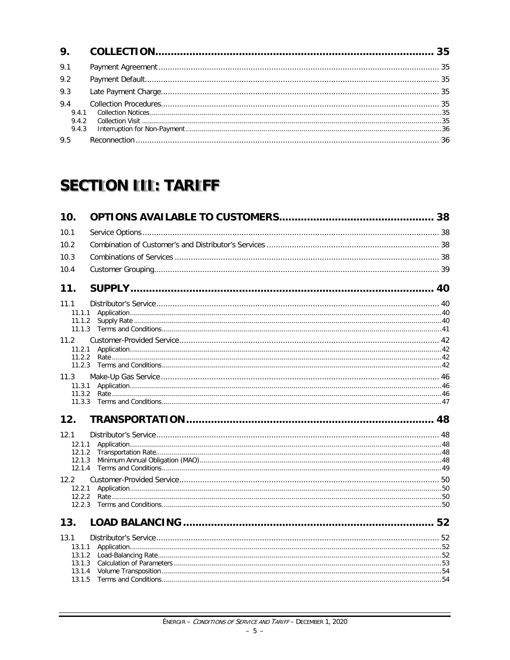| 9.1                   |  |
|-----------------------|--|
| 9.2                   |  |
| 9.3                   |  |
| 9.4<br>9.4.1<br>9.4.2 |  |
| 9.5                   |  |

## **SECTION III: TARIFF**

| 10.1<br>10.2<br>10.3<br>10.4<br>11.<br>11.1<br>11.1.1<br>11.1.2<br>11.2<br>11.2.1<br>11.2.2<br>11.2.3<br>11.3<br>11.3.1<br>11.3.2<br>11.3.3<br>12.<br>12.1<br>12.1.1<br>12.1.2<br>12.1.3<br>12.1.4<br>12.2<br>12.2.1<br>12.2.2<br>12.2.3<br>13.<br>13.1<br>13.1.1<br>13.1.2<br>13.1.3<br>13.1.4<br>13.1.5 | 10. |  |
|-----------------------------------------------------------------------------------------------------------------------------------------------------------------------------------------------------------------------------------------------------------------------------------------------------------|-----|--|
|                                                                                                                                                                                                                                                                                                           |     |  |
|                                                                                                                                                                                                                                                                                                           |     |  |
|                                                                                                                                                                                                                                                                                                           |     |  |
|                                                                                                                                                                                                                                                                                                           |     |  |
|                                                                                                                                                                                                                                                                                                           |     |  |
|                                                                                                                                                                                                                                                                                                           |     |  |
|                                                                                                                                                                                                                                                                                                           |     |  |
|                                                                                                                                                                                                                                                                                                           |     |  |
|                                                                                                                                                                                                                                                                                                           |     |  |
|                                                                                                                                                                                                                                                                                                           |     |  |
|                                                                                                                                                                                                                                                                                                           |     |  |
|                                                                                                                                                                                                                                                                                                           |     |  |
|                                                                                                                                                                                                                                                                                                           |     |  |
|                                                                                                                                                                                                                                                                                                           |     |  |
|                                                                                                                                                                                                                                                                                                           |     |  |
|                                                                                                                                                                                                                                                                                                           |     |  |
|                                                                                                                                                                                                                                                                                                           |     |  |
|                                                                                                                                                                                                                                                                                                           |     |  |
|                                                                                                                                                                                                                                                                                                           |     |  |
|                                                                                                                                                                                                                                                                                                           |     |  |
|                                                                                                                                                                                                                                                                                                           |     |  |
|                                                                                                                                                                                                                                                                                                           |     |  |
|                                                                                                                                                                                                                                                                                                           |     |  |
|                                                                                                                                                                                                                                                                                                           |     |  |
|                                                                                                                                                                                                                                                                                                           |     |  |
|                                                                                                                                                                                                                                                                                                           |     |  |
|                                                                                                                                                                                                                                                                                                           |     |  |
|                                                                                                                                                                                                                                                                                                           |     |  |
|                                                                                                                                                                                                                                                                                                           |     |  |
|                                                                                                                                                                                                                                                                                                           |     |  |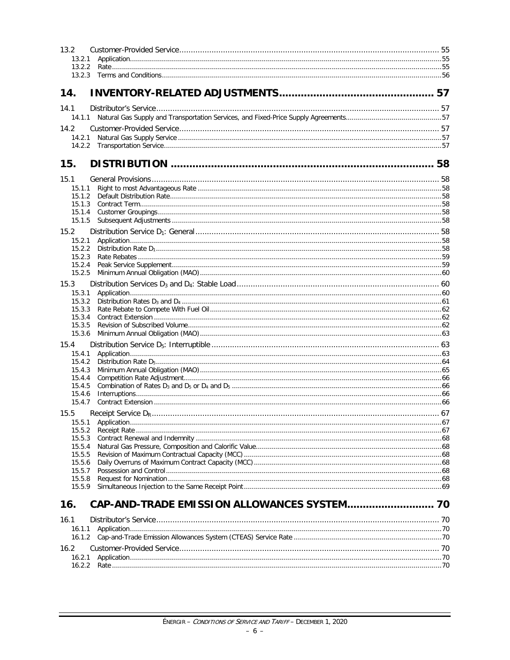| 13.2             |  |
|------------------|--|
| 13.2.1           |  |
|                  |  |
|                  |  |
| 14.              |  |
| 14.1             |  |
|                  |  |
| 14.2             |  |
| 14.2.1           |  |
|                  |  |
| 15.              |  |
|                  |  |
| 15.1             |  |
| 15.1.1<br>15.1.2 |  |
| 15.1.3           |  |
| 15.1.4           |  |
| 15.1.5           |  |
| 15.2             |  |
| 15.2.1<br>15.2.2 |  |
| 15.2.3           |  |
| 15.2.4           |  |
| 15.2.5           |  |
| 15.3             |  |
| 15.3.1<br>15.3.2 |  |
| 15.3.3           |  |
| 15.3.4           |  |
| 15.3.5           |  |
| 15.3.6           |  |
| 15.4             |  |
| 15.4.1<br>15.4.2 |  |
| 15.4.3           |  |
| 15.4.4           |  |
| 15.4.5<br>15.4.6 |  |
| 15.4.7           |  |
| 15.5             |  |
| 15.5.1           |  |
| 15.5.2           |  |
| 15.5.3<br>15.5.4 |  |
| 15.5.5           |  |
| 15.5.6           |  |
| 15.5.7           |  |
| 15.5.8<br>15.5.9 |  |
|                  |  |
| 16.              |  |
| 16.1             |  |
| 16.1.1           |  |
| 16.1.2           |  |
| 16.2             |  |
| 16.2.1           |  |
|                  |  |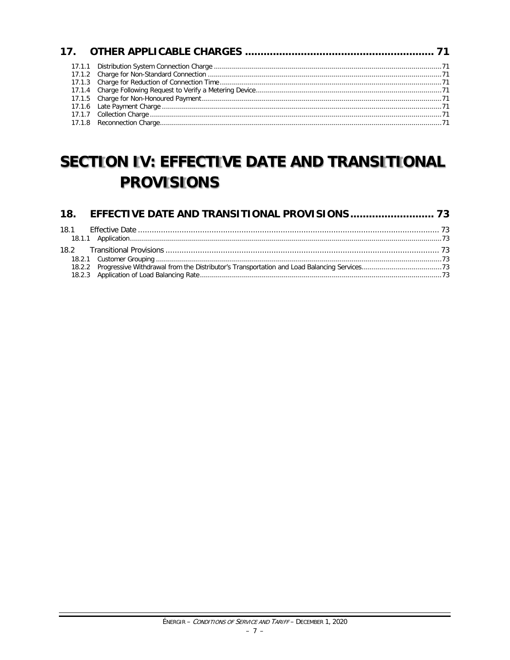## **SECTION IV: EFFECTIVE DATE AND TRANSITIONAL PROVISIONS**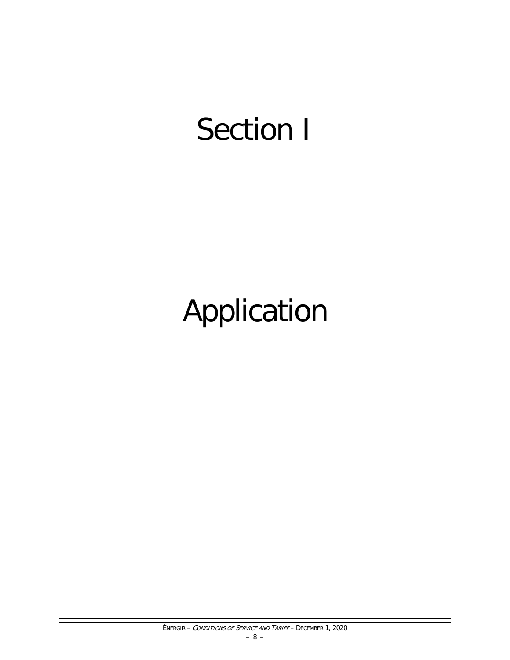# Section I

# Application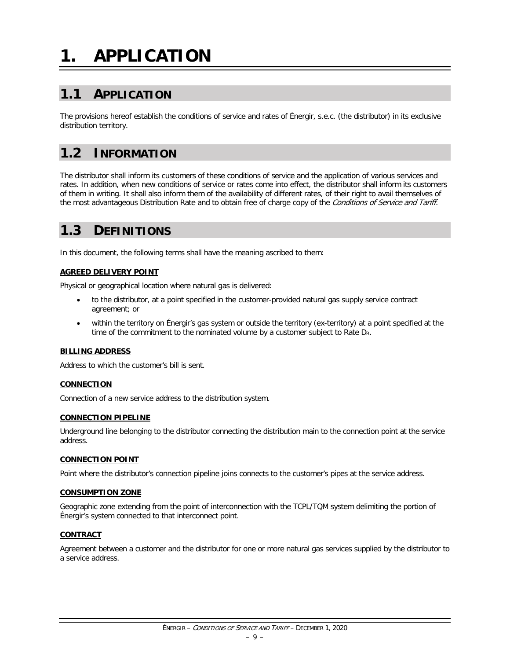# <span id="page-10-0"></span>**1. APPLICATION**

## <span id="page-10-1"></span>**1.1 APPLICATION**

The provisions hereof establish the conditions of service and rates of Énergir, s.e.c. (the distributor) in its exclusive distribution territory.

### <span id="page-10-2"></span>**1.2 INFORMATION**

The distributor shall inform its customers of these conditions of service and the application of various services and rates. In addition, when new conditions of service or rates come into effect, the distributor shall inform its customers of them in writing. It shall also inform them of the availability of different rates, of their right to avail themselves of the most advantageous Distribution Rate and to obtain free of charge copy of the Conditions of Service and Tariff.

## <span id="page-10-3"></span>**1.3 DEFINITIONS**

In this document, the following terms shall have the meaning ascribed to them:

#### **AGREED DELIVERY POINT**

Physical or geographical location where natural gas is delivered:

- to the distributor, at a point specified in the customer-provided natural gas supply service contract agreement; or
- within the territory on Énergir's gas system or outside the territory (ex-territory) at a point specified at the time of the commitment to the nominated volume by a customer subject to Rate  $D_R$ .

#### **BILLING ADDRESS**

Address to which the customer's bill is sent.

#### **CONNECTION**

Connection of a new service address to the distribution system.

#### **CONNECTION PIPELINE**

Underground line belonging to the distributor connecting the distribution main to the connection point at the service address.

#### **CONNECTION POINT**

Point where the distributor's connection pipeline joins connects to the customer's pipes at the service address.

#### **CONSUMPTION ZONE**

Geographic zone extending from the point of interconnection with the TCPL/TQM system delimiting the portion of Énergir's system connected to that interconnect point.

#### **CONTRACT**

Agreement between a customer and the distributor for one or more natural gas services supplied by the distributor to a service address.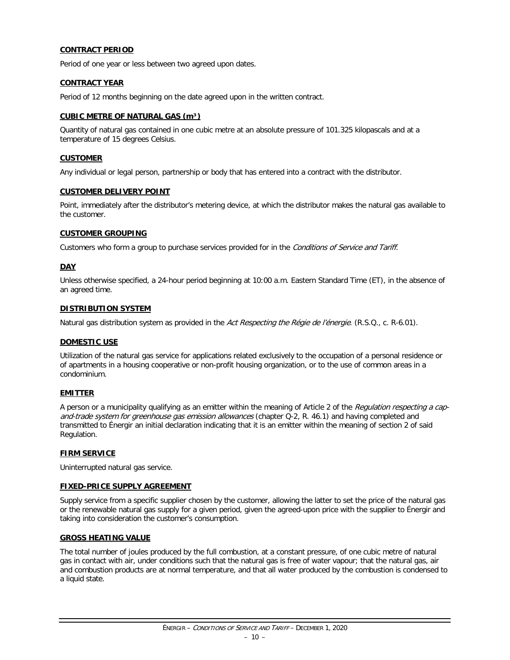#### **CONTRACT PERIOD**

Period of one year or less between two agreed upon dates.

#### **CONTRACT YEAR**

Period of 12 months beginning on the date agreed upon in the written contract.

#### **CUBIC METRE OF NATURAL GAS (m³)**

Quantity of natural gas contained in one cubic metre at an absolute pressure of 101.325 kilopascals and at a temperature of 15 degrees Celsius.

#### **CUSTOMER**

Any individual or legal person, partnership or body that has entered into a contract with the distributor.

#### **CUSTOMER DELIVERY POINT**

Point, immediately after the distributor's metering device, at which the distributor makes the natural gas available to the customer.

#### **CUSTOMER GROUPING**

Customers who form a group to purchase services provided for in the Conditions of Service and Tariff.

#### **DAY**

Unless otherwise specified, a 24-hour period beginning at 10:00 a.m. Eastern Standard Time (ET), in the absence of an agreed time.

#### **DISTRIBUTION SYSTEM**

Natural gas distribution system as provided in the Act Respecting the Régie de l'énergie. (R.S.Q., c. R-6.01).

#### **DOMESTIC USE**

Utilization of the natural gas service for applications related exclusively to the occupation of a personal residence or of apartments in a housing cooperative or non-profit housing organization, or to the use of common areas in a condominium.

#### **EMITTER**

A person or a municipality qualifying as an emitter within the meaning of Article 2 of the Requlation respecting a capand-trade system for greenhouse gas emission allowances (chapter Q-2, R. 46.1) and having completed and transmitted to Énergir an initial declaration indicating that it is an emitter within the meaning of section 2 of said Regulation.

#### **FIRM SERVICE**

Uninterrupted natural gas service.

#### **FIXED-PRICE SUPPLY AGREEMENT**

Supply service from a specific supplier chosen by the customer, allowing the latter to set the price of the natural gas or the renewable natural gas supply for a given period, given the agreed-upon price with the supplier to Énergir and taking into consideration the customer's consumption.

#### **GROSS HEATING VALUE**

The total number of joules produced by the full combustion, at a constant pressure, of one cubic metre of natural gas in contact with air, under conditions such that the natural gas is free of water vapour; that the natural gas, air and combustion products are at normal temperature, and that all water produced by the combustion is condensed to a liquid state.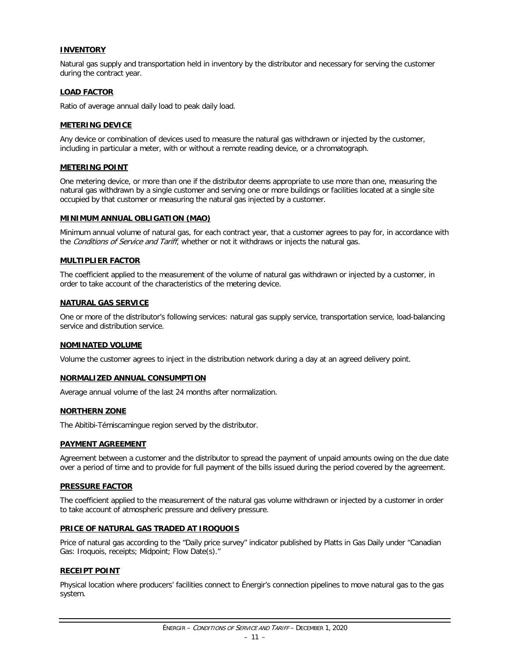#### **INVENTORY**

Natural gas supply and transportation held in inventory by the distributor and necessary for serving the customer during the contract year.

#### **LOAD FACTOR**

Ratio of average annual daily load to peak daily load.

#### **METERING DEVICE**

Any device or combination of devices used to measure the natural gas withdrawn or injected by the customer, including in particular a meter, with or without a remote reading device, or a chromatograph.

#### **METERING POINT**

One metering device, or more than one if the distributor deems appropriate to use more than one, measuring the natural gas withdrawn by a single customer and serving one or more buildings or facilities located at a single site occupied by that customer or measuring the natural gas injected by a customer.

#### **MINIMUM ANNUAL OBLIGATION (MAO)**

Minimum annual volume of natural gas, for each contract year, that a customer agrees to pay for, in accordance with the Conditions of Service and Tariff, whether or not it withdraws or injects the natural gas.

#### **MULTIPLIER FACTOR**

The coefficient applied to the measurement of the volume of natural gas withdrawn or injected by a customer, in order to take account of the characteristics of the metering device.

#### **NATURAL GAS SERVICE**

One or more of the distributor's following services: natural gas supply service, transportation service, load-balancing service and distribution service.

#### **NOMINATED VOLUME**

Volume the customer agrees to inject in the distribution network during a day at an agreed delivery point.

#### **NORMALIZED ANNUAL CONSUMPTION**

Average annual volume of the last 24 months after normalization.

#### **NORTHERN ZONE**

The Abitibi-Témiscamingue region served by the distributor.

#### **PAYMENT AGREEMENT**

Agreement between a customer and the distributor to spread the payment of unpaid amounts owing on the due date over a period of time and to provide for full payment of the bills issued during the period covered by the agreement.

#### **PRESSURE FACTOR**

The coefficient applied to the measurement of the natural gas volume withdrawn or injected by a customer in order to take account of atmospheric pressure and delivery pressure.

#### **PRICE OF NATURAL GAS TRADED AT IROQUOIS**

Price of natural gas according to the "Daily price survey" indicator published by Platts in Gas Daily under "Canadian Gas: Iroquois, receipts; Midpoint; Flow Date(s)."

#### **RECEIPT POINT**

Physical location where producers' facilities connect to Énergir's connection pipelines to move natural gas to the gas system.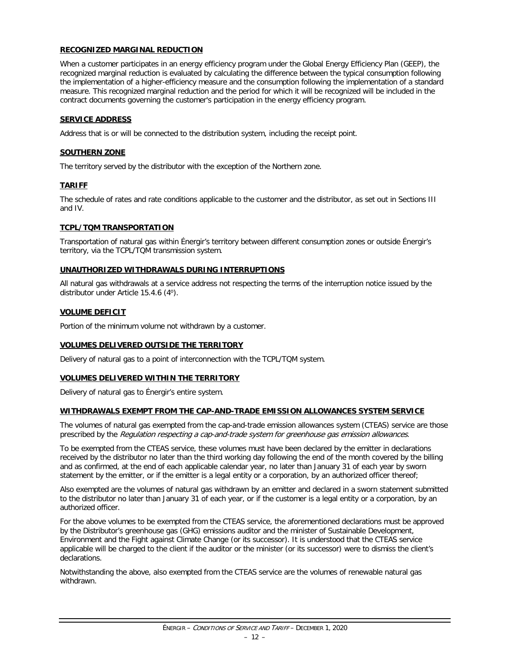#### **RECOGNIZED MARGINAL REDUCTION**

When a customer participates in an energy efficiency program under the Global Energy Efficiency Plan (GEEP), the recognized marginal reduction is evaluated by calculating the difference between the typical consumption following the implementation of a higher-efficiency measure and the consumption following the implementation of a standard measure. This recognized marginal reduction and the period for which it will be recognized will be included in the contract documents governing the customer's participation in the energy efficiency program.

#### **SERVICE ADDRESS**

Address that is or will be connected to the distribution system, including the receipt point.

#### **SOUTHERN ZONE**

The territory served by the distributor with the exception of the Northern zone.

#### **TARIFF**

The schedule of rates and rate conditions applicable to the customer and the distributor, as set out in Sections III and IV.

#### **TCPL/TQM TRANSPORTATION**

Transportation of natural gas within Énergir's territory between different consumption zones or outside Énergir's territory, via the TCPL/TQM transmission system.

#### **UNAUTHORIZED WITHDRAWALS DURING INTERRUPTIONS**

All natural gas withdrawals at a service address not respecting the terms of the interruption notice issued by the distributor under Article 15.4.6 (4<sup>o</sup>).

#### **VOLUME DEFICIT**

Portion of the minimum volume not withdrawn by a customer.

#### **VOLUMES DELIVERED OUTSIDE THE TERRITORY**

Delivery of natural gas to a point of interconnection with the TCPL/TQM system.

#### **VOLUMES DELIVERED WITHIN THE TERRITORY**

Delivery of natural gas to Énergir's entire system.

#### **WITHDRAWALS EXEMPT FROM THE CAP-AND-TRADE EMISSION ALLOWANCES SYSTEM SERVICE**

The volumes of natural gas exempted from the cap-and-trade emission allowances system (CTEAS) service are those prescribed by the Regulation respecting a cap-and-trade system for greenhouse gas emission allowances.

To be exempted from the CTEAS service, these volumes must have been declared by the emitter in declarations received by the distributor no later than the third working day following the end of the month covered by the billing and as confirmed, at the end of each applicable calendar year, no later than January 31 of each year by sworn statement by the emitter, or if the emitter is a legal entity or a corporation, by an authorized officer thereof;

Also exempted are the volumes of natural gas withdrawn by an emitter and declared in a sworn statement submitted to the distributor no later than January 31 of each year, or if the customer is a legal entity or a corporation, by an authorized officer.

For the above volumes to be exempted from the CTEAS service, the aforementioned declarations must be approved by the Distributor's greenhouse gas (GHG) emissions auditor and the minister of Sustainable Development, Environment and the Fight against Climate Change (or its successor). It is understood that the CTEAS service applicable will be charged to the client if the auditor or the minister (or its successor) were to dismiss the client's declarations.

Notwithstanding the above, also exempted from the CTEAS service are the volumes of renewable natural gas withdrawn.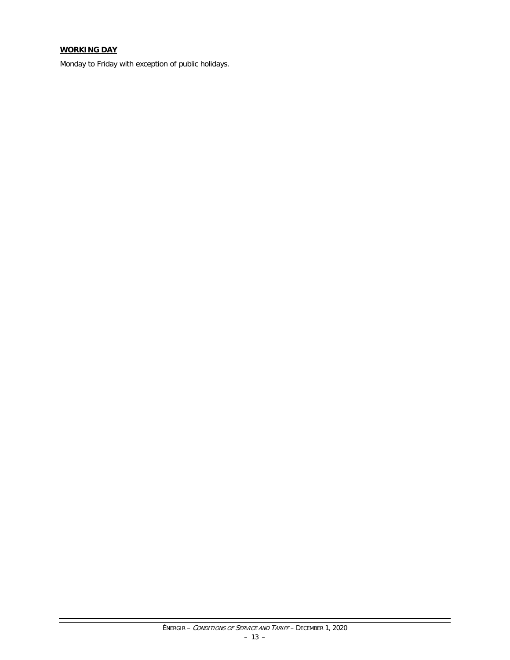#### **WORKING DAY**

Monday to Friday with exception of public holidays.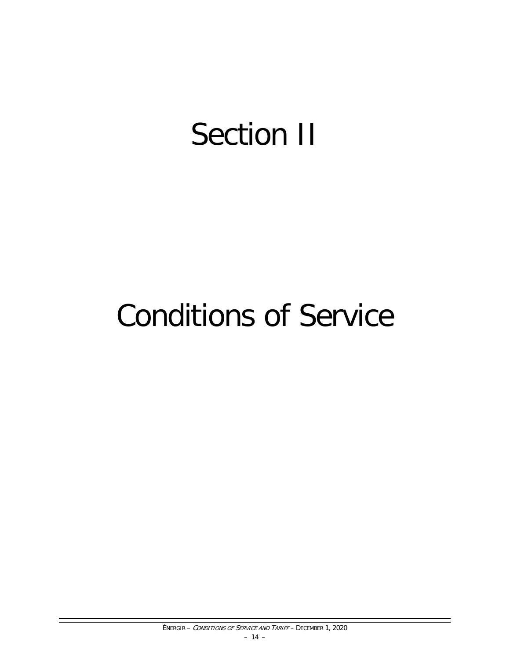# Section II

# Conditions of Service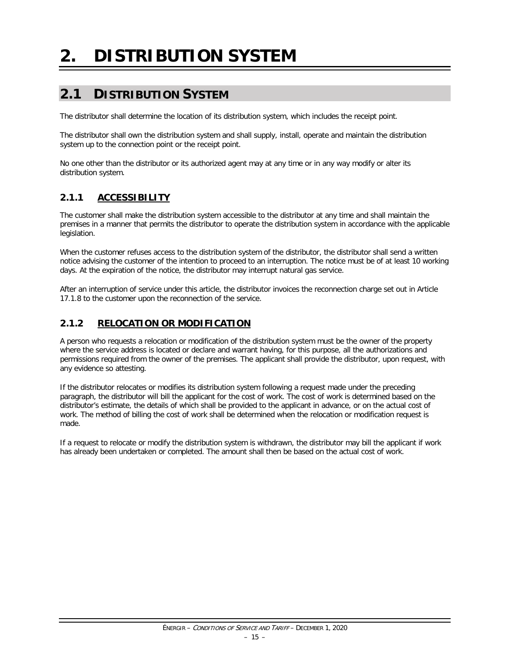# <span id="page-16-0"></span>**2. DISTRIBUTION SYSTEM**

## <span id="page-16-1"></span>**2.1 DISTRIBUTION SYSTEM**

The distributor shall determine the location of its distribution system, which includes the receipt point.

The distributor shall own the distribution system and shall supply, install, operate and maintain the distribution system up to the connection point or the receipt point.

No one other than the distributor or its authorized agent may at any time or in any way modify or alter its distribution system.

#### <span id="page-16-2"></span>**2.1.1 ACCESSIBILITY**

The customer shall make the distribution system accessible to the distributor at any time and shall maintain the premises in a manner that permits the distributor to operate the distribution system in accordance with the applicable legislation.

When the customer refuses access to the distribution system of the distributor, the distributor shall send a written notice advising the customer of the intention to proceed to an interruption. The notice must be of at least 10 working days. At the expiration of the notice, the distributor may interrupt natural gas service.

After an interruption of service under this article, the distributor invoices the reconnection charge set out in Article 17.1.8 to the customer upon the reconnection of the service.

#### <span id="page-16-3"></span>**2.1.2 RELOCATION OR MODIFICATION**

A person who requests a relocation or modification of the distribution system must be the owner of the property where the service address is located or declare and warrant having, for this purpose, all the authorizations and permissions required from the owner of the premises. The applicant shall provide the distributor, upon request, with any evidence so attesting.

If the distributor relocates or modifies its distribution system following a request made under the preceding paragraph, the distributor will bill the applicant for the cost of work. The cost of work is determined based on the distributor's estimate, the details of which shall be provided to the applicant in advance, or on the actual cost of work. The method of billing the cost of work shall be determined when the relocation or modification request is made.

If a request to relocate or modify the distribution system is withdrawn, the distributor may bill the applicant if work has already been undertaken or completed. The amount shall then be based on the actual cost of work.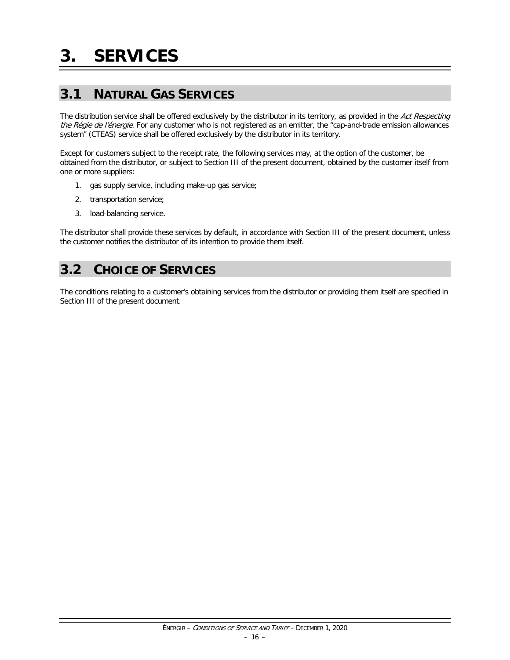## <span id="page-17-1"></span><span id="page-17-0"></span>**3.1 NATURAL GAS SERVICES**

The distribution service shall be offered exclusively by the distributor in its territory, as provided in the Act Respecting the Régie de l'énergie. For any customer who is not registered as an emitter, the "cap-and-trade emission allowances system" (CTEAS) service shall be offered exclusively by the distributor in its territory.

Except for customers subject to the receipt rate, the following services may, at the option of the customer, be obtained from the distributor, or subject to Section III of the present document, obtained by the customer itself from one or more suppliers:

- 1. gas supply service, including make-up gas service;
- 2. transportation service;
- 3. load-balancing service.

The distributor shall provide these services by default, in accordance with Section III of the present document, unless the customer notifies the distributor of its intention to provide them itself.

## <span id="page-17-2"></span>**3.2 CHOICE OF SERVICES**

The conditions relating to a customer's obtaining services from the distributor or providing them itself are specified in Section III of the present document.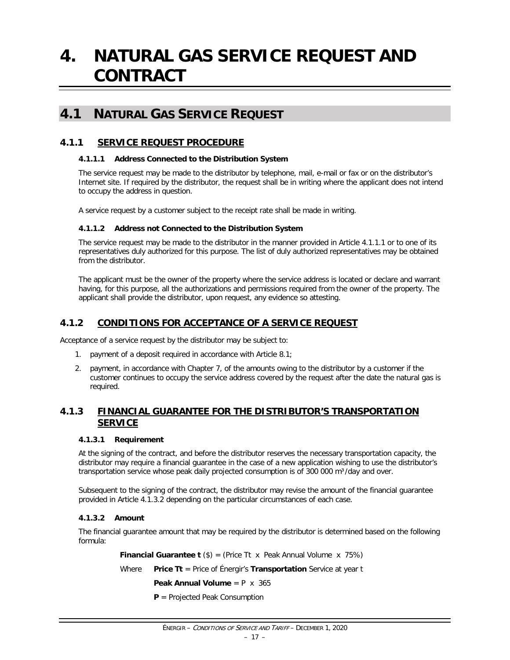## <span id="page-18-0"></span>**4. NATURAL GAS SERVICE REQUEST AND CONTRACT**

### <span id="page-18-1"></span>**4.1 NATURAL GAS SERVICE REQUEST**

#### <span id="page-18-2"></span>**4.1.1 SERVICE REQUEST PROCEDURE**

#### **4.1.1.1 Address Connected to the Distribution System**

The service request may be made to the distributor by telephone, mail, e-mail or fax or on the distributor's Internet site. If required by the distributor, the request shall be in writing where the applicant does not intend to occupy the address in question.

A service request by a customer subject to the receipt rate shall be made in writing.

#### **4.1.1.2 Address not Connected to the Distribution System**

The service request may be made to the distributor in the manner provided in Article 4.1.1.1 or to one of its representatives duly authorized for this purpose. The list of duly authorized representatives may be obtained from the distributor.

The applicant must be the owner of the property where the service address is located or declare and warrant having, for this purpose, all the authorizations and permissions required from the owner of the property. The applicant shall provide the distributor, upon request, any evidence so attesting.

#### <span id="page-18-3"></span>**4.1.2 CONDITIONS FOR ACCEPTANCE OF A SERVICE REQUEST**

Acceptance of a service request by the distributor may be subject to:

- 1. payment of a deposit required in accordance with Article 8.1;
- 2. payment, in accordance with Chapter 7, of the amounts owing to the distributor by a customer if the customer continues to occupy the service address covered by the request after the date the natural gas is required.

#### <span id="page-18-4"></span>**4.1.3 FINANCIAL GUARANTEE FOR THE DISTRIBUTOR'S TRANSPORTATION SERVICE**

#### **4.1.3.1 Requirement**

At the signing of the contract, and before the distributor reserves the necessary transportation capacity, the distributor may require a financial guarantee in the case of a new application wishing to use the distributor's transportation service whose peak daily projected consumption is of 300 000 m<sup>3</sup>/day and over.

Subsequent to the signing of the contract, the distributor may revise the amount of the financial guarantee provided in Article 4.1.3.2 depending on the particular circumstances of each case.

#### **4.1.3.2 Amount**

The financial guarantee amount that may be required by the distributor is determined based on the following formula:

**Financial Guarantee t** (\$) = (Price Tt x Peak Annual Volume x 75%)

Where **Price Tt** = Price of Énergir's **Transportation** Service at year t

**Peak Annual Volume** = P x 365

**P** = Projected Peak Consumption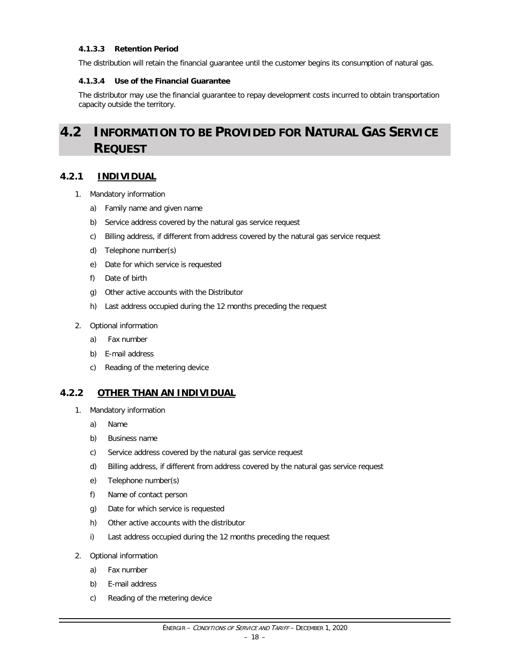#### **4.1.3.3 Retention Period**

The distribution will retain the financial guarantee until the customer begins its consumption of natural gas.

#### **4.1.3.4 Use of the Financial Guarantee**

The distributor may use the financial guarantee to repay development costs incurred to obtain transportation capacity outside the territory.

## <span id="page-19-0"></span>**4.2 INFORMATION TO BE PROVIDED FOR NATURAL GAS SERVICE REQUEST**

#### <span id="page-19-1"></span>**4.2.1 INDIVIDUAL**

- 1. Mandatory information
	- a) Family name and given name
	- b) Service address covered by the natural gas service request
	- c) Billing address, if different from address covered by the natural gas service request
	- d) Telephone number(s)
	- e) Date for which service is requested
	- f) Date of birth
	- g) Other active accounts with the Distributor
	- h) Last address occupied during the 12 months preceding the request
- 2. Optional information
	- a) Fax number
	- b) E-mail address
	- c) Reading of the metering device

#### <span id="page-19-2"></span>**4.2.2 OTHER THAN AN INDIVIDUAL**

- 1. Mandatory information
	- a) Name
	- b) Business name
	- c) Service address covered by the natural gas service request
	- d) Billing address, if different from address covered by the natural gas service request
	- e) Telephone number(s)
	- f) Name of contact person
	- g) Date for which service is requested
	- h) Other active accounts with the distributor
	- i) Last address occupied during the 12 months preceding the request
- 2. Optional information
	- a) Fax number
	- b) E-mail address
	- c) Reading of the metering device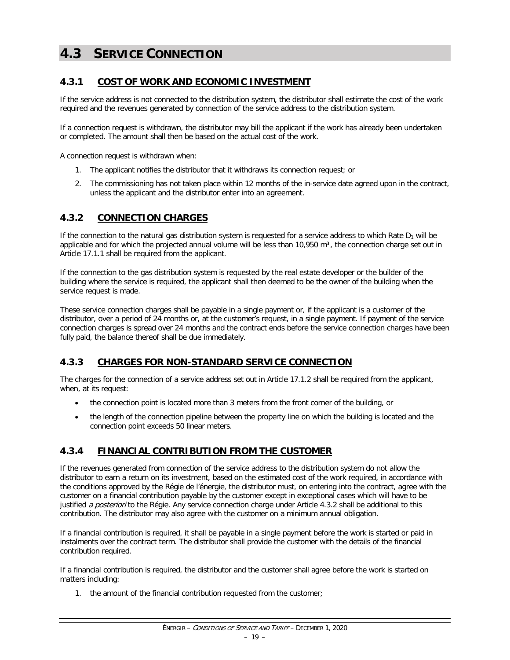## <span id="page-20-0"></span>**4.3 SERVICE CONNECTION**

#### <span id="page-20-1"></span>**4.3.1 COST OF WORK AND ECONOMIC INVESTMENT**

If the service address is not connected to the distribution system, the distributor shall estimate the cost of the work required and the revenues generated by connection of the service address to the distribution system.

If a connection request is withdrawn, the distributor may bill the applicant if the work has already been undertaken or completed. The amount shall then be based on the actual cost of the work.

A connection request is withdrawn when:

- 1. The applicant notifies the distributor that it withdraws its connection request; or
- 2. The commissioning has not taken place within 12 months of the in-service date agreed upon in the contract, unless the applicant and the distributor enter into an agreement.

#### <span id="page-20-2"></span>**4.3.2 CONNECTION CHARGES**

If the connection to the natural gas distribution system is requested for a service address to which Rate  $D_1$  will be applicable and for which the projected annual volume will be less than  $10,950$  m<sup>3</sup>, the connection charge set out in Article 17.1.1 shall be required from the applicant.

If the connection to the gas distribution system is requested by the real estate developer or the builder of the building where the service is required, the applicant shall then deemed to be the owner of the building when the service request is made.

These service connection charges shall be payable in a single payment or, if the applicant is a customer of the distributor, over a period of 24 months or, at the customer's request, in a single payment. If payment of the service connection charges is spread over 24 months and the contract ends before the service connection charges have been fully paid, the balance thereof shall be due immediately.

#### <span id="page-20-3"></span>**4.3.3 CHARGES FOR NON-STANDARD SERVICE CONNECTION**

The charges for the connection of a service address set out in Article 17.1.2 shall be required from the applicant, when, at its request:

- the connection point is located more than 3 meters from the front corner of the building, or
- the length of the connection pipeline between the property line on which the building is located and the connection point exceeds 50 linear meters.

#### <span id="page-20-4"></span>**4.3.4 FINANCIAL CONTRIBUTION FROM THE CUSTOMER**

If the revenues generated from connection of the service address to the distribution system do not allow the distributor to earn a return on its investment, based on the estimated cost of the work required, in accordance with the conditions approved by the Régie de l'énergie, the distributor must, on entering into the contract, agree with the customer on a financial contribution payable by the customer except in exceptional cases which will have to be justified a posteriori to the Régie. Any service connection charge under Article 4.3.2 shall be additional to this contribution. The distributor may also agree with the customer on a minimum annual obligation.

If a financial contribution is required, it shall be payable in a single payment before the work is started or paid in instalments over the contract term. The distributor shall provide the customer with the details of the financial contribution required.

If a financial contribution is required, the distributor and the customer shall agree before the work is started on matters including:

1. the amount of the financial contribution requested from the customer;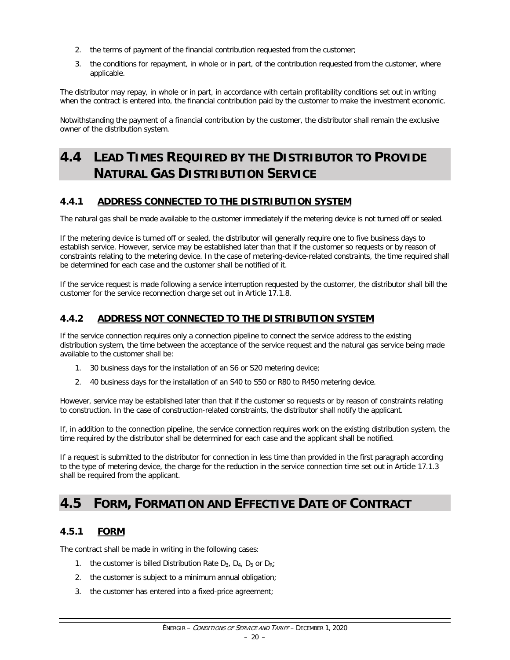- 2. the terms of payment of the financial contribution requested from the customer;
- 3. the conditions for repayment, in whole or in part, of the contribution requested from the customer, where applicable.

The distributor may repay, in whole or in part, in accordance with certain profitability conditions set out in writing when the contract is entered into, the financial contribution paid by the customer to make the investment economic.

Notwithstanding the payment of a financial contribution by the customer, the distributor shall remain the exclusive owner of the distribution system.

## <span id="page-21-0"></span>**4.4 LEAD TIMES REQUIRED BY THE DISTRIBUTOR TO PROVIDE NATURAL GAS DISTRIBUTION SERVICE**

#### <span id="page-21-1"></span>**4.4.1 ADDRESS CONNECTED TO THE DISTRIBUTION SYSTEM**

The natural gas shall be made available to the customer immediately if the metering device is not turned off or sealed.

If the metering device is turned off or sealed, the distributor will generally require one to five business days to establish service. However, service may be established later than that if the customer so requests or by reason of constraints relating to the metering device. In the case of metering-device-related constraints, the time required shall be determined for each case and the customer shall be notified of it.

If the service request is made following a service interruption requested by the customer, the distributor shall bill the customer for the service reconnection charge set out in Article 17.1.8.

#### <span id="page-21-2"></span>**4.4.2 ADDRESS NOT CONNECTED TO THE DISTRIBUTION SYSTEM**

If the service connection requires only a connection pipeline to connect the service address to the existing distribution system, the time between the acceptance of the service request and the natural gas service being made available to the customer shall be:

- 1. 30 business days for the installation of an S6 or S20 metering device;
- 2. 40 business days for the installation of an S40 to S50 or R80 to R450 metering device.

However, service may be established later than that if the customer so requests or by reason of constraints relating to construction. In the case of construction-related constraints, the distributor shall notify the applicant.

If, in addition to the connection pipeline, the service connection requires work on the existing distribution system, the time required by the distributor shall be determined for each case and the applicant shall be notified.

If a request is submitted to the distributor for connection in less time than provided in the first paragraph according to the type of metering device, the charge for the reduction in the service connection time set out in Article 17.1.3 shall be required from the applicant.

## <span id="page-21-3"></span>**4.5 FORM, FORMATION AND EFFECTIVE DATE OF CONTRACT**

#### <span id="page-21-4"></span>**4.5.1 FORM**

The contract shall be made in writing in the following cases:

- 1. the customer is billed Distribution Rate  $D_{3}$ ,  $D_{4}$ ,  $D_{5}$  or  $D_{R}$ ;
- 2. the customer is subject to a minimum annual obligation;
- 3. the customer has entered into a fixed-price agreement;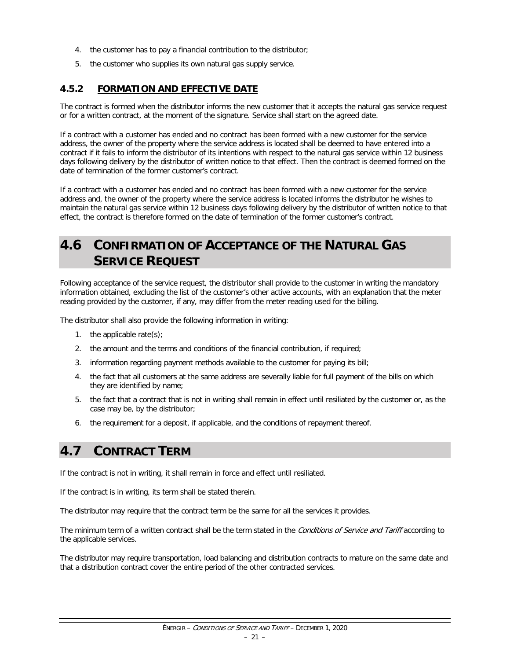- 4. the customer has to pay a financial contribution to the distributor;
- 5. the customer who supplies its own natural gas supply service.

#### <span id="page-22-0"></span>**4.5.2 FORMATION AND EFFECTIVE DATE**

The contract is formed when the distributor informs the new customer that it accepts the natural gas service request or for a written contract, at the moment of the signature. Service shall start on the agreed date.

If a contract with a customer has ended and no contract has been formed with a new customer for the service address, the owner of the property where the service address is located shall be deemed to have entered into a contract if it fails to inform the distributor of its intentions with respect to the natural gas service within 12 business days following delivery by the distributor of written notice to that effect. Then the contract is deemed formed on the date of termination of the former customer's contract.

If a contract with a customer has ended and no contract has been formed with a new customer for the service address and, the owner of the property where the service address is located informs the distributor he wishes to maintain the natural gas service within 12 business days following delivery by the distributor of written notice to that effect, the contract is therefore formed on the date of termination of the former customer's contract.

## <span id="page-22-1"></span>**4.6 CONFIRMATION OF ACCEPTANCE OF THE NATURAL GAS SERVICE REQUEST**

Following acceptance of the service request, the distributor shall provide to the customer in writing the mandatory information obtained, excluding the list of the customer's other active accounts, with an explanation that the meter reading provided by the customer, if any, may differ from the meter reading used for the billing.

The distributor shall also provide the following information in writing:

- 1. the applicable rate $(s)$ ;
- 2. the amount and the terms and conditions of the financial contribution, if required;
- 3. information regarding payment methods available to the customer for paying its bill;
- 4. the fact that all customers at the same address are severally liable for full payment of the bills on which they are identified by name;
- 5. the fact that a contract that is not in writing shall remain in effect until resiliated by the customer or, as the case may be, by the distributor;
- 6. the requirement for a deposit, if applicable, and the conditions of repayment thereof.

## <span id="page-22-2"></span>**4.7 CONTRACT TERM**

If the contract is not in writing, it shall remain in force and effect until resiliated.

If the contract is in writing, its term shall be stated therein.

The distributor may require that the contract term be the same for all the services it provides.

The minimum term of a written contract shall be the term stated in the Conditions of Service and Tariff according to the applicable services.

The distributor may require transportation, load balancing and distribution contracts to mature on the same date and that a distribution contract cover the entire period of the other contracted services.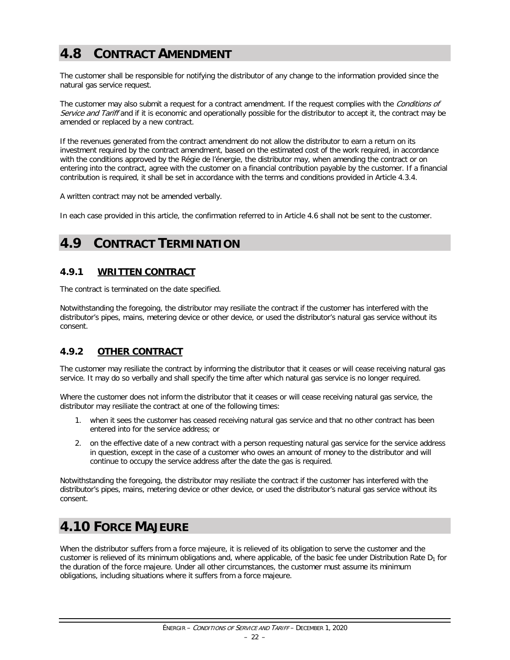## <span id="page-23-0"></span>**4.8 CONTRACT AMENDMENT**

The customer shall be responsible for notifying the distributor of any change to the information provided since the natural gas service request.

The customer may also submit a request for a contract amendment. If the request complies with the Conditions of Service and Tariff and if it is economic and operationally possible for the distributor to accept it, the contract may be amended or replaced by a new contract.

If the revenues generated from the contract amendment do not allow the distributor to earn a return on its investment required by the contract amendment, based on the estimated cost of the work required, in accordance with the conditions approved by the Régie de l'énergie, the distributor may, when amending the contract or on entering into the contract, agree with the customer on a financial contribution payable by the customer. If a financial contribution is required, it shall be set in accordance with the terms and conditions provided in Article 4.3.4.

A written contract may not be amended verbally.

In each case provided in this article, the confirmation referred to in Article 4.6 shall not be sent to the customer.

## <span id="page-23-1"></span>**4.9 CONTRACT TERMINATION**

#### <span id="page-23-2"></span>**4.9.1 WRITTEN CONTRACT**

The contract is terminated on the date specified.

Notwithstanding the foregoing, the distributor may resiliate the contract if the customer has interfered with the distributor's pipes, mains, metering device or other device, or used the distributor's natural gas service without its consent.

#### <span id="page-23-3"></span>**4.9.2 OTHER CONTRACT**

The customer may resiliate the contract by informing the distributor that it ceases or will cease receiving natural gas service. It may do so verbally and shall specify the time after which natural gas service is no longer required.

Where the customer does not inform the distributor that it ceases or will cease receiving natural gas service, the distributor may resiliate the contract at one of the following times:

- 1. when it sees the customer has ceased receiving natural gas service and that no other contract has been entered into for the service address; or
- 2. on the effective date of a new contract with a person requesting natural gas service for the service address in question, except in the case of a customer who owes an amount of money to the distributor and will continue to occupy the service address after the date the gas is required.

Notwithstanding the foregoing, the distributor may resiliate the contract if the customer has interfered with the distributor's pipes, mains, metering device or other device, or used the distributor's natural gas service without its consent.

## <span id="page-23-4"></span>**4.10 FORCE MAJEURE**

When the distributor suffers from a force majeure, it is relieved of its obligation to serve the customer and the customer is relieved of its minimum obligations and, where applicable, of the basic fee under Distribution Rate  $D_1$  for the duration of the force majeure. Under all other circumstances, the customer must assume its minimum obligations, including situations where it suffers from a force majeure.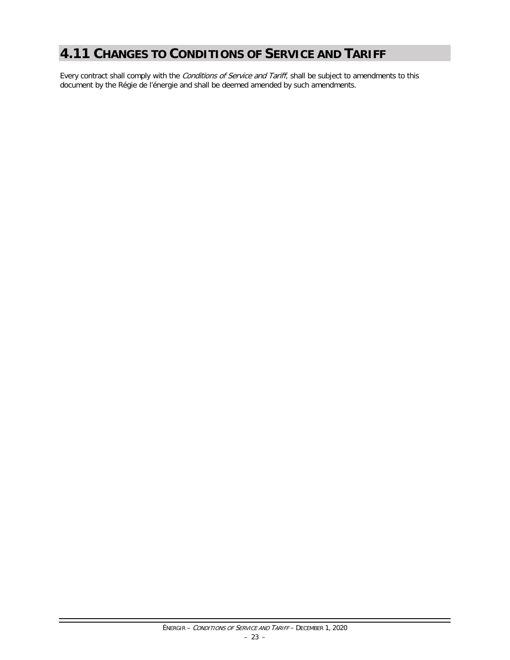## <span id="page-24-0"></span>**4.11 CHANGES TO CONDITIONS OF SERVICE AND TARIFF**

Every contract shall comply with the Conditions of Service and Tariff, shall be subject to amendments to this document by the Régie de l'énergie and shall be deemed amended by such amendments.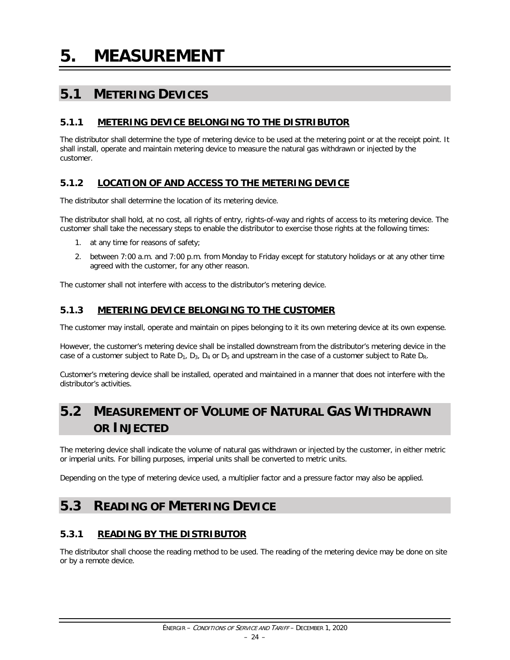<span id="page-25-0"></span>**5. MEASUREMENT**

## <span id="page-25-1"></span>**5.1 METERING DEVICES**

#### <span id="page-25-2"></span>**5.1.1 METERING DEVICE BELONGING TO THE DISTRIBUTOR**

The distributor shall determine the type of metering device to be used at the metering point or at the receipt point. It shall install, operate and maintain metering device to measure the natural gas withdrawn or injected by the customer.

#### <span id="page-25-3"></span>**5.1.2 LOCATION OF AND ACCESS TO THE METERING DEVICE**

The distributor shall determine the location of its metering device.

The distributor shall hold, at no cost, all rights of entry, rights-of-way and rights of access to its metering device. The customer shall take the necessary steps to enable the distributor to exercise those rights at the following times:

- 1. at any time for reasons of safety;
- 2. between 7:00 a.m. and 7:00 p.m. from Monday to Friday except for statutory holidays or at any other time agreed with the customer, for any other reason.

The customer shall not interfere with access to the distributor's metering device.

#### <span id="page-25-4"></span>**5.1.3 METERING DEVICE BELONGING TO THE CUSTOMER**

The customer may install, operate and maintain on pipes belonging to it its own metering device at its own expense.

However, the customer's metering device shall be installed downstream from the distributor's metering device in the case of a customer subject to Rate  $D_1$ ,  $D_3$ ,  $D_4$  or  $D_5$  and upstream in the case of a customer subject to Rate  $D_R$ .

Customer's metering device shall be installed, operated and maintained in a manner that does not interfere with the distributor's activities.

## <span id="page-25-5"></span>**5.2 MEASUREMENT OF VOLUME OF NATURAL GAS WITHDRAWN OR INJECTED**

The metering device shall indicate the volume of natural gas withdrawn or injected by the customer, in either metric or imperial units. For billing purposes, imperial units shall be converted to metric units.

Depending on the type of metering device used, a multiplier factor and a pressure factor may also be applied.

## <span id="page-25-6"></span>**5.3 READING OF METERING DEVICE**

#### <span id="page-25-7"></span>**5.3.1 READING BY THE DISTRIBUTOR**

The distributor shall choose the reading method to be used. The reading of the metering device may be done on site or by a remote device.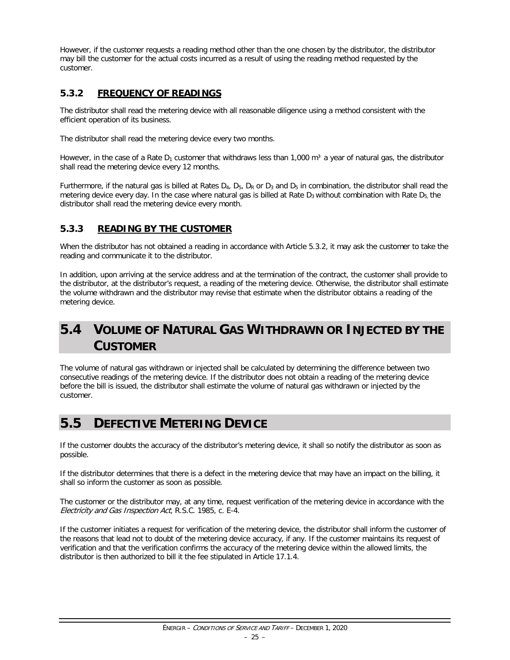However, if the customer requests a reading method other than the one chosen by the distributor, the distributor may bill the customer for the actual costs incurred as a result of using the reading method requested by the customer.

#### <span id="page-26-0"></span>**5.3.2 FREQUENCY OF READINGS**

The distributor shall read the metering device with all reasonable diligence using a method consistent with the efficient operation of its business.

The distributor shall read the metering device every two months.

However, in the case of a Rate  $D_1$  customer that withdraws less than 1,000 m<sup>3</sup> a year of natural gas, the distributor shall read the metering device every 12 months.

Furthermore, if the natural gas is billed at Rates  $D_4$ ,  $D_5$ ,  $D_R$  or  $D_3$  and  $D_5$  in combination, the distributor shall read the metering device every day. In the case where natural gas is billed at Rate  $D_3$  without combination with Rate  $D_5$ , the distributor shall read the metering device every month.

#### <span id="page-26-1"></span>**5.3.3 READING BY THE CUSTOMER**

When the distributor has not obtained a reading in accordance with Article 5.3.2, it may ask the customer to take the reading and communicate it to the distributor.

In addition, upon arriving at the service address and at the termination of the contract, the customer shall provide to the distributor, at the distributor's request, a reading of the metering device. Otherwise, the distributor shall estimate the volume withdrawn and the distributor may revise that estimate when the distributor obtains a reading of the metering device.

## <span id="page-26-2"></span>**5.4 VOLUME OF NATURAL GAS WITHDRAWN OR INJECTED BY THE CUSTOMER**

The volume of natural gas withdrawn or injected shall be calculated by determining the difference between two consecutive readings of the metering device. If the distributor does not obtain a reading of the metering device before the bill is issued, the distributor shall estimate the volume of natural gas withdrawn or injected by the customer.

## <span id="page-26-3"></span>**5.5 DEFECTIVE METERING DEVICE**

If the customer doubts the accuracy of the distributor's metering device, it shall so notify the distributor as soon as possible.

If the distributor determines that there is a defect in the metering device that may have an impact on the billing, it shall so inform the customer as soon as possible.

The customer or the distributor may, at any time, request verification of the metering device in accordance with the Electricity and Gas Inspection Act, R.S.C. 1985, c. E-4.

If the customer initiates a request for verification of the metering device, the distributor shall inform the customer of the reasons that lead not to doubt of the metering device accuracy, if any. If the customer maintains its request of verification and that the verification confirms the accuracy of the metering device within the allowed limits, the distributor is then authorized to bill it the fee stipulated in Article 17.1.4.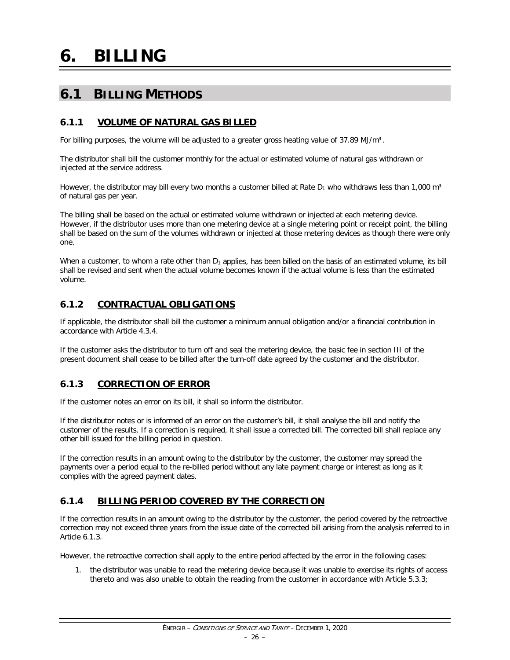# <span id="page-27-0"></span>**6. BILLING**

## <span id="page-27-1"></span>**6.1 BILLING METHODS**

#### <span id="page-27-2"></span>**6.1.1 VOLUME OF NATURAL GAS BILLED**

For billing purposes, the volume will be adjusted to a greater gross heating value of 37.89 MJ/m<sup>3</sup>.

The distributor shall bill the customer monthly for the actual or estimated volume of natural gas withdrawn or injected at the service address.

However, the distributor may bill every two months a customer billed at Rate  $D_1$  who withdraws less than 1,000 m<sup>3</sup> of natural gas per year.

The billing shall be based on the actual or estimated volume withdrawn or injected at each metering device. However, if the distributor uses more than one metering device at a single metering point or receipt point, the billing shall be based on the sum of the volumes withdrawn or injected at those metering devices as though there were only one.

When a customer, to whom a rate other than  $D_1$  applies, has been billed on the basis of an estimated volume, its bill shall be revised and sent when the actual volume becomes known if the actual volume is less than the estimated volume.

#### <span id="page-27-3"></span>**6.1.2 CONTRACTUAL OBLIGATIONS**

If applicable, the distributor shall bill the customer a minimum annual obligation and/or a financial contribution in accordance with Article 4.3.4.

If the customer asks the distributor to turn off and seal the metering device, the basic fee in section III of the present document shall cease to be billed after the turn-off date agreed by the customer and the distributor.

#### <span id="page-27-4"></span>**6.1.3 CORRECTION OF ERROR**

If the customer notes an error on its bill, it shall so inform the distributor.

If the distributor notes or is informed of an error on the customer's bill, it shall analyse the bill and notify the customer of the results. If a correction is required, it shall issue a corrected bill. The corrected bill shall replace any other bill issued for the billing period in question.

If the correction results in an amount owing to the distributor by the customer, the customer may spread the payments over a period equal to the re-billed period without any late payment charge or interest as long as it complies with the agreed payment dates.

#### <span id="page-27-5"></span>**6.1.4 BILLING PERIOD COVERED BY THE CORRECTION**

If the correction results in an amount owing to the distributor by the customer, the period covered by the retroactive correction may not exceed three years from the issue date of the corrected bill arising from the analysis referred to in Article 6.1.3.

However, the retroactive correction shall apply to the entire period affected by the error in the following cases:

1. the distributor was unable to read the metering device because it was unable to exercise its rights of access thereto and was also unable to obtain the reading from the customer in accordance with Article 5.3.3;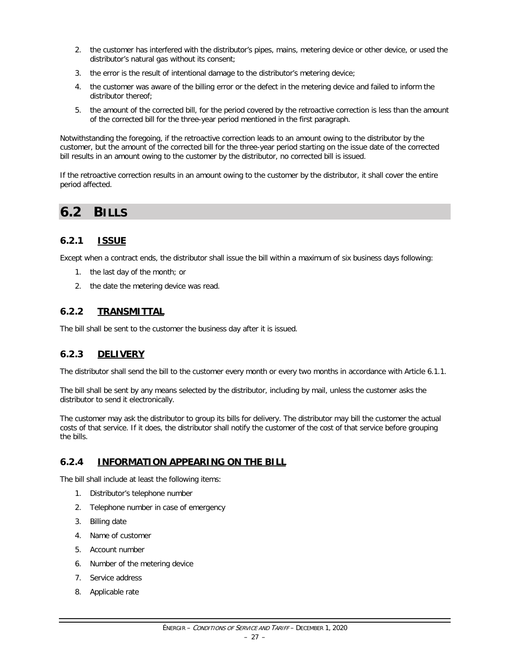- 2. the customer has interfered with the distributor's pipes, mains, metering device or other device, or used the distributor's natural gas without its consent;
- 3. the error is the result of intentional damage to the distributor's metering device;
- 4. the customer was aware of the billing error or the defect in the metering device and failed to inform the distributor thereof;
- 5. the amount of the corrected bill, for the period covered by the retroactive correction is less than the amount of the corrected bill for the three-year period mentioned in the first paragraph.

Notwithstanding the foregoing, if the retroactive correction leads to an amount owing to the distributor by the customer, but the amount of the corrected bill for the three-year period starting on the issue date of the corrected bill results in an amount owing to the customer by the distributor, no corrected bill is issued.

If the retroactive correction results in an amount owing to the customer by the distributor, it shall cover the entire period affected.

## <span id="page-28-0"></span>**6.2 BILLS**

#### <span id="page-28-1"></span>**6.2.1 ISSUE**

Except when a contract ends, the distributor shall issue the bill within a maximum of six business days following:

- 1. the last day of the month; or
- 2. the date the metering device was read.

#### <span id="page-28-2"></span>**6.2.2 TRANSMITTAL**

The bill shall be sent to the customer the business day after it is issued.

#### <span id="page-28-3"></span>**6.2.3 DELIVERY**

The distributor shall send the bill to the customer every month or every two months in accordance with Article 6.1.1.

The bill shall be sent by any means selected by the distributor, including by mail, unless the customer asks the distributor to send it electronically.

The customer may ask the distributor to group its bills for delivery. The distributor may bill the customer the actual costs of that service. If it does, the distributor shall notify the customer of the cost of that service before grouping the bills.

#### <span id="page-28-4"></span>**6.2.4 INFORMATION APPEARING ON THE BILL**

The bill shall include at least the following items:

- 1. Distributor's telephone number
- 2. Telephone number in case of emergency
- 3. Billing date
- 4. Name of customer
- 5. Account number
- 6. Number of the metering device
- 7. Service address
- 8. Applicable rate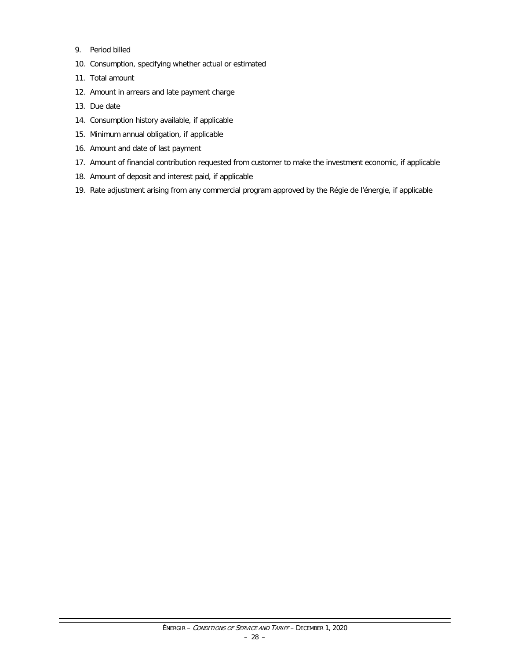- 9. Period billed
- 10. Consumption, specifying whether actual or estimated
- 11. Total amount
- 12. Amount in arrears and late payment charge
- 13. Due date
- 14. Consumption history available, if applicable
- 15. Minimum annual obligation, if applicable
- 16. Amount and date of last payment
- 17. Amount of financial contribution requested from customer to make the investment economic, if applicable
- 18. Amount of deposit and interest paid, if applicable
- 19. Rate adjustment arising from any commercial program approved by the Régie de l'énergie, if applicable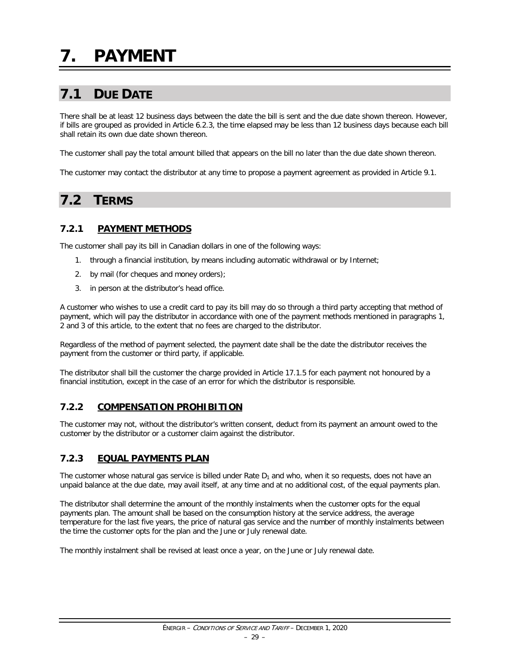## <span id="page-30-1"></span><span id="page-30-0"></span>**7.1 DUE DATE**

There shall be at least 12 business days between the date the bill is sent and the due date shown thereon. However, if bills are grouped as provided in Article 6.2.3, the time elapsed may be less than 12 business days because each bill shall retain its own due date shown thereon.

The customer shall pay the total amount billed that appears on the bill no later than the due date shown thereon.

The customer may contact the distributor at any time to propose a payment agreement as provided in Article 9.1.

## <span id="page-30-2"></span>**7.2 TERMS**

#### <span id="page-30-3"></span>**7.2.1 PAYMENT METHODS**

The customer shall pay its bill in Canadian dollars in one of the following ways:

- 1. through a financial institution, by means including automatic withdrawal or by Internet;
- 2. by mail (for cheques and money orders);
- 3. in person at the distributor's head office.

A customer who wishes to use a credit card to pay its bill may do so through a third party accepting that method of payment, which will pay the distributor in accordance with one of the payment methods mentioned in paragraphs 1, 2 and 3 of this article, to the extent that no fees are charged to the distributor.

Regardless of the method of payment selected, the payment date shall be the date the distributor receives the payment from the customer or third party, if applicable.

The distributor shall bill the customer the charge provided in Article 17.1.5 for each payment not honoured by a financial institution, except in the case of an error for which the distributor is responsible.

#### <span id="page-30-4"></span>**7.2.2 COMPENSATION PROHIBITION**

The customer may not, without the distributor's written consent, deduct from its payment an amount owed to the customer by the distributor or a customer claim against the distributor.

#### <span id="page-30-5"></span>**7.2.3 EQUAL PAYMENTS PLAN**

The customer whose natural gas service is billed under Rate  $D_1$  and who, when it so requests, does not have an unpaid balance at the due date, may avail itself, at any time and at no additional cost, of the equal payments plan.

The distributor shall determine the amount of the monthly instalments when the customer opts for the equal payments plan. The amount shall be based on the consumption history at the service address, the average temperature for the last five years, the price of natural gas service and the number of monthly instalments between the time the customer opts for the plan and the June or July renewal date.

The monthly instalment shall be revised at least once a year, on the June or July renewal date.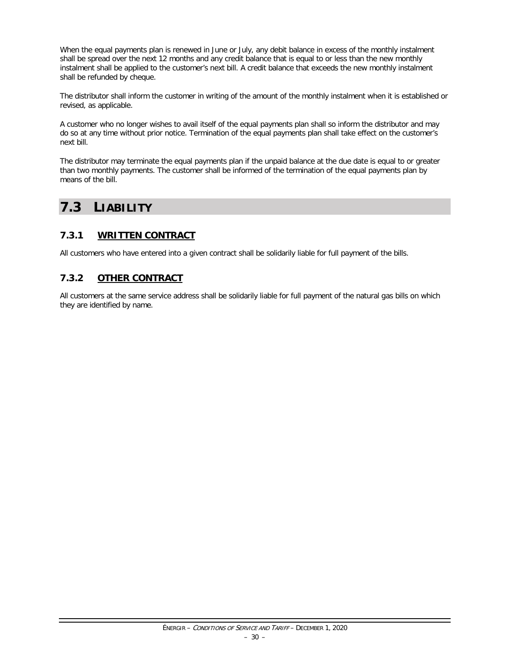When the equal payments plan is renewed in June or July, any debit balance in excess of the monthly instalment shall be spread over the next 12 months and any credit balance that is equal to or less than the new monthly instalment shall be applied to the customer's next bill. A credit balance that exceeds the new monthly instalment shall be refunded by cheque.

The distributor shall inform the customer in writing of the amount of the monthly instalment when it is established or revised, as applicable.

A customer who no longer wishes to avail itself of the equal payments plan shall so inform the distributor and may do so at any time without prior notice. Termination of the equal payments plan shall take effect on the customer's next bill.

The distributor may terminate the equal payments plan if the unpaid balance at the due date is equal to or greater than two monthly payments. The customer shall be informed of the termination of the equal payments plan by means of the bill.

## <span id="page-31-0"></span>**7.3 LIABILITY**

#### <span id="page-31-1"></span>**7.3.1 WRITTEN CONTRACT**

All customers who have entered into a given contract shall be solidarily liable for full payment of the bills.

#### <span id="page-31-2"></span>**7.3.2 OTHER CONTRACT**

All customers at the same service address shall be solidarily liable for full payment of the natural gas bills on which they are identified by name.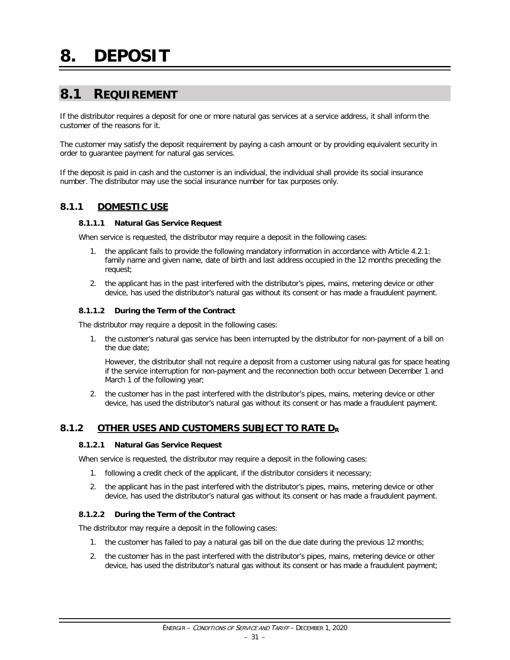### <span id="page-32-1"></span><span id="page-32-0"></span>**8.1 REQUIREMENT**

If the distributor requires a deposit for one or more natural gas services at a service address, it shall inform the customer of the reasons for it.

The customer may satisfy the deposit requirement by paying a cash amount or by providing equivalent security in order to guarantee payment for natural gas services.

If the deposit is paid in cash and the customer is an individual, the individual shall provide its social insurance number. The distributor may use the social insurance number for tax purposes only.

#### <span id="page-32-2"></span>**8.1.1 DOMESTIC USE**

#### **8.1.1.1 Natural Gas Service Request**

When service is requested, the distributor may require a deposit in the following cases:

- 1. the applicant fails to provide the following mandatory information in accordance with Article 4.2.1: family name and given name, date of birth and last address occupied in the 12 months preceding the request;
- 2. the applicant has in the past interfered with the distributor's pipes, mains, metering device or other device, has used the distributor's natural gas without its consent or has made a fraudulent payment.

#### **8.1.1.2 During the Term of the Contract**

The distributor may require a deposit in the following cases:

1. the customer's natural gas service has been interrupted by the distributor for non-payment of a bill on the due date;

However, the distributor shall not require a deposit from a customer using natural gas for space heating if the service interruption for non-payment and the reconnection both occur between December 1 and March 1 of the following year;

2. the customer has in the past interfered with the distributor's pipes, mains, metering device or other device, has used the distributor's natural gas without its consent or has made a fraudulent payment.

#### <span id="page-32-3"></span>**8.1.2 OTHER USES AND CUSTOMERS SUBJECT TO RATE DR**

#### **8.1.2.1 Natural Gas Service Request**

When service is requested, the distributor may require a deposit in the following cases:

- 1. following a credit check of the applicant, if the distributor considers it necessary;
- 2. the applicant has in the past interfered with the distributor's pipes, mains, metering device or other device, has used the distributor's natural gas without its consent or has made a fraudulent payment.

#### **8.1.2.2 During the Term of the Contract**

The distributor may require a deposit in the following cases:

- 1. the customer has failed to pay a natural gas bill on the due date during the previous 12 months;
- 2. the customer has in the past interfered with the distributor's pipes, mains, metering device or other device, has used the distributor's natural gas without its consent or has made a fraudulent payment;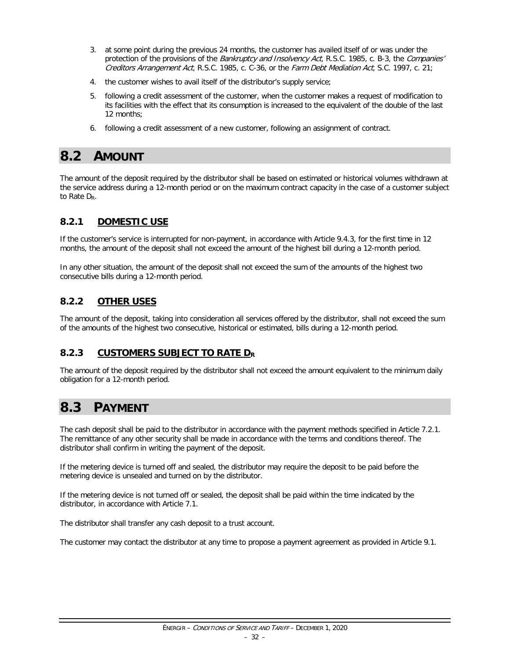- 3. at some point during the previous 24 months, the customer has availed itself of or was under the protection of the provisions of the *Bankruptcy and Insolvency Act*, R.S.C. 1985, c. B-3, the *Companies'* Creditors Arrangement Act, R.S.C. 1985, c. C-36, or the Farm Debt Mediation Act, S.C. 1997, c. 21;
- 4. the customer wishes to avail itself of the distributor's supply service;
- 5. following a credit assessment of the customer, when the customer makes a request of modification to its facilities with the effect that its consumption is increased to the equivalent of the double of the last 12 months;
- 6. following a credit assessment of a new customer, following an assignment of contract.

### <span id="page-33-0"></span>**8.2 AMOUNT**

The amount of the deposit required by the distributor shall be based on estimated or historical volumes withdrawn at the service address during a 12-month period or on the maximum contract capacity in the case of a customer subject to Rate D<sub>R</sub>.

#### <span id="page-33-1"></span>**8.2.1 DOMESTIC USE**

If the customer's service is interrupted for non-payment, in accordance with Article 9.4.3, for the first time in 12 months, the amount of the deposit shall not exceed the amount of the highest bill during a 12-month period.

In any other situation, the amount of the deposit shall not exceed the sum of the amounts of the highest two consecutive bills during a 12-month period.

#### <span id="page-33-2"></span>**8.2.2 OTHER USES**

The amount of the deposit, taking into consideration all services offered by the distributor, shall not exceed the sum of the amounts of the highest two consecutive, historical or estimated, bills during a 12-month period.

#### <span id="page-33-3"></span>**8.2.3 CUSTOMERS SUBJECT TO RATE DR**

The amount of the deposit required by the distributor shall not exceed the amount equivalent to the minimum daily obligation for a 12-month period.

### <span id="page-33-4"></span>**8.3 PAYMENT**

The cash deposit shall be paid to the distributor in accordance with the payment methods specified in Article 7.2.1. The remittance of any other security shall be made in accordance with the terms and conditions thereof. The distributor shall confirm in writing the payment of the deposit.

If the metering device is turned off and sealed, the distributor may require the deposit to be paid before the metering device is unsealed and turned on by the distributor.

If the metering device is not turned off or sealed, the deposit shall be paid within the time indicated by the distributor, in accordance with Article 7.1.

The distributor shall transfer any cash deposit to a trust account.

The customer may contact the distributor at any time to propose a payment agreement as provided in Article 9.1.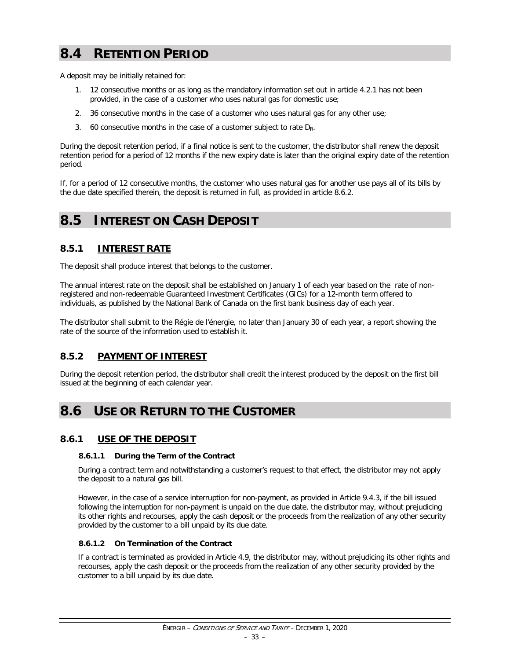## <span id="page-34-0"></span>**8.4 RETENTION PERIOD**

A deposit may be initially retained for:

- 1. 12 consecutive months or as long as the mandatory information set out in article 4.2.1 has not been provided, in the case of a customer who uses natural gas for domestic use;
- 2. 36 consecutive months in the case of a customer who uses natural gas for any other use;
- 3. 60 consecutive months in the case of a customer subject to rate  $D_R$ .

During the deposit retention period, if a final notice is sent to the customer, the distributor shall renew the deposit retention period for a period of 12 months if the new expiry date is later than the original expiry date of the retention period.

If, for a period of 12 consecutive months, the customer who uses natural gas for another use pays all of its bills by the due date specified therein, the deposit is returned in full, as provided in article 8.6.2.

## <span id="page-34-1"></span>**8.5 INTEREST ON CASH DEPOSIT**

#### <span id="page-34-2"></span>**8.5.1 INTEREST RATE**

The deposit shall produce interest that belongs to the customer.

The annual interest rate on the deposit shall be established on January 1 of each year based on the rate of nonregistered and non-redeemable Guaranteed Investment Certificates (GICs) for a 12-month term offered to individuals, as published by the National Bank of Canada on the first bank business day of each year.

The distributor shall submit to the Régie de l'énergie, no later than January 30 of each year, a report showing the rate of the source of the information used to establish it.

#### <span id="page-34-3"></span>**8.5.2 PAYMENT OF INTEREST**

During the deposit retention period, the distributor shall credit the interest produced by the deposit on the first bill issued at the beginning of each calendar year.

## <span id="page-34-4"></span>**8.6 USE OR RETURN TO THE CUSTOMER**

#### <span id="page-34-5"></span>**8.6.1 USE OF THE DEPOSIT**

#### **8.6.1.1 During the Term of the Contract**

During a contract term and notwithstanding a customer's request to that effect, the distributor may not apply the deposit to a natural gas bill.

However, in the case of a service interruption for non-payment, as provided in Article 9.4.3, if the bill issued following the interruption for non-payment is unpaid on the due date, the distributor may, without prejudicing its other rights and recourses, apply the cash deposit or the proceeds from the realization of any other security provided by the customer to a bill unpaid by its due date.

#### **8.6.1.2 On Termination of the Contract**

If a contract is terminated as provided in Article 4.9, the distributor may, without prejudicing its other rights and recourses, apply the cash deposit or the proceeds from the realization of any other security provided by the customer to a bill unpaid by its due date.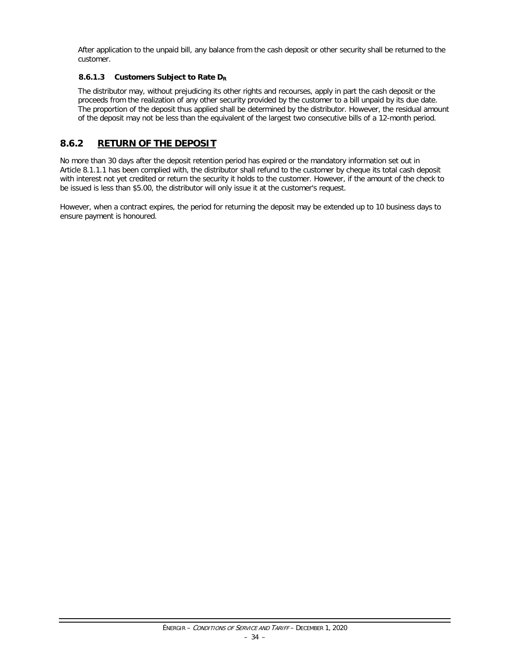After application to the unpaid bill, any balance from the cash deposit or other security shall be returned to the customer.

#### **8.6.1.3 Customers Subject to Rate DR**

The distributor may, without prejudicing its other rights and recourses, apply in part the cash deposit or the proceeds from the realization of any other security provided by the customer to a bill unpaid by its due date. The proportion of the deposit thus applied shall be determined by the distributor. However, the residual amount of the deposit may not be less than the equivalent of the largest two consecutive bills of a 12-month period.

#### <span id="page-35-0"></span>**8.6.2 RETURN OF THE DEPOSIT**

No more than 30 days after the deposit retention period has expired or the mandatory information set out in Article 8.1.1.1 has been complied with, the distributor shall refund to the customer by cheque its total cash deposit with interest not yet credited or return the security it holds to the customer. However, if the amount of the check to be issued is less than \$5.00, the distributor will only issue it at the customer's request.

However, when a contract expires, the period for returning the deposit may be extended up to 10 business days to ensure payment is honoured.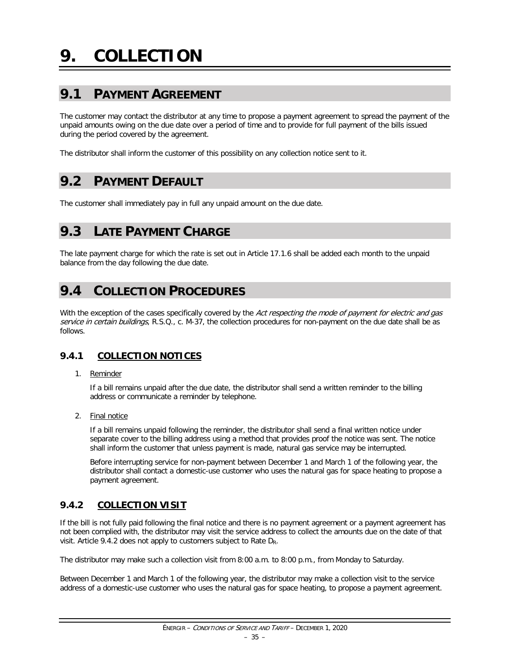# **9.1 PAYMENT AGREEMENT**

The customer may contact the distributor at any time to propose a payment agreement to spread the payment of the unpaid amounts owing on the due date over a period of time and to provide for full payment of the bills issued during the period covered by the agreement.

The distributor shall inform the customer of this possibility on any collection notice sent to it.

# **9.2 PAYMENT DEFAULT**

The customer shall immediately pay in full any unpaid amount on the due date.

# **9.3 LATE PAYMENT CHARGE**

The late payment charge for which the rate is set out in Article 17.1.6 shall be added each month to the unpaid balance from the day following the due date.

# **9.4 COLLECTION PROCEDURES**

With the exception of the cases specifically covered by the Act respecting the mode of payment for electric and gas service in certain buildings, R.S.Q., c. M-37, the collection procedures for non-payment on the due date shall be as follows.

# **9.4.1 COLLECTION NOTICES**

1. Reminder

If a bill remains unpaid after the due date, the distributor shall send a written reminder to the billing address or communicate a reminder by telephone.

2. Final notice

If a bill remains unpaid following the reminder, the distributor shall send a final written notice under separate cover to the billing address using a method that provides proof the notice was sent. The notice shall inform the customer that unless payment is made, natural gas service may be interrupted.

Before interrupting service for non-payment between December 1 and March 1 of the following year, the distributor shall contact a domestic-use customer who uses the natural gas for space heating to propose a payment agreement.

# **9.4.2 COLLECTION VISIT**

If the bill is not fully paid following the final notice and there is no payment agreement or a payment agreement has not been complied with, the distributor may visit the service address to collect the amounts due on the date of that visit. Article 9.4.2 does not apply to customers subject to Rate DR.

The distributor may make such a collection visit from 8:00 a.m. to 8:00 p.m., from Monday to Saturday.

Between December 1 and March 1 of the following year, the distributor may make a collection visit to the service address of a domestic-use customer who uses the natural gas for space heating, to propose a payment agreement.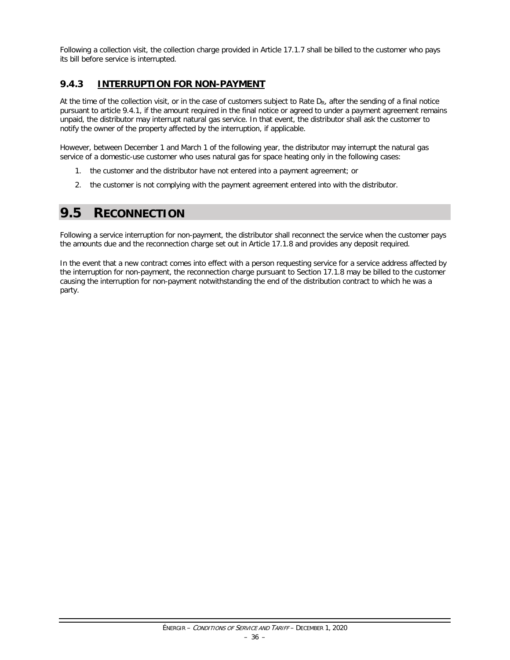Following a collection visit, the collection charge provided in Article 17.1.7 shall be billed to the customer who pays its bill before service is interrupted.

### **9.4.3 INTERRUPTION FOR NON-PAYMENT**

At the time of the collection visit, or in the case of customers subject to Rate  $D_R$ , after the sending of a final notice pursuant to article 9.4.1, if the amount required in the final notice or agreed to under a payment agreement remains unpaid, the distributor may interrupt natural gas service. In that event, the distributor shall ask the customer to notify the owner of the property affected by the interruption, if applicable.

However, between December 1 and March 1 of the following year, the distributor may interrupt the natural gas service of a domestic-use customer who uses natural gas for space heating only in the following cases:

- 1. the customer and the distributor have not entered into a payment agreement; or
- 2. the customer is not complying with the payment agreement entered into with the distributor.

# **9.5 RECONNECTION**

Following a service interruption for non-payment, the distributor shall reconnect the service when the customer pays the amounts due and the reconnection charge set out in Article 17.1.8 and provides any deposit required.

In the event that a new contract comes into effect with a person requesting service for a service address affected by the interruption for non-payment, the reconnection charge pursuant to Section 17.1.8 may be billed to the customer causing the interruption for non-payment notwithstanding the end of the distribution contract to which he was a party.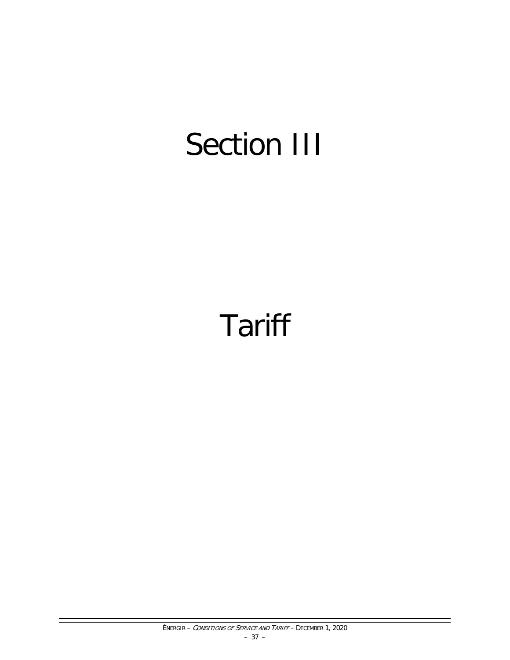# Section III

# **Tariff**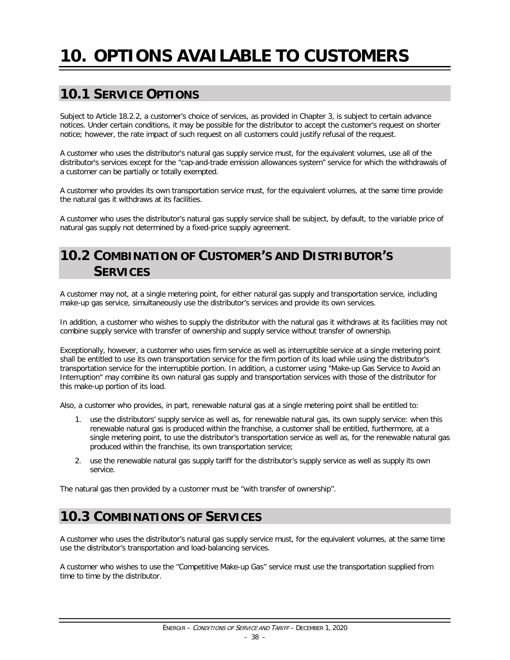# **10. OPTIONS AVAILABLE TO CUSTOMERS**

# **10.1 SERVICE OPTIONS**

Subject to Article 18.2.2, a customer's choice of services, as provided in Chapter 3, is subject to certain advance notices. Under certain conditions, it may be possible for the distributor to accept the customer's request on shorter notice; however, the rate impact of such request on all customers could justify refusal of the request.

A customer who uses the distributor's natural gas supply service must, for the equivalent volumes, use all of the distributor's services except for the "cap-and-trade emission allowances system" service for which the withdrawals of a customer can be partially or totally exempted.

A customer who provides its own transportation service must, for the equivalent volumes, at the same time provide the natural gas it withdraws at its facilities.

A customer who uses the distributor's natural gas supply service shall be subject, by default, to the variable price of natural gas supply not determined by a fixed-price supply agreement.

# **10.2 COMBINATION OF CUSTOMER'S AND DISTRIBUTOR'S SERVICES**

A customer may not, at a single metering point, for either natural gas supply and transportation service, including make-up gas service, simultaneously use the distributor's services and provide its own services.

In addition, a customer who wishes to supply the distributor with the natural gas it withdraws at its facilities may not combine supply service with transfer of ownership and supply service without transfer of ownership.

Exceptionally, however, a customer who uses firm service as well as interruptible service at a single metering point shall be entitled to use its own transportation service for the firm portion of its load while using the distributor's transportation service for the interruptible portion. In addition, a customer using "Make-up Gas Service to Avoid an Interruption" may combine its own natural gas supply and transportation services with those of the distributor for this make-up portion of its load.

Also, a customer who provides, in part, renewable natural gas at a single metering point shall be entitled to:

- 1. use the distributors' supply service as well as, for renewable natural gas, its own supply service: when this renewable natural gas is produced within the franchise, a customer shall be entitled, furthermore, at a single metering point, to use the distributor's transportation service as well as, for the renewable natural gas produced within the franchise, its own transportation service;
- 2. use the renewable natural gas supply tariff for the distributor's supply service as well as supply its own service.

The natural gas then provided by a customer must be "with transfer of ownership".

# **10.3 COMBINATIONS OF SERVICES**

A customer who uses the distributor's natural gas supply service must, for the equivalent volumes, at the same time use the distributor's transportation and load-balancing services.

A customer who wishes to use the "Competitive Make-up Gas" service must use the transportation supplied from time to time by the distributor.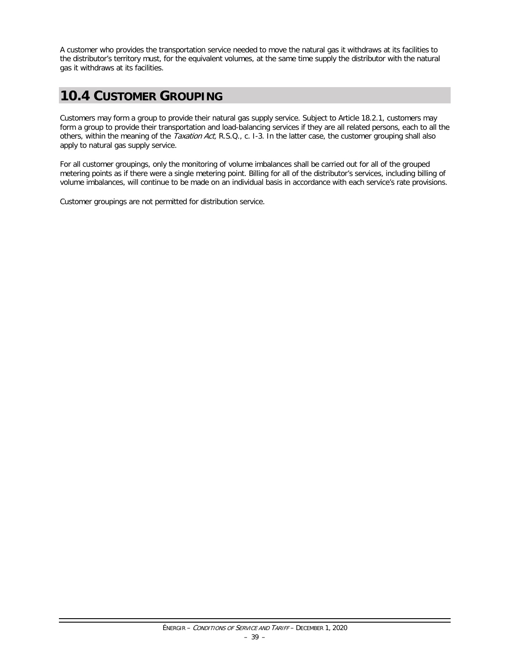A customer who provides the transportation service needed to move the natural gas it withdraws at its facilities to the distributor's territory must, for the equivalent volumes, at the same time supply the distributor with the natural gas it withdraws at its facilities.

# **10.4 CUSTOMER GROUPING**

Customers may form a group to provide their natural gas supply service. Subject to Article 18.2.1, customers may form a group to provide their transportation and load-balancing services if they are all related persons, each to all the others, within the meaning of the Taxation Act, R.S.Q., c. I-3. In the latter case, the customer grouping shall also apply to natural gas supply service.

For all customer groupings, only the monitoring of volume imbalances shall be carried out for all of the grouped metering points as if there were a single metering point. Billing for all of the distributor's services, including billing of volume imbalances, will continue to be made on an individual basis in accordance with each service's rate provisions.

Customer groupings are not permitted for distribution service.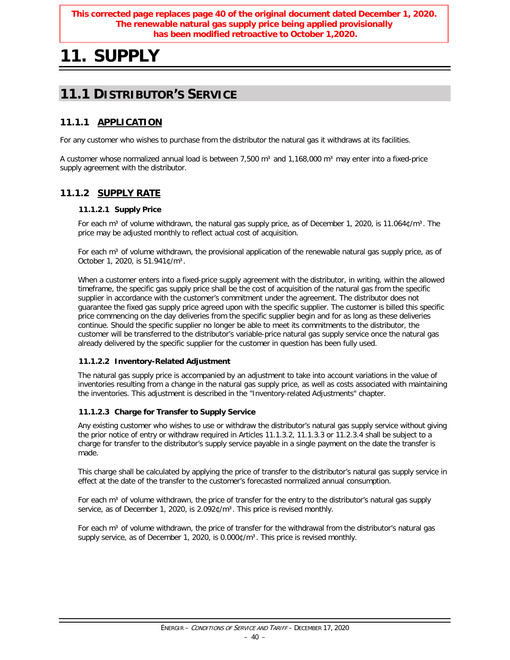#### **This corrected page replaces page 40 of the original document dated December 1, 2020. The renewable natural gas supply price being applied provisionally has been modified retroactive to October 1,2020.**

# **11. SUPPLY**

# **11.1 DISTRIBUTOR'S SERVICE**

# **11.1.1 APPLICATION**

For any customer who wishes to purchase from the distributor the natural gas it withdraws at its facilities.

A customer whose normalized annual load is between 7,500 m<sup>3</sup> and 1,168,000 m<sup>3</sup> may enter into a fixed-price supply agreement with the distributor.

# **11.1.2 SUPPLY RATE**

#### **11.1.2.1 Supply Price**

For each m<sup>3</sup> of volume withdrawn, the natural gas supply price, as of December 1, 2020, is 11.064¢/m<sup>3</sup>. The price may be adjusted monthly to reflect actual cost of acquisition.

For each m<sup>3</sup> of volume withdrawn, the provisional application of the renewable natural gas supply price, as of October 1, 2020, is 51.941¢/m³.

When a customer enters into a fixed-price supply agreement with the distributor, in writing, within the allowed timeframe, the specific gas supply price shall be the cost of acquisition of the natural gas from the specific supplier in accordance with the customer's commitment under the agreement. The distributor does not guarantee the fixed gas supply price agreed upon with the specific supplier. The customer is billed this specific price commencing on the day deliveries from the specific supplier begin and for as long as these deliveries continue. Should the specific supplier no longer be able to meet its commitments to the distributor, the customer will be transferred to the distributor's variable-price natural gas supply service once the natural gas already delivered by the specific supplier for the customer in question has been fully used.

#### **11.1.2.2 Inventory-Related Adjustment**

The natural gas supply price is accompanied by an adjustment to take into account variations in the value of inventories resulting from a change in the natural gas supply price, as well as costs associated with maintaining the inventories. This adjustment is described in the "Inventory-related Adjustments" chapter.

#### **11.1.2.3 Charge for Transfer to Supply Service**

Any existing customer who wishes to use or withdraw the distributor's natural gas supply service without giving the prior notice of entry or withdraw required in Articles 11.1.3.2, 11.1.3.3 or 11.2.3.4 shall be subject to a charge for transfer to the distributor's supply service payable in a single payment on the date the transfer is made.

This charge shall be calculated by applying the price of transfer to the distributor's natural gas supply service in effect at the date of the transfer to the customer's forecasted normalized annual consumption.

For each m<sup>3</sup> of volume withdrawn, the price of transfer for the entry to the distributor's natural gas supply service, as of December 1, 2020, is 2.092¢/m<sup>3</sup>. This price is revised monthly.

For each  $m<sup>3</sup>$  of volume withdrawn, the price of transfer for the withdrawal from the distributor's natural gas supply service, as of December 1, 2020, is  $0.000\sqrt[6]{m^3}$ . This price is revised monthly.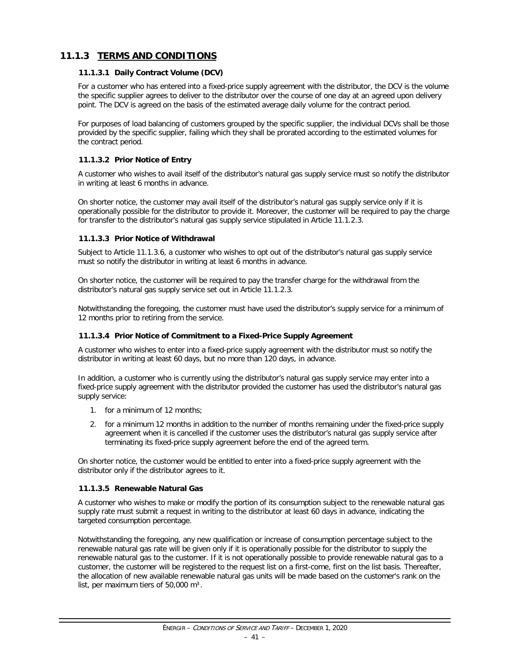# **11.1.3 TERMS AND CONDITIONS**

#### **11.1.3.1 Daily Contract Volume (DCV)**

For a customer who has entered into a fixed-price supply agreement with the distributor, the DCV is the volume the specific supplier agrees to deliver to the distributor over the course of one day at an agreed upon delivery point. The DCV is agreed on the basis of the estimated average daily volume for the contract period.

For purposes of load balancing of customers grouped by the specific supplier, the individual DCVs shall be those provided by the specific supplier, failing which they shall be prorated according to the estimated volumes for the contract period.

#### **11.1.3.2 Prior Notice of Entry**

A customer who wishes to avail itself of the distributor's natural gas supply service must so notify the distributor in writing at least 6 months in advance.

On shorter notice, the customer may avail itself of the distributor's natural gas supply service only if it is operationally possible for the distributor to provide it. Moreover, the customer will be required to pay the charge for transfer to the distributor's natural gas supply service stipulated in Article 11.1.2.3.

#### **11.1.3.3 Prior Notice of Withdrawal**

Subject to Article 11.1.3.6, a customer who wishes to opt out of the distributor's natural gas supply service must so notify the distributor in writing at least 6 months in advance.

On shorter notice, the customer will be required to pay the transfer charge for the withdrawal from the distributor's natural gas supply service set out in Article 11.1.2.3.

Notwithstanding the foregoing, the customer must have used the distributor's supply service for a minimum of 12 months prior to retiring from the service.

#### **11.1.3.4 Prior Notice of Commitment to a Fixed-Price Supply Agreement**

A customer who wishes to enter into a fixed-price supply agreement with the distributor must so notify the distributor in writing at least 60 days, but no more than 120 days, in advance.

In addition, a customer who is currently using the distributor's natural gas supply service may enter into a fixed-price supply agreement with the distributor provided the customer has used the distributor's natural gas supply service:

- 1. for a minimum of 12 months;
- 2. for a minimum 12 months in addition to the number of months remaining under the fixed-price supply agreement when it is cancelled if the customer uses the distributor's natural gas supply service after terminating its fixed-price supply agreement before the end of the agreed term.

On shorter notice, the customer would be entitled to enter into a fixed-price supply agreement with the distributor only if the distributor agrees to it.

#### **11.1.3.5 Renewable Natural Gas**

A customer who wishes to make or modify the portion of its consumption subject to the renewable natural gas supply rate must submit a request in writing to the distributor at least 60 days in advance, indicating the targeted consumption percentage.

Notwithstanding the foregoing, any new qualification or increase of consumption percentage subject to the renewable natural gas rate will be given only if it is operationally possible for the distributor to supply the renewable natural gas to the customer. If it is not operationally possible to provide renewable natural gas to a customer, the customer will be registered to the request list on a first-come, first on the list basis. Thereafter, the allocation of new available renewable natural gas units will be made based on the customer's rank on the list, per maximum tiers of  $50,000$  m<sup>3</sup>.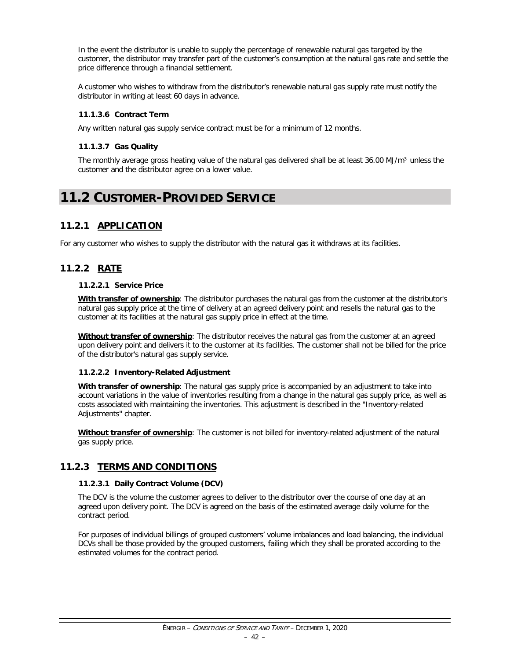In the event the distributor is unable to supply the percentage of renewable natural gas targeted by the customer, the distributor may transfer part of the customer's consumption at the natural gas rate and settle the price difference through a financial settlement.

A customer who wishes to withdraw from the distributor's renewable natural gas supply rate must notify the distributor in writing at least 60 days in advance.

#### **11.1.3.6 Contract Term**

Any written natural gas supply service contract must be for a minimum of 12 months.

#### **11.1.3.7 Gas Quality**

The monthly average gross heating value of the natural gas delivered shall be at least 36.00 MJ/m<sup>3</sup> unless the customer and the distributor agree on a lower value.

# **11.2 CUSTOMER-PROVIDED SERVICE**

### **11.2.1 APPLICATION**

For any customer who wishes to supply the distributor with the natural gas it withdraws at its facilities.

# **11.2.2 RATE**

#### **11.2.2.1 Service Price**

**With transfer of ownership**: The distributor purchases the natural gas from the customer at the distributor's natural gas supply price at the time of delivery at an agreed delivery point and resells the natural gas to the customer at its facilities at the natural gas supply price in effect at the time.

**Without transfer of ownership**: The distributor receives the natural gas from the customer at an agreed upon delivery point and delivers it to the customer at its facilities. The customer shall not be billed for the price of the distributor's natural gas supply service.

#### **11.2.2.2 Inventory-Related Adjustment**

**With transfer of ownership**: The natural gas supply price is accompanied by an adjustment to take into account variations in the value of inventories resulting from a change in the natural gas supply price, as well as costs associated with maintaining the inventories. This adjustment is described in the "Inventory-related Adjustments" chapter.

**Without transfer of ownership**: The customer is not billed for inventory-related adjustment of the natural gas supply price.

#### **11.2.3 TERMS AND CONDITIONS**

#### **11.2.3.1 Daily Contract Volume (DCV)**

The DCV is the volume the customer agrees to deliver to the distributor over the course of one day at an agreed upon delivery point. The DCV is agreed on the basis of the estimated average daily volume for the contract period.

For purposes of individual billings of grouped customers' volume imbalances and load balancing, the individual DCVs shall be those provided by the grouped customers, failing which they shall be prorated according to the estimated volumes for the contract period.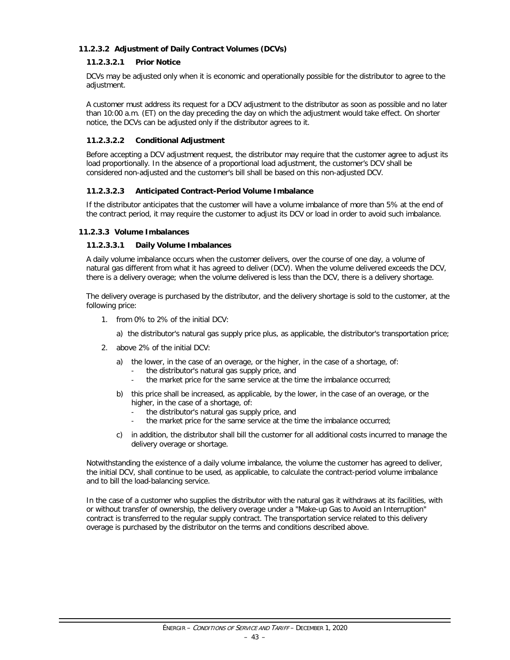#### **11.2.3.2 Adjustment of Daily Contract Volumes (DCVs)**

#### **11.2.3.2.1 Prior Notice**

DCVs may be adjusted only when it is economic and operationally possible for the distributor to agree to the adjustment.

A customer must address its request for a DCV adjustment to the distributor as soon as possible and no later than 10:00 a.m. (ET) on the day preceding the day on which the adjustment would take effect. On shorter notice, the DCVs can be adjusted only if the distributor agrees to it.

#### **11.2.3.2.2 Conditional Adjustment**

Before accepting a DCV adjustment request, the distributor may require that the customer agree to adjust its load proportionally. In the absence of a proportional load adjustment, the customer's DCV shall be considered non-adjusted and the customer's bill shall be based on this non-adjusted DCV.

#### **11.2.3.2.3 Anticipated Contract-Period Volume Imbalance**

If the distributor anticipates that the customer will have a volume imbalance of more than 5% at the end of the contract period, it may require the customer to adjust its DCV or load in order to avoid such imbalance.

#### **11.2.3.3 Volume Imbalances**

#### **11.2.3.3.1 Daily Volume Imbalances**

A daily volume imbalance occurs when the customer delivers, over the course of one day, a volume of natural gas different from what it has agreed to deliver (DCV). When the volume delivered exceeds the DCV, there is a delivery overage; when the volume delivered is less than the DCV, there is a delivery shortage.

The delivery overage is purchased by the distributor, and the delivery shortage is sold to the customer, at the following price:

- 1. from 0% to 2% of the initial DCV:
	- a) the distributor's natural gas supply price plus, as applicable, the distributor's transportation price;
- 2. above 2% of the initial DCV:
	- a) the lower, in the case of an overage, or the higher, in the case of a shortage, of:
		- the distributor's natural gas supply price, and
		- the market price for the same service at the time the imbalance occurred;
	- b) this price shall be increased, as applicable, by the lower, in the case of an overage, or the higher, in the case of a shortage, of:
		- the distributor's natural gas supply price, and
		- the market price for the same service at the time the imbalance occurred;
	- c) in addition, the distributor shall bill the customer for all additional costs incurred to manage the delivery overage or shortage.

Notwithstanding the existence of a daily volume imbalance, the volume the customer has agreed to deliver, the initial DCV, shall continue to be used, as applicable, to calculate the contract-period volume imbalance and to bill the load-balancing service.

In the case of a customer who supplies the distributor with the natural gas it withdraws at its facilities, with or without transfer of ownership, the delivery overage under a "Make-up Gas to Avoid an Interruption" contract is transferred to the regular supply contract. The transportation service related to this delivery overage is purchased by the distributor on the terms and conditions described above.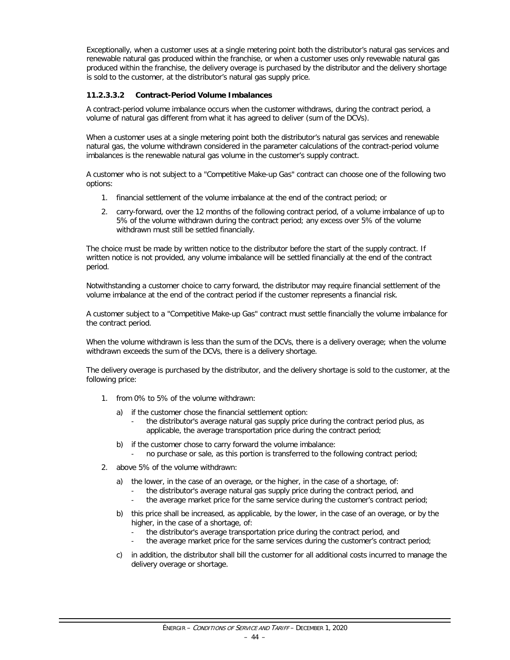Exceptionally, when a customer uses at a single metering point both the distributor's natural gas services and renewable natural gas produced within the franchise, or when a customer uses only revewable natural gas produced within the franchise, the delivery overage is purchased by the distributor and the delivery shortage is sold to the customer, at the distributor's natural gas supply price.

#### **11.2.3.3.2 Contract-Period Volume Imbalances**

A contract-period volume imbalance occurs when the customer withdraws, during the contract period, a volume of natural gas different from what it has agreed to deliver (sum of the DCVs).

When a customer uses at a single metering point both the distributor's natural gas services and renewable natural gas, the volume withdrawn considered in the parameter calculations of the contract-period volume imbalances is the renewable natural gas volume in the customer's supply contract.

A customer who is not subject to a "Competitive Make-up Gas" contract can choose one of the following two options:

- 1. financial settlement of the volume imbalance at the end of the contract period; or
- 2. carry-forward, over the 12 months of the following contract period, of a volume imbalance of up to 5% of the volume withdrawn during the contract period; any excess over 5% of the volume withdrawn must still be settled financially.

The choice must be made by written notice to the distributor before the start of the supply contract. If written notice is not provided, any volume imbalance will be settled financially at the end of the contract period.

Notwithstanding a customer choice to carry forward, the distributor may require financial settlement of the volume imbalance at the end of the contract period if the customer represents a financial risk.

A customer subject to a "Competitive Make-up Gas" contract must settle financially the volume imbalance for the contract period.

When the volume withdrawn is less than the sum of the DCVs, there is a delivery overage; when the volume withdrawn exceeds the sum of the DCVs, there is a delivery shortage.

The delivery overage is purchased by the distributor, and the delivery shortage is sold to the customer, at the following price:

- 1. from 0% to 5% of the volume withdrawn:
	- a) if the customer chose the financial settlement option:
		- the distributor's average natural gas supply price during the contract period plus, as applicable, the average transportation price during the contract period;
	- b) if the customer chose to carry forward the volume imbalance:
		- no purchase or sale, as this portion is transferred to the following contract period;
- 2. above 5% of the volume withdrawn:
	- a) the lower, in the case of an overage, or the higher, in the case of a shortage, of:
		- the distributor's average natural gas supply price during the contract period, and
		- the average market price for the same service during the customer's contract period;
	- b) this price shall be increased, as applicable, by the lower, in the case of an overage, or by the higher, in the case of a shortage, of:
		- the distributor's average transportation price during the contract period, and
		- the average market price for the same services during the customer's contract period;
	- c) in addition, the distributor shall bill the customer for all additional costs incurred to manage the delivery overage or shortage.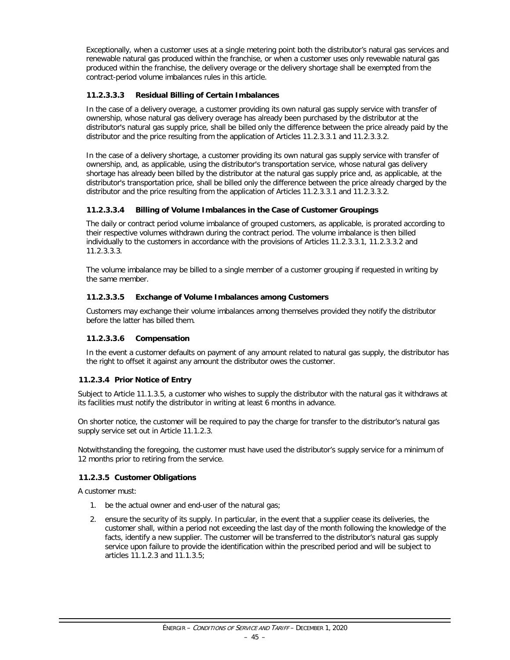Exceptionally, when a customer uses at a single metering point both the distributor's natural gas services and renewable natural gas produced within the franchise, or when a customer uses only revewable natural gas produced within the franchise, the delivery overage or the delivery shortage shall be exempted from the contract-period volume imbalances rules in this article.

#### **11.2.3.3.3 Residual Billing of Certain Imbalances**

In the case of a delivery overage, a customer providing its own natural gas supply service with transfer of ownership, whose natural gas delivery overage has already been purchased by the distributor at the distributor's natural gas supply price, shall be billed only the difference between the price already paid by the distributor and the price resulting from the application of Articles 11.2.3.3.1 and 11.2.3.3.2.

In the case of a delivery shortage, a customer providing its own natural gas supply service with transfer of ownership, and, as applicable, using the distributor's transportation service, whose natural gas delivery shortage has already been billed by the distributor at the natural gas supply price and, as applicable, at the distributor's transportation price, shall be billed only the difference between the price already charged by the distributor and the price resulting from the application of Articles 11.2.3.3.1 and 11.2.3.3.2.

#### **11.2.3.3.4 Billing of Volume Imbalances in the Case of Customer Groupings**

The daily or contract period volume imbalance of grouped customers, as applicable, is prorated according to their respective volumes withdrawn during the contract period. The volume imbalance is then billed individually to the customers in accordance with the provisions of Articles 11.2.3.3.1, 11.2.3.3.2 and 11.2.3.3.3.

The volume imbalance may be billed to a single member of a customer grouping if requested in writing by the same member.

#### **11.2.3.3.5 Exchange of Volume Imbalances among Customers**

Customers may exchange their volume imbalances among themselves provided they notify the distributor before the latter has billed them.

#### **11.2.3.3.6 Compensation**

In the event a customer defaults on payment of any amount related to natural gas supply, the distributor has the right to offset it against any amount the distributor owes the customer.

#### **11.2.3.4 Prior Notice of Entry**

Subject to Article 11.1.3.5, a customer who wishes to supply the distributor with the natural gas it withdraws at its facilities must notify the distributor in writing at least 6 months in advance.

On shorter notice, the customer will be required to pay the charge for transfer to the distributor's natural gas supply service set out in Article 11.1.2.3.

Notwithstanding the foregoing, the customer must have used the distributor's supply service for a minimum of 12 months prior to retiring from the service.

#### **11.2.3.5 Customer Obligations**

A customer must:

- 1. be the actual owner and end-user of the natural gas;
- 2. ensure the security of its supply. In particular, in the event that a supplier cease its deliveries, the customer shall, within a period not exceeding the last day of the month following the knowledge of the facts, identify a new supplier. The customer will be transferred to the distributor's natural gas supply service upon failure to provide the identification within the prescribed period and will be subject to articles 11.1.2.3 and 11.1.3.5;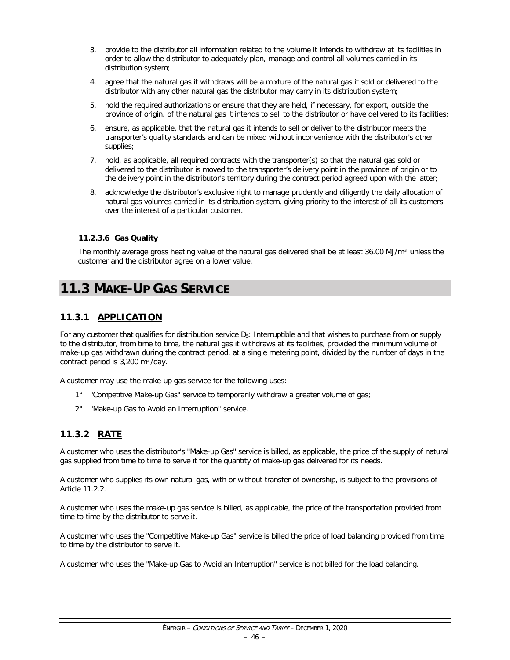- 3. provide to the distributor all information related to the volume it intends to withdraw at its facilities in order to allow the distributor to adequately plan, manage and control all volumes carried in its distribution system;
- 4. agree that the natural gas it withdraws will be a mixture of the natural gas it sold or delivered to the distributor with any other natural gas the distributor may carry in its distribution system;
- 5. hold the required authorizations or ensure that they are held, if necessary, for export, outside the province of origin, of the natural gas it intends to sell to the distributor or have delivered to its facilities;
- 6. ensure, as applicable, that the natural gas it intends to sell or deliver to the distributor meets the transporter's quality standards and can be mixed without inconvenience with the distributor's other supplies;
- 7. hold, as applicable, all required contracts with the transporter(s) so that the natural gas sold or delivered to the distributor is moved to the transporter's delivery point in the province of origin or to the delivery point in the distributor's territory during the contract period agreed upon with the latter;
- 8. acknowledge the distributor's exclusive right to manage prudently and diligently the daily allocation of natural gas volumes carried in its distribution system, giving priority to the interest of all its customers over the interest of a particular customer.

#### **11.2.3.6 Gas Quality**

The monthly average gross heating value of the natural gas delivered shall be at least 36.00 MJ/m<sup>3</sup> unless the customer and the distributor agree on a lower value.

# **11.3 MAKE-UP GAS SERVICE**

### **11.3.1 APPLICATION**

For any customer that qualifies for distribution service  $D_5$ : Interruptible and that wishes to purchase from or supply to the distributor, from time to time, the natural gas it withdraws at its facilities, provided the minimum volume of make-up gas withdrawn during the contract period, at a single metering point, divided by the number of days in the contract period is  $3,200 \text{ m}^3/\text{day}$ .

A customer may use the make-up gas service for the following uses:

- 1° "Competitive Make-up Gas" service to temporarily withdraw a greater volume of gas;
- 2° "Make-up Gas to Avoid an Interruption" service.

#### **11.3.2 RATE**

A customer who uses the distributor's "Make-up Gas" service is billed, as applicable, the price of the supply of natural gas supplied from time to time to serve it for the quantity of make-up gas delivered for its needs.

A customer who supplies its own natural gas, with or without transfer of ownership, is subject to the provisions of Article 11.2.2.

A customer who uses the make-up gas service is billed, as applicable, the price of the transportation provided from time to time by the distributor to serve it.

A customer who uses the "Competitive Make-up Gas" service is billed the price of load balancing provided from time to time by the distributor to serve it.

A customer who uses the "Make-up Gas to Avoid an Interruption" service is not billed for the load balancing.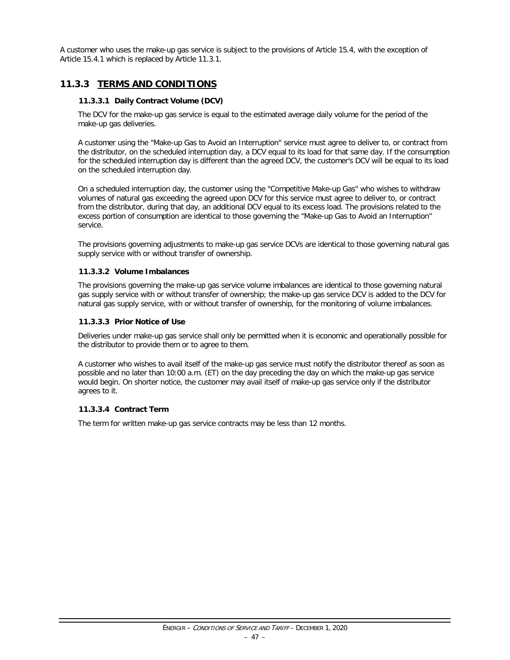A customer who uses the make-up gas service is subject to the provisions of Article 15.4, with the exception of Article 15.4.1 which is replaced by Article 11.3.1.

### **11.3.3 TERMS AND CONDITIONS**

#### **11.3.3.1 Daily Contract Volume (DCV)**

The DCV for the make-up gas service is equal to the estimated average daily volume for the period of the make-up gas deliveries.

A customer using the "Make-up Gas to Avoid an Interruption" service must agree to deliver to, or contract from the distributor, on the scheduled interruption day, a DCV equal to its load for that same day. If the consumption for the scheduled interruption day is different than the agreed DCV, the customer's DCV will be equal to its load on the scheduled interruption day.

On a scheduled interruption day, the customer using the "Competitive Make-up Gas" who wishes to withdraw volumes of natural gas exceeding the agreed upon DCV for this service must agree to deliver to, or contract from the distributor, during that day, an additional DCV equal to its excess load. The provisions related to the excess portion of consumption are identical to those governing the "Make-up Gas to Avoid an Interruption" service.

The provisions governing adjustments to make-up gas service DCVs are identical to those governing natural gas supply service with or without transfer of ownership.

#### **11.3.3.2 Volume Imbalances**

The provisions governing the make-up gas service volume imbalances are identical to those governing natural gas supply service with or without transfer of ownership; the make-up gas service DCV is added to the DCV for natural gas supply service, with or without transfer of ownership, for the monitoring of volume imbalances.

#### **11.3.3.3 Prior Notice of Use**

Deliveries under make-up gas service shall only be permitted when it is economic and operationally possible for the distributor to provide them or to agree to them.

A customer who wishes to avail itself of the make-up gas service must notify the distributor thereof as soon as possible and no later than 10:00 a.m. (ET) on the day preceding the day on which the make-up gas service would begin. On shorter notice, the customer may avail itself of make-up gas service only if the distributor agrees to it.

#### **11.3.3.4 Contract Term**

The term for written make-up gas service contracts may be less than 12 months.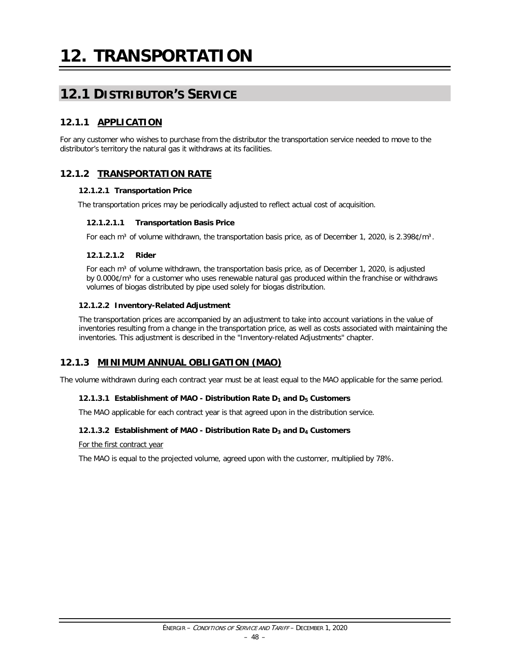# **12.1 DISTRIBUTOR'S SERVICE**

# **12.1.1 APPLICATION**

For any customer who wishes to purchase from the distributor the transportation service needed to move to the distributor's territory the natural gas it withdraws at its facilities.

# **12.1.2 TRANSPORTATION RATE**

#### **12.1.2.1 Transportation Price**

The transportation prices may be periodically adjusted to reflect actual cost of acquisition.

#### **12.1.2.1.1 Transportation Basis Price**

For each m<sup>3</sup> of volume withdrawn, the transportation basis price, as of December 1, 2020, is 2.398¢/m<sup>3</sup>.

#### **12.1.2.1.2 Rider**

For each  $m<sup>3</sup>$  of volume withdrawn, the transportation basis price, as of December 1, 2020, is adjusted by 0.000¢/m<sup>3</sup> for a customer who uses renewable natural gas produced within the franchise or withdraws volumes of biogas distributed by pipe used solely for biogas distribution.

#### **12.1.2.2 Inventory-Related Adjustment**

The transportation prices are accompanied by an adjustment to take into account variations in the value of inventories resulting from a change in the transportation price, as well as costs associated with maintaining the inventories. This adjustment is described in the "Inventory-related Adjustments" chapter.

### **12.1.3 MINIMUM ANNUAL OBLIGATION (MAO)**

The volume withdrawn during each contract year must be at least equal to the MAO applicable for the same period.

#### **12.1.3.1 Establishment of MAO - Distribution Rate D1 and D5 Customers**

The MAO applicable for each contract year is that agreed upon in the distribution service.

#### **12.1.3.2 Establishment of MAO - Distribution Rate D3 and D4 Customers**

For the first contract year

The MAO is equal to the projected volume, agreed upon with the customer, multiplied by 78%.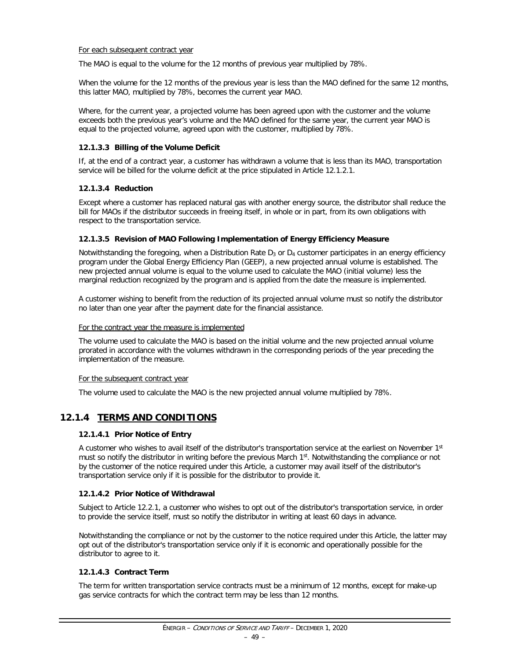#### For each subsequent contract year

The MAO is equal to the volume for the 12 months of previous year multiplied by 78%.

When the volume for the 12 months of the previous year is less than the MAO defined for the same 12 months, this latter MAO, multiplied by 78%, becomes the current year MAO.

Where, for the current year, a projected volume has been agreed upon with the customer and the volume exceeds both the previous year's volume and the MAO defined for the same year, the current year MAO is equal to the projected volume, agreed upon with the customer, multiplied by 78%.

#### **12.1.3.3 Billing of the Volume Deficit**

If, at the end of a contract year, a customer has withdrawn a volume that is less than its MAO, transportation service will be billed for the volume deficit at the price stipulated in Article 12.1.2.1.

#### **12.1.3.4 Reduction**

Except where a customer has replaced natural gas with another energy source, the distributor shall reduce the bill for MAOs if the distributor succeeds in freeing itself, in whole or in part, from its own obligations with respect to the transportation service.

#### **12.1.3.5 Revision of MAO Following Implementation of Energy Efficiency Measure**

Notwithstanding the foregoing, when a Distribution Rate  $D_3$  or  $D_4$  customer participates in an energy efficiency program under the Global Energy Efficiency Plan (GEEP), a new projected annual volume is established. The new projected annual volume is equal to the volume used to calculate the MAO (initial volume) less the marginal reduction recognized by the program and is applied from the date the measure is implemented.

A customer wishing to benefit from the reduction of its projected annual volume must so notify the distributor no later than one year after the payment date for the financial assistance.

#### For the contract year the measure is implemented

The volume used to calculate the MAO is based on the initial volume and the new projected annual volume prorated in accordance with the volumes withdrawn in the corresponding periods of the year preceding the implementation of the measure.

#### For the subsequent contract year

The volume used to calculate the MAO is the new projected annual volume multiplied by 78%.

### **12.1.4 TERMS AND CONDITIONS**

#### **12.1.4.1 Prior Notice of Entry**

A customer who wishes to avail itself of the distributor's transportation service at the earliest on November 1<sup>st</sup> must so notify the distributor in writing before the previous March 1st. Notwithstanding the compliance or not by the customer of the notice required under this Article, a customer may avail itself of the distributor's transportation service only if it is possible for the distributor to provide it.

#### **12.1.4.2 Prior Notice of Withdrawal**

Subject to Article 12.2.1, a customer who wishes to opt out of the distributor's transportation service, in order to provide the service itself, must so notify the distributor in writing at least 60 days in advance.

Notwithstanding the compliance or not by the customer to the notice required under this Article, the latter may opt out of the distributor's transportation service only if it is economic and operationally possible for the distributor to agree to it.

#### **12.1.4.3 Contract Term**

The term for written transportation service contracts must be a minimum of 12 months, except for make-up gas service contracts for which the contract term may be less than 12 months.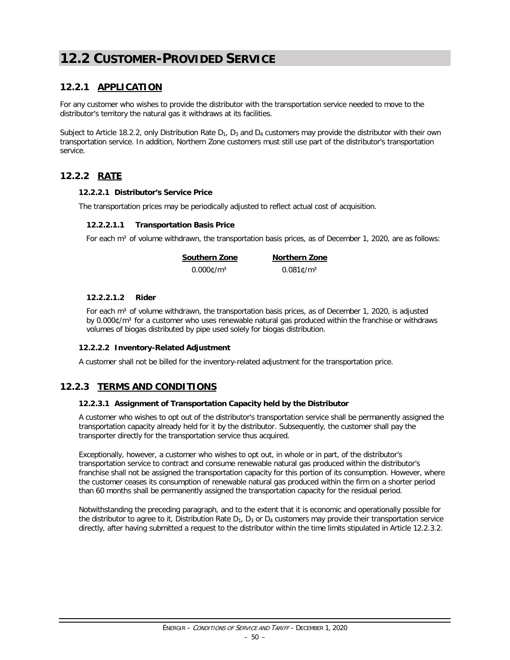# **12.2 CUSTOMER-PROVIDED SERVICE**

# **12.2.1 APPLICATION**

For any customer who wishes to provide the distributor with the transportation service needed to move to the distributor's territory the natural gas it withdraws at its facilities.

Subject to Article 18.2.2, only Distribution Rate  $D_1$ ,  $D_3$  and  $D_4$  customers may provide the distributor with their own transportation service. In addition, Northern Zone customers must still use part of the distributor's transportation service.

### **12.2.2 RATE**

#### **12.2.2.1 Distributor's Service Price**

The transportation prices may be periodically adjusted to reflect actual cost of acquisition.

#### **12.2.2.1.1 Transportation Basis Price**

For each m<sup>3</sup> of volume withdrawn, the transportation basis prices, as of December 1, 2020, are as follows:

**Southern Zone Northern Zone**  $0.000$ ¢/m<sup>3</sup> 0.081¢/m<sup>3</sup>

#### **12.2.2.1.2 Rider**

For each m<sup>3</sup> of volume withdrawn, the transportation basis prices, as of December 1, 2020, is adjusted by 0.000¢/m<sup>3</sup> for a customer who uses renewable natural gas produced within the franchise or withdraws volumes of biogas distributed by pipe used solely for biogas distribution.

#### **12.2.2.2 Inventory-Related Adjustment**

A customer shall not be billed for the inventory-related adjustment for the transportation price.

### **12.2.3 TERMS AND CONDITIONS**

#### **12.2.3.1 Assignment of Transportation Capacity held by the Distributor**

A customer who wishes to opt out of the distributor's transportation service shall be permanently assigned the transportation capacity already held for it by the distributor. Subsequently, the customer shall pay the transporter directly for the transportation service thus acquired.

Exceptionally, however, a customer who wishes to opt out, in whole or in part, of the distributor's transportation service to contract and consume renewable natural gas produced within the distributor's franchise shall not be assigned the transportation capacity for this portion of its consumption. However, where the customer ceases its consumption of renewable natural gas produced within the firm on a shorter period than 60 months shall be permanently assigned the transportation capacity for the residual period.

Notwithstanding the preceding paragraph, and to the extent that it is economic and operationally possible for the distributor to agree to it, Distribution Rate  $D_1$ ,  $D_3$  or  $D_4$  customers may provide their transportation service directly, after having submitted a request to the distributor within the time limits stipulated in Article 12.2.3.2.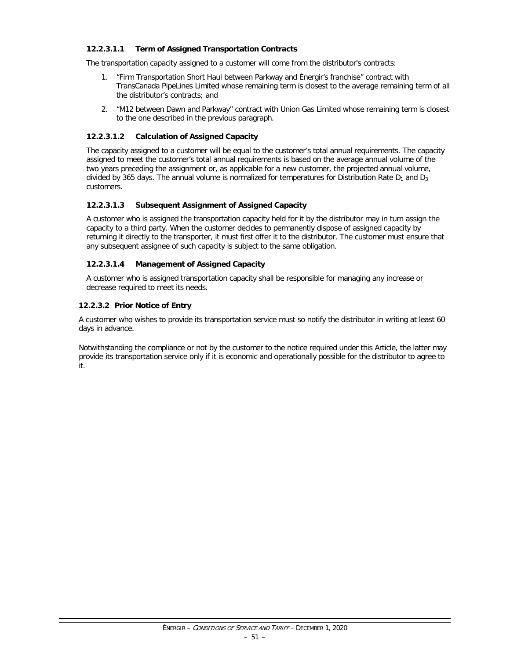#### **12.2.3.1.1 Term of Assigned Transportation Contracts**

The transportation capacity assigned to a customer will come from the distributor's contracts:

- 1. "Firm Transportation Short Haul between Parkway and Énergir's franchise" contract with TransCanada PipeLines Limited whose remaining term is closest to the average remaining term of all the distributor's contracts; and
- 2. "M12 between Dawn and Parkway" contract with Union Gas Limited whose remaining term is closest to the one described in the previous paragraph.

#### **12.2.3.1.2 Calculation of Assigned Capacity**

The capacity assigned to a customer will be equal to the customer's total annual requirements. The capacity assigned to meet the customer's total annual requirements is based on the average annual volume of the two years preceding the assignment or, as applicable for a new customer, the projected annual volume, divided by 365 days. The annual volume is normalized for temperatures for Distribution Rate  $D_1$  and  $D_3$ customers.

#### **12.2.3.1.3 Subsequent Assignment of Assigned Capacity**

A customer who is assigned the transportation capacity held for it by the distributor may in turn assign the capacity to a third party. When the customer decides to permanently dispose of assigned capacity by returning it directly to the transporter, it must first offer it to the distributor. The customer must ensure that any subsequent assignee of such capacity is subject to the same obligation.

#### **12.2.3.1.4 Management of Assigned Capacity**

A customer who is assigned transportation capacity shall be responsible for managing any increase or decrease required to meet its needs.

#### **12.2.3.2 Prior Notice of Entry**

A customer who wishes to provide its transportation service must so notify the distributor in writing at least 60 days in advance.

Notwithstanding the compliance or not by the customer to the notice required under this Article, the latter may provide its transportation service only if it is economic and operationally possible for the distributor to agree to it.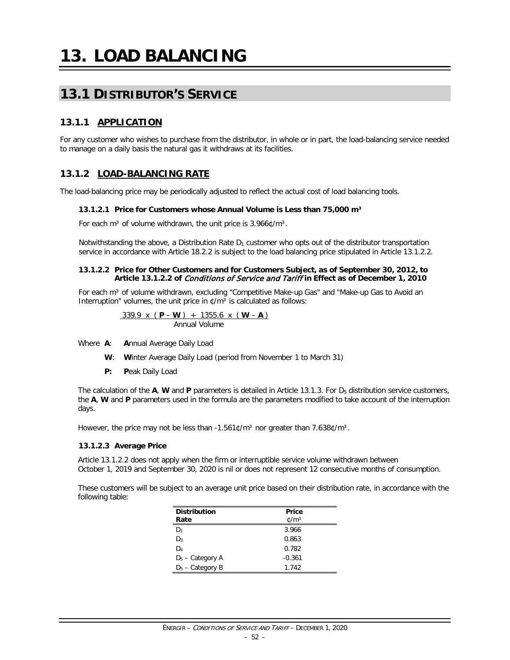# **13.1 DISTRIBUTOR'S SERVICE**

# **13.1.1 APPLICATION**

For any customer who wishes to purchase from the distributor, in whole or in part, the load-balancing service needed to manage on a daily basis the natural gas it withdraws at its facilities.

# **13.1.2 LOAD-BALANCING RATE**

The load-balancing price may be periodically adjusted to reflect the actual cost of load balancing tools.

#### **13.1.2.1 Price for Customers whose Annual Volume is Less than 75,000 m³**

For each m<sup>3</sup> of volume withdrawn, the unit price is  $3.966$  ¢/m<sup>3</sup>.

Notwithstanding the above, a Distribution Rate  $D_1$  customer who opts out of the distributor transportation service in accordance with Article 18.2.2 is subject to the load balancing price stipulated in Article 13.1.2.2.

#### **13.1.2.2 Price for Other Customers and for Customers Subject, as of September 30, 2012, to Article 13.1.2.2 of** Conditions of Service and Tariff **in Effect as of December 1, 2010**

For each m<sup>3</sup> of volume withdrawn, excluding "Competitive Make-up Gas" and "Make-up Gas to Avoid an Interruption" volumes, the unit price in  $\ell/m^3$  is calculated as follows:

$$
\frac{339.9 \times (P-W) + 1355.6 \times (W-A)}{ \text{Annual Volume}}
$$

Where **A**: **A**nnual Average Daily Load

- **W**: **W**inter Average Daily Load (period from November 1 to March 31)
- **P: P**eak Daily Load

The calculation of the  $A$ , **W** and **P** parameters is detailed in Article 13.1.3. For  $D_5$  distribution service customers, the **A**, **W** and **P** parameters used in the formula are the parameters modified to take account of the interruption days.

However, the price may not be less than  $-1.561 \text{C/m}^3$  nor greater than 7.638 $\text{C/m}^3$ .

#### **13.1.2.3 Average Price**

Article 13.1.2.2 does not apply when the firm or interruptible service volume withdrawn between October 1, 2019 and September 30, 2020 is nil or does not represent 12 consecutive months of consumption.

These customers will be subject to an average unit price based on their distribution rate, in accordance with the following table:

| <b>Distribution</b> | Price          |
|---------------------|----------------|
| Rate                | $\text{C/m}^3$ |
| D1                  | 3.966          |
| D <sub>3</sub>      | 0.863          |
| D4                  | 0.782          |
| $D_5$ – Category A  | $-0.361$       |
| $D_5$ – Category B  | 1.742          |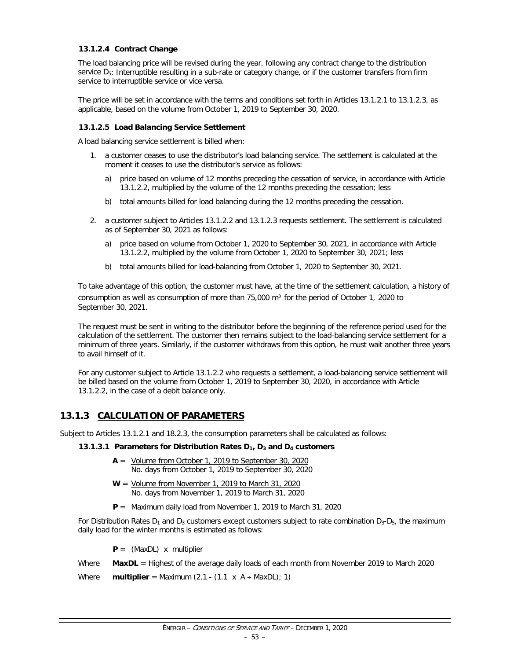#### **13.1.2.4 Contract Change**

The load balancing price will be revised during the year, following any contract change to the distribution service  $D_5$ : Interruptible resulting in a sub-rate or category change, or if the customer transfers from firm service to interruptible service or vice versa.

The price will be set in accordance with the terms and conditions set forth in Articles 13.1.2.1 to 13.1.2.3, as applicable, based on the volume from October 1, 2019 to September 30, 2020.

#### **13.1.2.5 Load Balancing Service Settlement**

A load balancing service settlement is billed when:

- 1. a customer ceases to use the distributor's load balancing service. The settlement is calculated at the moment it ceases to use the distributor's service as follows:
	- a) price based on volume of 12 months preceding the cessation of service, in accordance with Article 13.1.2.2, multiplied by the volume of the 12 months preceding the cessation; less
	- b) total amounts billed for load balancing during the 12 months preceding the cessation.
- 2. a customer subject to Articles 13.1.2.2 and 13.1.2.3 requests settlement. The settlement is calculated as of September 30, 2021 as follows:
	- a) price based on volume from October 1, 2020 to September 30, 2021, in accordance with Article 13.1.2.2, multiplied by the volume from October 1, 2020 to September 30, 2021; less
	- b) total amounts billed for load-balancing from October 1, 2020 to September 30, 2021.

To take advantage of this option, the customer must have, at the time of the settlement calculation, a history of consumption as well as consumption of more than  $75,000$  m<sup>3</sup> for the period of October 1, 2020 to September 30, 2021.

The request must be sent in writing to the distributor before the beginning of the reference period used for the calculation of the settlement. The customer then remains subject to the load-balancing service settlement for a minimum of three years. Similarly, if the customer withdraws from this option, he must wait another three years to avail himself of it.

For any customer subject to Article 13.1.2.2 who requests a settlement, a load-balancing service settlement will be billed based on the volume from October 1, 2019 to September 30, 2020, in accordance with Article 13.1.2.2, in the case of a debit balance only.

### **13.1.3 CALCULATION OF PARAMETERS**

Subject to Articles 13.1.2.1 and 18.2.3, the consumption parameters shall be calculated as follows:

#### **13.1.3.1 Parameters for Distribution Rates D1, D3 and D4 customers**

- **A** = Volume from October 1, 2019 to September 30, 2020 No. days from October 1, 2019 to September 30, 2020
- **W** = Volume from November 1, 2019 to March 31, 2020 No. days from November 1, 2019 to March 31, 2020
- **P** = Maximum daily load from November 1, 2019 to March 31, 2020

For Distribution Rates  $D_1$  and  $D_3$  customers except customers subject to rate combination  $D_3$ - $D_5$ , the maximum daily load for the winter months is estimated as follows:

**P** = (MaxDL) x multiplier

Where **MaxDL** = Highest of the average daily loads of each month from November 2019 to March 2020

Where **multiplier** = Maximum  $(2.1 - (1.1 \times A + \text{MaxDL})$ ; 1)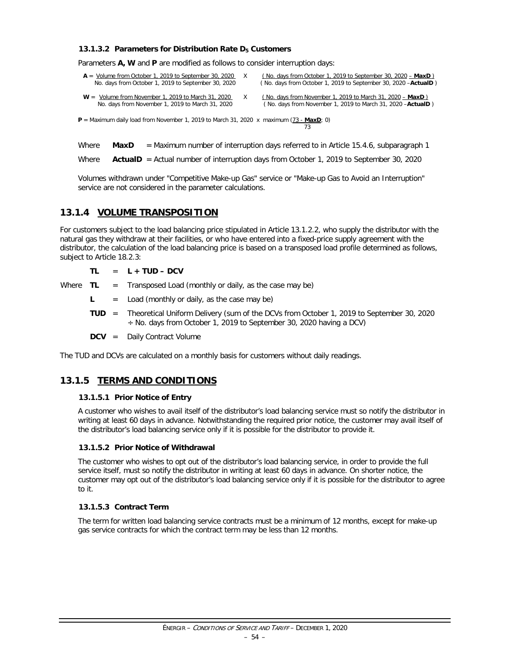#### **13.1.3.2 Parameters for Distribution Rate D5 Customers**

Parameters **A, W** and **P** are modified as follows to consider interruption days:

| $A =$ Volume from October 1, 2019 to September 30, 2020<br>No. days from October 1, 2019 to September 30, 2020 | (No. days from October 1, 2019 to September 30, 2020 $-$ MaxD)<br>(No. days from October 1, 2019 to September 30, 2020 - ActualD)   |
|----------------------------------------------------------------------------------------------------------------|-------------------------------------------------------------------------------------------------------------------------------------|
| $W =$ Volume from November 1, 2019 to March 31, 2020<br>No. days from November 1, 2019 to March 31, 2020       | (No. days from November 1, 2019 to March 31, 2020 $-$ MaxD)<br>(No. days from November 1, 2019 to March 31, 2020 - <b>ActualD</b> ) |

 $P =$  Maximum daily load from November 1, 2019 to March 31, 2020 x maximum  $(73 - \text{MaxD})$ ; 0) 73

Where **MaxD** = Maximum number of interruption days referred to in Article 15.4.6, subparagraph 1

Where **ActualD** = Actual number of interruption days from October 1, 2019 to September 30, 2020

Volumes withdrawn under "Competitive Make-up Gas" service or "Make-up Gas to Avoid an Interruption" service are not considered in the parameter calculations.

### **13.1.4 VOLUME TRANSPOSITION**

For customers subject to the load balancing price stipulated in Article 13.1.2.2, who supply the distributor with the natural gas they withdraw at their facilities, or who have entered into a fixed-price supply agreement with the distributor, the calculation of the load balancing price is based on a transposed load profile determined as follows, subject to Article 18.2.3:

#### **TL** = **L + TUD – DCV**

Where  $TL = Transposed Load (monthly or daily, as the case may be)$ 

 $\mathsf{L}$  = Load (monthly or daily, as the case may be)

**TUD** = Theoretical Uniform Delivery (sum of the DCVs from October 1, 2019 to September 30, 2020  $\div$  No. days from October 1, 2019 to September 30, 2020 having a DCV)

**DCV** = Daily Contract Volume

The TUD and DCVs are calculated on a monthly basis for customers without daily readings.

#### **13.1.5 TERMS AND CONDITIONS**

#### **13.1.5.1 Prior Notice of Entry**

A customer who wishes to avail itself of the distributor's load balancing service must so notify the distributor in writing at least 60 days in advance. Notwithstanding the required prior notice, the customer may avail itself of the distributor's load balancing service only if it is possible for the distributor to provide it.

#### **13.1.5.2 Prior Notice of Withdrawal**

The customer who wishes to opt out of the distributor's load balancing service, in order to provide the full service itself, must so notify the distributor in writing at least 60 days in advance. On shorter notice, the customer may opt out of the distributor's load balancing service only if it is possible for the distributor to agree to it.

#### **13.1.5.3 Contract Term**

The term for written load balancing service contracts must be a minimum of 12 months, except for make-up gas service contracts for which the contract term may be less than 12 months.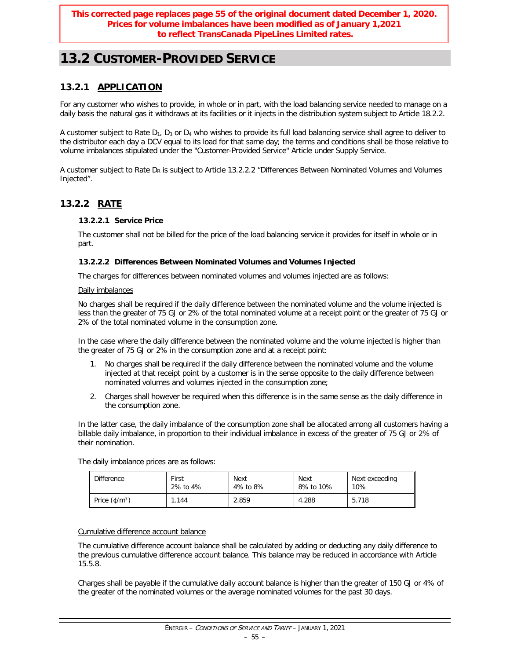# **13.2 CUSTOMER-PROVIDED SERVICE**

# **13.2.1 APPLICATION**

For any customer who wishes to provide, in whole or in part, with the load balancing service needed to manage on a daily basis the natural gas it withdraws at its facilities or it injects in the distribution system subject to Article 18.2.2.

A customer subject to Rate  $D_1$ ,  $D_3$  or  $D_4$  who wishes to provide its full load balancing service shall agree to deliver to the distributor each day a DCV equal to its load for that same day; the terms and conditions shall be those relative to volume imbalances stipulated under the "Customer-Provided Service" Article under Supply Service.

A customer subject to Rate  $D_R$  is subject to Article 13.2.2.2 "Differences Between Nominated Volumes and Volumes Injected".

# **13.2.2 RATE**

### **13.2.2.1 Service Price**

The customer shall not be billed for the price of the load balancing service it provides for itself in whole or in part.

#### **13.2.2.2 Differences Between Nominated Volumes and Volumes Injected**

The charges for differences between nominated volumes and volumes injected are as follows:

#### Daily imbalances

No charges shall be required if the daily difference between the nominated volume and the volume injected is less than the greater of 75 GJ or 2% of the total nominated volume at a receipt point or the greater of 75 GJ or 2% of the total nominated volume in the consumption zone.

In the case where the daily difference between the nominated volume and the volume injected is higher than the greater of 75 GJ or 2% in the consumption zone and at a receipt point:

- 1. No charges shall be required if the daily difference between the nominated volume and the volume injected at that receipt point by a customer is in the sense opposite to the daily difference between nominated volumes and volumes injected in the consumption zone;
- 2. Charges shall however be required when this difference is in the same sense as the daily difference in the consumption zone.

In the latter case, the daily imbalance of the consumption zone shall be allocated among all customers having a billable daily imbalance, in proportion to their individual imbalance in excess of the greater of 75 GJ or 2% of their nomination.

The daily imbalance prices are as follows:

| <b>Difference</b>                                                             | First    | <b>Next</b> | Next      | Next exceeding |  |
|-------------------------------------------------------------------------------|----------|-------------|-----------|----------------|--|
|                                                                               | 2% to 4% | 4% to 8%    | 8% to 10% | 10%            |  |
| Price $(\text{\ensuremath{\mathfrak{C}}}/\text{\ensuremath{\mathfrak{m}}}^3)$ | .144     | 2.859       | 4.288     | 5.718          |  |

#### Cumulative difference account balance

The cumulative difference account balance shall be calculated by adding or deducting any daily difference to the previous cumulative difference account balance. This balance may be reduced in accordance with Article 15.5.8.

Charges shall be payable if the cumulative daily account balance is higher than the greater of 150 GJ or 4% of the greater of the nominated volumes or the average nominated volumes for the past 30 days.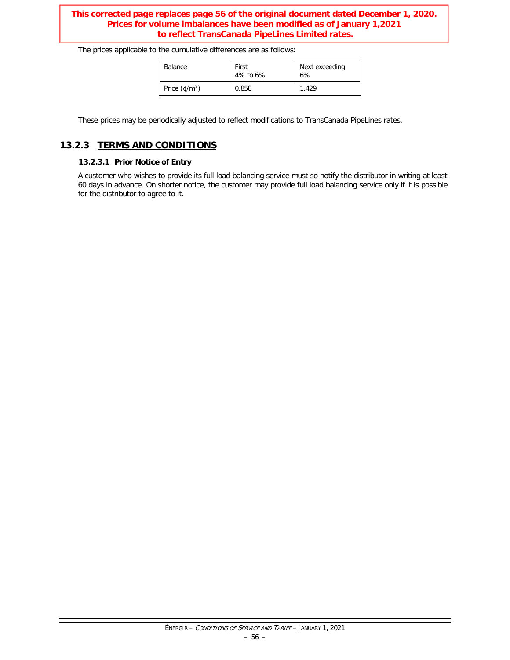#### **This corrected page replaces page 56 of the original document dated December 1, 2020. Prices for volume imbalances have been modified as of January 1,2021 to reflect TransCanada PipeLines Limited rates.**

The prices applicable to the cumulative differences are as follows:

| Balance                                            | First<br>4% to 6% | Next exceeding<br>6% |  |  |
|----------------------------------------------------|-------------------|----------------------|--|--|
| Price $(\text{\textsterling}/\text{\textsf{m}}^3)$ | 0.858             | 1.429                |  |  |

These prices may be periodically adjusted to reflect modifications to TransCanada PipeLines rates.

### **13.2.3 TERMS AND CONDITIONS**

#### **13.2.3.1 Prior Notice of Entry**

A customer who wishes to provide its full load balancing service must so notify the distributor in writing at least 60 days in advance. On shorter notice, the customer may provide full load balancing service only if it is possible for the distributor to agree to it.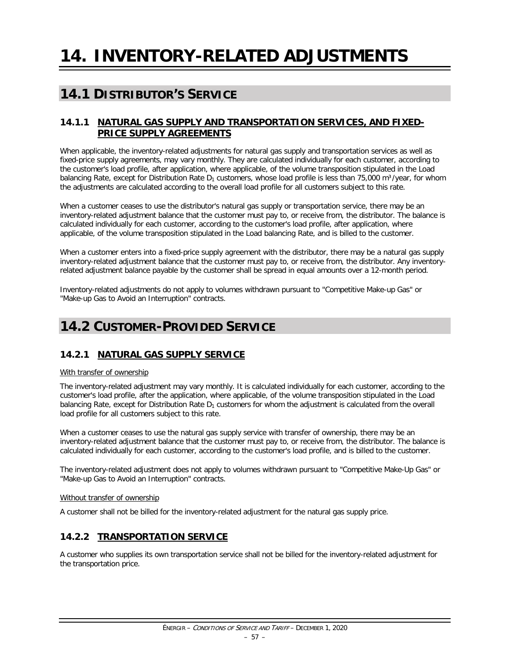# **14.1 DISTRIBUTOR'S SERVICE**

### **14.1.1 NATURAL GAS SUPPLY AND TRANSPORTATION SERVICES, AND FIXED-PRICE SUPPLY AGREEMENTS**

When applicable, the inventory-related adjustments for natural gas supply and transportation services as well as fixed-price supply agreements, may vary monthly. They are calculated individually for each customer, according to the customer's load profile, after application, where applicable, of the volume transposition stipulated in the Load balancing Rate, except for Distribution Rate  $D_1$  customers, whose load profile is less than 75,000 m<sup>3</sup>/year, for whom the adjustments are calculated according to the overall load profile for all customers subject to this rate.

When a customer ceases to use the distributor's natural gas supply or transportation service, there may be an inventory-related adjustment balance that the customer must pay to, or receive from, the distributor. The balance is calculated individually for each customer, according to the customer's load profile, after application, where applicable, of the volume transposition stipulated in the Load balancing Rate, and is billed to the customer.

When a customer enters into a fixed-price supply agreement with the distributor, there may be a natural gas supply inventory-related adjustment balance that the customer must pay to, or receive from, the distributor. Any inventoryrelated adjustment balance payable by the customer shall be spread in equal amounts over a 12-month period.

Inventory-related adjustments do not apply to volumes withdrawn pursuant to "Competitive Make-up Gas" or "Make-up Gas to Avoid an Interruption" contracts.

# **14.2 CUSTOMER-PROVIDED SERVICE**

# **14.2.1 NATURAL GAS SUPPLY SERVICE**

#### With transfer of ownership

The inventory-related adjustment may vary monthly. It is calculated individually for each customer, according to the customer's load profile, after the application, where applicable, of the volume transposition stipulated in the Load balancing Rate, except for Distribution Rate  $D_1$  customers for whom the adjustment is calculated from the overall load profile for all customers subject to this rate.

When a customer ceases to use the natural gas supply service with transfer of ownership, there may be an inventory-related adjustment balance that the customer must pay to, or receive from, the distributor. The balance is calculated individually for each customer, according to the customer's load profile, and is billed to the customer.

The inventory-related adjustment does not apply to volumes withdrawn pursuant to "Competitive Make-Up Gas" or "Make-up Gas to Avoid an Interruption" contracts.

#### Without transfer of ownership

A customer shall not be billed for the inventory-related adjustment for the natural gas supply price.

### **14.2.2 TRANSPORTATION SERVICE**

A customer who supplies its own transportation service shall not be billed for the inventory-related adjustment for the transportation price.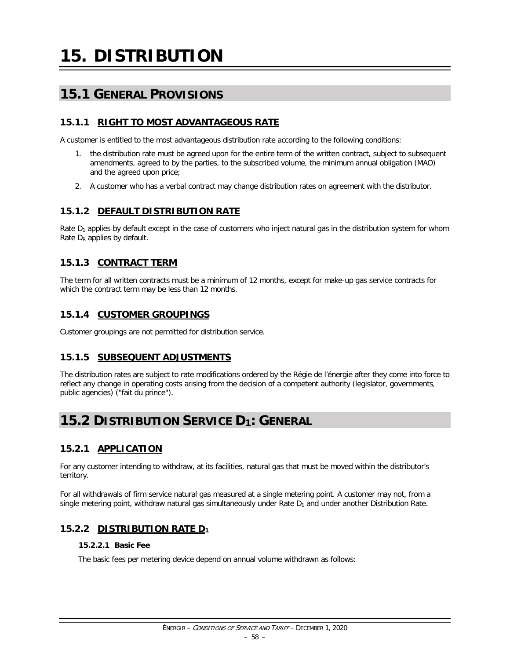# **15.1 GENERAL PROVISIONS**

# **15.1.1 RIGHT TO MOST ADVANTAGEOUS RATE**

A customer is entitled to the most advantageous distribution rate according to the following conditions:

- 1. the distribution rate must be agreed upon for the entire term of the written contract, subject to subsequent amendments, agreed to by the parties, to the subscribed volume, the minimum annual obligation (MAO) and the agreed upon price;
- 2. A customer who has a verbal contract may change distribution rates on agreement with the distributor.

### **15.1.2 DEFAULT DISTRIBUTION RATE**

Rate  $D_1$  applies by default except in the case of customers who inject natural gas in the distribution system for whom Rate  $D_R$  applies by default.

### **15.1.3 CONTRACT TERM**

The term for all written contracts must be a minimum of 12 months, except for make-up gas service contracts for which the contract term may be less than 12 months.

### **15.1.4 CUSTOMER GROUPINGS**

Customer groupings are not permitted for distribution service.

### **15.1.5 SUBSEQUENT ADJUSTMENTS**

The distribution rates are subject to rate modifications ordered by the Régie de l'énergie after they come into force to reflect any change in operating costs arising from the decision of a competent authority (legislator, governments, public agencies) ("fait du prince").

# **15.2 DISTRIBUTION SERVICE D1: GENERAL**

### **15.2.1 APPLICATION**

For any customer intending to withdraw, at its facilities, natural gas that must be moved within the distributor's territory.

For all withdrawals of firm service natural gas measured at a single metering point. A customer may not, from a single metering point, withdraw natural gas simultaneously under Rate  $D_1$  and under another Distribution Rate.

# **15.2.2 DISTRIBUTION RATE D1**

#### **15.2.2.1 Basic Fee**

The basic fees per metering device depend on annual volume withdrawn as follows: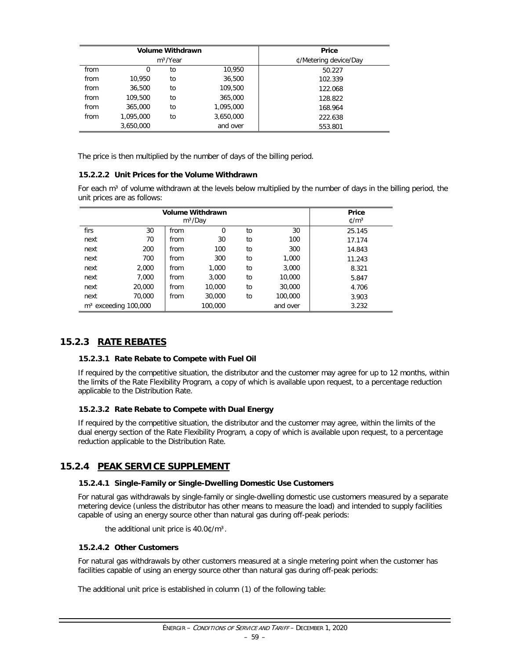|      |           | <b>Volume Withdrawn</b> | Price                 |         |  |  |
|------|-----------|-------------------------|-----------------------|---------|--|--|
|      |           | m <sup>3</sup> /Year    | ¢/Metering device/Day |         |  |  |
| from | 0         | to                      | 10.950                | 50.227  |  |  |
| from | 10,950    | to                      | 36,500                | 102.339 |  |  |
| from | 36,500    | to                      | 109,500               | 122.068 |  |  |
| from | 109,500   | to                      | 365,000               | 128.822 |  |  |
| from | 365,000   | to                      | 1,095,000             | 168.964 |  |  |
| from | 1.095.000 | to                      | 3,650,000             | 222.638 |  |  |
|      | 3,650,000 |                         | and over              | 553.801 |  |  |

The price is then multiplied by the number of days of the billing period.

#### **15.2.2.2 Unit Prices for the Volume Withdrawn**

For each m<sup>3</sup> of volume withdrawn at the levels below multiplied by the number of days in the billing period, the unit prices are as follows:

|      | <b>Volume Withdrawn</b> | Price                         |          |    |          |        |
|------|-------------------------|-------------------------------|----------|----|----------|--------|
|      |                         | $\frac{\text{m}}{\text{m}^3}$ |          |    |          |        |
| firs | 30                      | from                          | $\Omega$ | to | 30       | 25.145 |
| next | 70                      | from                          | 30       | to | 100      | 17.174 |
| next | 200                     | from                          | 100      | to | 300      | 14.843 |
| next | 700                     | from                          | 300      | to | 1,000    | 11.243 |
| next | 2,000                   | from                          | 1,000    | to | 3,000    | 8.321  |
| next | 7,000                   | from                          | 3,000    | to | 10,000   | 5.847  |
| next | 20,000                  | from                          | 10,000   | to | 30,000   | 4.706  |
| next | 70,000                  | from                          | 30,000   | to | 100,000  | 3.903  |
|      | $m3$ exceeding 100,000  |                               | 100,000  |    | and over | 3.232  |

# **15.2.3 RATE REBATES**

#### **15.2.3.1 Rate Rebate to Compete with Fuel Oil**

If required by the competitive situation, the distributor and the customer may agree for up to 12 months, within the limits of the Rate Flexibility Program, a copy of which is available upon request, to a percentage reduction applicable to the Distribution Rate.

#### **15.2.3.2 Rate Rebate to Compete with Dual Energy**

If required by the competitive situation, the distributor and the customer may agree, within the limits of the dual energy section of the Rate Flexibility Program, a copy of which is available upon request, to a percentage reduction applicable to the Distribution Rate.

#### **15.2.4 PEAK SERVICE SUPPLEMENT**

#### **15.2.4.1 Single-Family or Single-Dwelling Domestic Use Customers**

For natural gas withdrawals by single-family or single-dwelling domestic use customers measured by a separate metering device (unless the distributor has other means to measure the load) and intended to supply facilities capable of using an energy source other than natural gas during off-peak periods:

the additional unit price is 40.0¢/m<sup>3</sup>.

#### **15.2.4.2 Other Customers**

For natural gas withdrawals by other customers measured at a single metering point when the customer has facilities capable of using an energy source other than natural gas during off-peak periods:

The additional unit price is established in column (1) of the following table: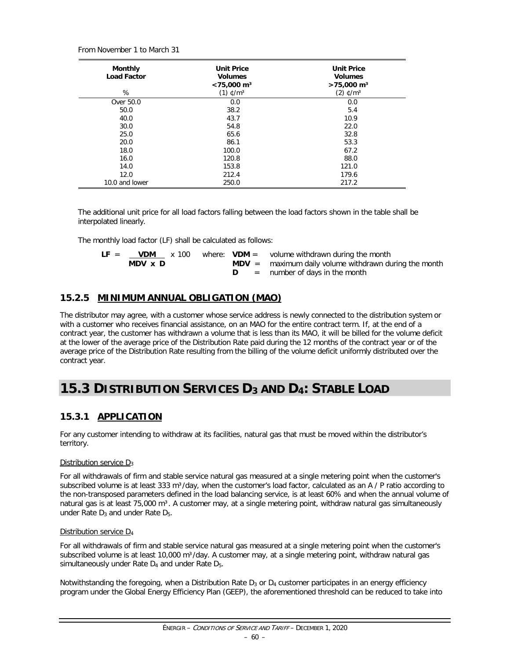From November 1 to March 31

| <b>Monthly</b><br><b>Load Factor</b> | <b>Unit Price</b><br><b>Volumes</b><br>$<$ 75,000 m <sup>3</sup> | <b>Unit Price</b><br><b>Volumes</b><br>$>75,000 \text{ m}^3$ |
|--------------------------------------|------------------------------------------------------------------|--------------------------------------------------------------|
| %                                    | $(1)$ ¢/m <sup>3</sup>                                           | $(2)$ ¢/m <sup>3</sup>                                       |
| Over 50.0                            | 0.0                                                              | 0.0                                                          |
| 50.0                                 | 38.2                                                             | 5.4                                                          |
| 40.0                                 | 43.7                                                             | 10.9                                                         |
| 30.0                                 | 54.8                                                             | 22.0                                                         |
| 25.0                                 | 65.6                                                             | 32.8                                                         |
| 20.0                                 | 86.1                                                             | 53.3                                                         |
| 18.0                                 | 100.0                                                            | 67.2                                                         |
| 16.0                                 | 120.8                                                            | 88.0                                                         |
| 14.0                                 | 153.8                                                            | 121.0                                                        |
| 12.0                                 | 212.4                                                            | 179.6                                                        |
| 10.0 and lower                       | 250.0                                                            | 217.2                                                        |

The additional unit price for all load factors falling between the load factors shown in the table shall be interpolated linearly.

The monthly load factor (LF) shall be calculated as follows:

| $LF =$ | <b>VDM</b> | x 100 |  | where: $VDM =$ volume withdrawn during the month        |
|--------|------------|-------|--|---------------------------------------------------------|
|        | MDV x D    |       |  | $MDV =$ maximum daily volume withdrawn during the month |
|        |            |       |  | $=$ number of days in the month                         |

# **15.2.5 MINIMUM ANNUAL OBLIGATION (MAO)**

The distributor may agree, with a customer whose service address is newly connected to the distribution system or with a customer who receives financial assistance, on an MAO for the entire contract term. If, at the end of a contract year, the customer has withdrawn a volume that is less than its MAO, it will be billed for the volume deficit at the lower of the average price of the Distribution Rate paid during the 12 months of the contract year or of the average price of the Distribution Rate resulting from the billing of the volume deficit uniformly distributed over the contract year.

# **15.3 DISTRIBUTION SERVICES D3 AND D4: STABLE LOAD**

# **15.3.1 APPLICATION**

For any customer intending to withdraw at its facilities, natural gas that must be moved within the distributor's territory.

#### Distribution service D<sub>3</sub>

For all withdrawals of firm and stable service natural gas measured at a single metering point when the customer's subscribed volume is at least 333 m<sup>3</sup>/day, when the customer's load factor, calculated as an A / P ratio according to the non-transposed parameters defined in the load balancing service, is at least 60% and when the annual volume of natural gas is at least 75,000 m<sup>3</sup>. A customer may, at a single metering point, withdraw natural gas simultaneously under Rate  $D_3$  and under Rate  $D_5$ .

#### Distribution service D4

For all withdrawals of firm and stable service natural gas measured at a single metering point when the customer's subscribed volume is at least 10,000 m<sup>3</sup>/day. A customer may, at a single metering point, withdraw natural gas simultaneously under Rate  $D_4$  and under Rate  $D_5$ .

Notwithstanding the foregoing, when a Distribution Rate  $D_3$  or  $D_4$  customer participates in an energy efficiency program under the Global Energy Efficiency Plan (GEEP), the aforementioned threshold can be reduced to take into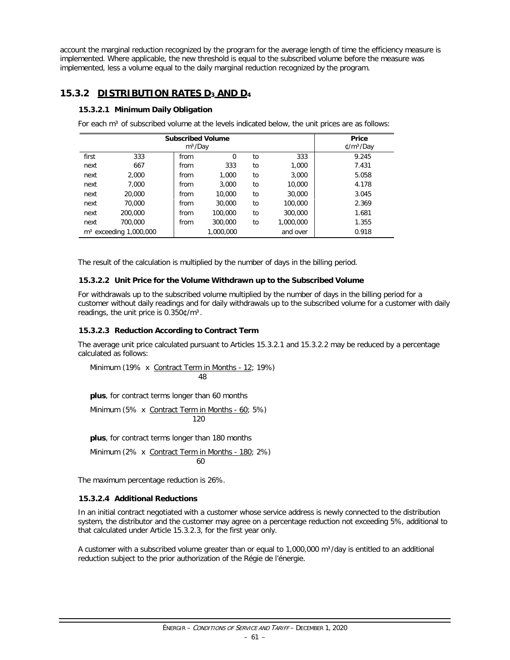account the marginal reduction recognized by the program for the average length of time the efficiency measure is implemented. Where applicable, the new threshold is equal to the subscribed volume before the measure was implemented, less a volume equal to the daily marginal reduction recognized by the program.

# **15.3.2 DISTRIBUTION RATES D3 AND D4**

#### **15.3.2.1 Minimum Daily Obligation**

For each  $m<sup>3</sup>$  of subscribed volume at the levels indicated below, the unit prices are as follows:

|       | <b>Subscribed Volume</b> | Price<br>$\ell/m^3/Day$ |           |    |           |       |
|-------|--------------------------|-------------------------|-----------|----|-----------|-------|
| first | 333                      | from                    | $\Omega$  | to | 333       | 9.245 |
| next  | 667                      | from                    | 333       | to | 1,000     | 7.431 |
| next  | 2,000                    | from                    | 1,000     | to | 3,000     | 5.058 |
| next  | 7.000                    | from                    | 3,000     | to | 10,000    | 4.178 |
| next  | 20,000                   | from                    | 10,000    | to | 30,000    | 3.045 |
| next  | 70,000                   | from                    | 30,000    | to | 100,000   | 2.369 |
| next  | 200,000                  | from                    | 100,000   | to | 300,000   | 1.681 |
| next  | 700,000                  | from                    | 300,000   | to | 1,000,000 | 1.355 |
|       | $m3$ exceeding 1,000,000 |                         | 1,000,000 |    | and over  | 0.918 |

The result of the calculation is multiplied by the number of days in the billing period.

#### **15.3.2.2 Unit Price for the Volume Withdrawn up to the Subscribed Volume**

For withdrawals up to the subscribed volume multiplied by the number of days in the billing period for a customer without daily readings and for daily withdrawals up to the subscribed volume for a customer with daily readings, the unit price is 0.350¢/m<sup>3</sup>.

#### **15.3.2.3 Reduction According to Contract Term**

The average unit price calculated pursuant to Articles 15.3.2.1 and 15.3.2.2 may be reduced by a percentage calculated as follows:

Minimum (19% x Contract Term in Months - 12; 19%) 48

**plus**, for contract terms longer than 60 months

Minimum (5% x Contract Term in Months - 60; 5%) 120

**plus**, for contract terms longer than 180 months

Minimum (2% x Contract Term in Months - 180; 2%) 60

The maximum percentage reduction is 26%.

#### **15.3.2.4 Additional Reductions**

In an initial contract negotiated with a customer whose service address is newly connected to the distribution system, the distributor and the customer may agree on a percentage reduction not exceeding 5%, additional to that calculated under Article 15.3.2.3, for the first year only.

A customer with a subscribed volume greater than or equal to  $1,000,000$  m $3$ /day is entitled to an additional reduction subject to the prior authorization of the Régie de l'énergie.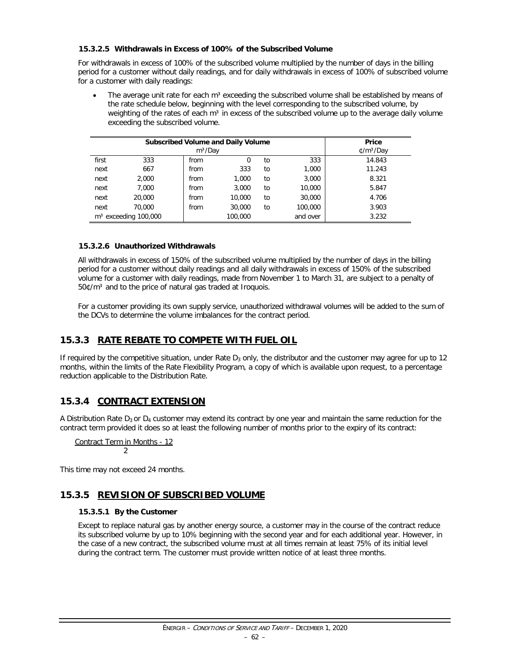#### **15.3.2.5 Withdrawals in Excess of 100% of the Subscribed Volume**

For withdrawals in excess of 100% of the subscribed volume multiplied by the number of days in the billing period for a customer without daily readings, and for daily withdrawals in excess of 100% of subscribed volume for a customer with daily readings:

The average unit rate for each  $m<sup>3</sup>$  exceeding the subscribed volume shall be established by means of the rate schedule below, beginning with the level corresponding to the subscribed volume, by weighting of the rates of each  $m<sup>3</sup>$  in excess of the subscribed volume up to the average daily volume exceeding the subscribed volume.

|       | <b>Subscribed Volume and Daily Volume</b> | Price<br>$\ell/m^3/Day$ |         |    |          |        |
|-------|-------------------------------------------|-------------------------|---------|----|----------|--------|
| first | 333                                       | from                    | O       | to | 333      | 14.843 |
| next  | 667                                       | from                    | 333     | to | 1,000    | 11.243 |
| next  | 2,000                                     | from                    | 1.000   | to | 3,000    | 8.321  |
| next  | 7.000                                     | from                    | 3,000   | to | 10,000   | 5.847  |
| next  | 20,000                                    | from                    | 10,000  | to | 30,000   | 4.706  |
| next  | 70,000                                    | from                    | 30,000  | to | 100,000  | 3.903  |
|       | $m3$ exceeding 100,000                    |                         | 100,000 |    | and over | 3.232  |

#### **15.3.2.6 Unauthorized Withdrawals**

All withdrawals in excess of 150% of the subscribed volume multiplied by the number of days in the billing period for a customer without daily readings and all daily withdrawals in excess of 150% of the subscribed volume for a customer with daily readings, made from November 1 to March 31, are subject to a penalty of 50¢/m<sup>3</sup> and to the price of natural gas traded at Iroquois.

For a customer providing its own supply service, unauthorized withdrawal volumes will be added to the sum of the DCVs to determine the volume imbalances for the contract period.

# **15.3.3 RATE REBATE TO COMPETE WITH FUEL OIL**

If required by the competitive situation, under Rate  $D_3$  only, the distributor and the customer may agree for up to 12 months, within the limits of the Rate Flexibility Program, a copy of which is available upon request, to a percentage reduction applicable to the Distribution Rate.

# **15.3.4 CONTRACT EXTENSION**

A Distribution Rate  $D_3$  or  $D_4$  customer may extend its contract by one year and maintain the same reduction for the contract term provided it does so at least the following number of months prior to the expiry of its contract:

Contract Term in Months - 12 2

This time may not exceed 24 months.

# **15.3.5 REVISION OF SUBSCRIBED VOLUME**

#### **15.3.5.1 By the Customer**

Except to replace natural gas by another energy source, a customer may in the course of the contract reduce its subscribed volume by up to 10% beginning with the second year and for each additional year. However, in the case of a new contract, the subscribed volume must at all times remain at least 75% of its initial level during the contract term. The customer must provide written notice of at least three months.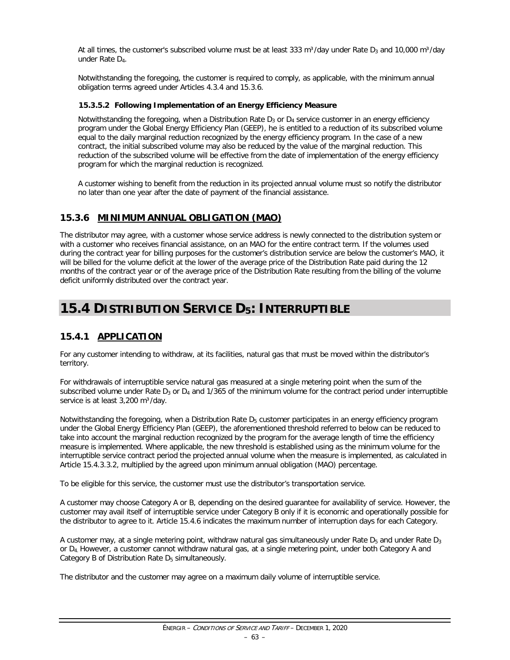At all times, the customer's subscribed volume must be at least 333 m<sup>3</sup>/day under Rate  $D_3$  and 10,000 m<sup>3</sup>/day under Rate D4.

Notwithstanding the foregoing, the customer is required to comply, as applicable, with the minimum annual obligation terms agreed under Articles 4.3.4 and 15.3.6.

#### **15.3.5.2 Following Implementation of an Energy Efficiency Measure**

Notwithstanding the foregoing, when a Distribution Rate  $D_3$  or  $D_4$  service customer in an energy efficiency program under the Global Energy Efficiency Plan (GEEP), he is entitled to a reduction of its subscribed volume equal to the daily marginal reduction recognized by the energy efficiency program. In the case of a new contract, the initial subscribed volume may also be reduced by the value of the marginal reduction. This reduction of the subscribed volume will be effective from the date of implementation of the energy efficiency program for which the marginal reduction is recognized.

A customer wishing to benefit from the reduction in its projected annual volume must so notify the distributor no later than one year after the date of payment of the financial assistance.

# **15.3.6 MINIMUM ANNUAL OBLIGATION (MAO)**

The distributor may agree, with a customer whose service address is newly connected to the distribution system or with a customer who receives financial assistance, on an MAO for the entire contract term. If the volumes used during the contract year for billing purposes for the customer's distribution service are below the customer's MAO, it will be billed for the volume deficit at the lower of the average price of the Distribution Rate paid during the 12 months of the contract year or of the average price of the Distribution Rate resulting from the billing of the volume deficit uniformly distributed over the contract year.

# **15.4 DISTRIBUTION SERVICE D5: INTERRUPTIBLE**

# **15.4.1 APPLICATION**

For any customer intending to withdraw, at its facilities, natural gas that must be moved within the distributor's territory.

For withdrawals of interruptible service natural gas measured at a single metering point when the sum of the subscribed volume under Rate  $D_3$  or  $D_4$  and 1/365 of the minimum volume for the contract period under interruptible service is at least 3,200 m<sup>3</sup>/day.

Notwithstanding the foregoing, when a Distribution Rate  $D_5$  customer participates in an energy efficiency program under the Global Energy Efficiency Plan (GEEP), the aforementioned threshold referred to below can be reduced to take into account the marginal reduction recognized by the program for the average length of time the efficiency measure is implemented. Where applicable, the new threshold is established using as the minimum volume for the interruptible service contract period the projected annual volume when the measure is implemented, as calculated in Article 15.4.3.3.2, multiplied by the agreed upon minimum annual obligation (MAO) percentage.

To be eligible for this service, the customer must use the distributor's transportation service.

A customer may choose Category A or B, depending on the desired guarantee for availability of service. However, the customer may avail itself of interruptible service under Category B only if it is economic and operationally possible for the distributor to agree to it. Article 15.4.6 indicates the maximum number of interruption days for each Category.

A customer may, at a single metering point, withdraw natural gas simultaneously under Rate  $D_5$  and under Rate  $D_3$ or D4. However, a customer cannot withdraw natural gas, at a single metering point, under both Category A and Category B of Distribution Rate D<sub>5</sub> simultaneously.

The distributor and the customer may agree on a maximum daily volume of interruptible service.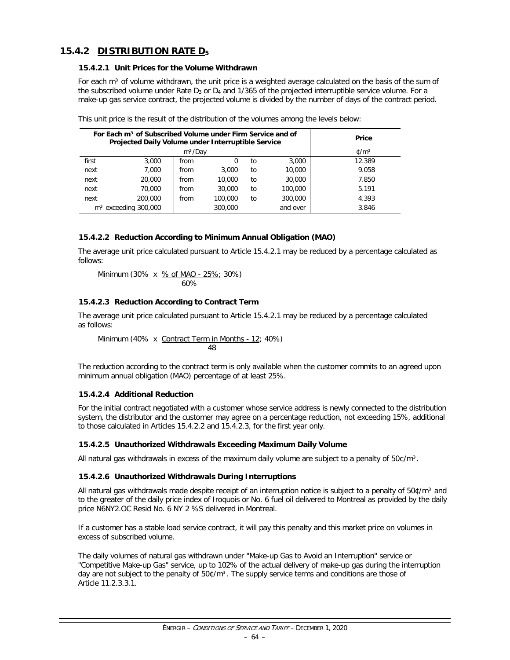# **15.4.2 DISTRIBUTION RATE D5**

#### **15.4.2.1 Unit Prices for the Volume Withdrawn**

For each m<sup>3</sup> of volume withdrawn, the unit price is a weighted average calculated on the basis of the sum of the subscribed volume under Rate  $D_3$  or  $D_4$  and 1/365 of the projected interruptible service volume. For a make-up gas service contract, the projected volume is divided by the number of days of the contract period.

|       | For Each m <sup>3</sup> of Subscribed Volume under Firm Service and of<br>Projected Daily Volume under Interruptible Service | <b>Price</b>   |         |    |          |        |
|-------|------------------------------------------------------------------------------------------------------------------------------|----------------|---------|----|----------|--------|
|       |                                                                                                                              | $\text{C/m}^3$ |         |    |          |        |
| first | 3,000                                                                                                                        | from           | 0       | to | 3,000    | 12.389 |
| next  | 7.000                                                                                                                        | from           | 3,000   | to | 10,000   | 9.058  |
| next  | 20,000                                                                                                                       | from           | 10,000  | to | 30,000   | 7.850  |
| next  | 70,000                                                                                                                       | from           | 30,000  | to | 100,000  | 5.191  |
| next  | 200,000                                                                                                                      | from           | 100,000 | to | 300,000  | 4.393  |
|       | $m3$ exceeding 300,000                                                                                                       |                | 300,000 |    | and over | 3.846  |

|  |  | This unit price is the result of the distribution of the volumes among the levels below: |  |  |  |  |
|--|--|------------------------------------------------------------------------------------------|--|--|--|--|
|  |  |                                                                                          |  |  |  |  |

#### **15.4.2.2 Reduction According to Minimum Annual Obligation (MAO)**

The average unit price calculated pursuant to Article 15.4.2.1 may be reduced by a percentage calculated as follows:

Minimum (30% x 
$$
\frac{\% \text{ of MAO} - 25\%}{60\%}
$$
; 30%)

#### **15.4.2.3 Reduction According to Contract Term**

The average unit price calculated pursuant to Article 15.4.2.1 may be reduced by a percentage calculated as follows:

Minimum (40% x Contract Term in Months - 12; 40%) 48

The reduction according to the contract term is only available when the customer commits to an agreed upon minimum annual obligation (MAO) percentage of at least 25%.

#### **15.4.2.4 Additional Reduction**

For the initial contract negotiated with a customer whose service address is newly connected to the distribution system, the distributor and the customer may agree on a percentage reduction, not exceeding 15%, additional to those calculated in Articles 15.4.2.2 and 15.4.2.3, for the first year only.

#### **15.4.2.5 Unauthorized Withdrawals Exceeding Maximum Daily Volume**

All natural gas withdrawals in excess of the maximum daily volume are subject to a penalty of  $50¢/m³$ .

#### **15.4.2.6 Unauthorized Withdrawals During Interruptions**

All natural gas withdrawals made despite receipt of an interruption notice is subject to a penalty of  $50¢/m³$  and to the greater of the daily price index of Iroquois or No. 6 fuel oil delivered to Montreal as provided by the daily price N6NY2.OC Resid No. 6 NY 2 %S delivered in Montreal.

If a customer has a stable load service contract, it will pay this penalty and this market price on volumes in excess of subscribed volume.

The daily volumes of natural gas withdrawn under "Make-up Gas to Avoid an Interruption" service or "Competitive Make-up Gas" service, up to 102% of the actual delivery of make-up gas during the interruption day are not subject to the penalty of  $50¢/m<sup>3</sup>$ . The supply service terms and conditions are those of Article 11.2.3.3.1.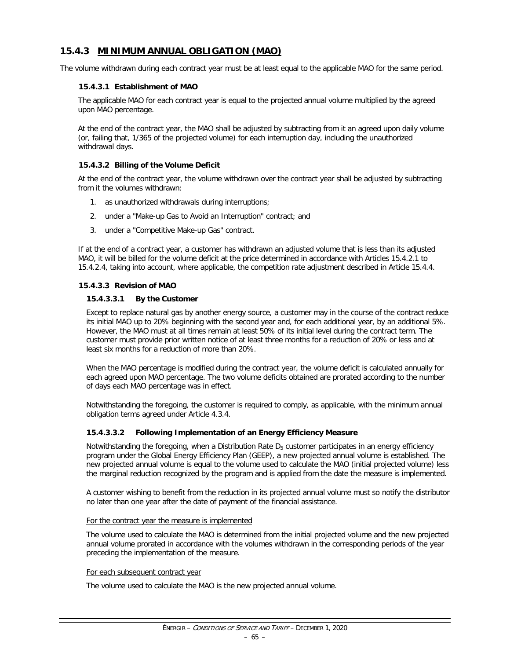# **15.4.3 MINIMUM ANNUAL OBLIGATION (MAO)**

The volume withdrawn during each contract year must be at least equal to the applicable MAO for the same period.

#### **15.4.3.1 Establishment of MAO**

The applicable MAO for each contract year is equal to the projected annual volume multiplied by the agreed upon MAO percentage.

At the end of the contract year, the MAO shall be adjusted by subtracting from it an agreed upon daily volume (or, failing that, 1/365 of the projected volume) for each interruption day, including the unauthorized withdrawal days.

#### **15.4.3.2 Billing of the Volume Deficit**

At the end of the contract year, the volume withdrawn over the contract year shall be adjusted by subtracting from it the volumes withdrawn:

- 1. as unauthorized withdrawals during interruptions;
- 2. under a "Make-up Gas to Avoid an Interruption" contract; and
- 3. under a "Competitive Make-up Gas" contract.

If at the end of a contract year, a customer has withdrawn an adjusted volume that is less than its adjusted MAO, it will be billed for the volume deficit at the price determined in accordance with Articles 15.4.2.1 to 15.4.2.4, taking into account, where applicable, the competition rate adjustment described in Article 15.4.4.

#### **15.4.3.3 Revision of MAO**

#### **15.4.3.3.1 By the Customer**

Except to replace natural gas by another energy source, a customer may in the course of the contract reduce its initial MAO up to 20% beginning with the second year and, for each additional year, by an additional 5%. However, the MAO must at all times remain at least 50% of its initial level during the contract term. The customer must provide prior written notice of at least three months for a reduction of 20% or less and at least six months for a reduction of more than 20%.

When the MAO percentage is modified during the contract year, the volume deficit is calculated annually for each agreed upon MAO percentage. The two volume deficits obtained are prorated according to the number of days each MAO percentage was in effect.

Notwithstanding the foregoing, the customer is required to comply, as applicable, with the minimum annual obligation terms agreed under Article 4.3.4.

#### **15.4.3.3.2 Following Implementation of an Energy Efficiency Measure**

Notwithstanding the foregoing, when a Distribution Rate  $D<sub>5</sub>$  customer participates in an energy efficiency program under the Global Energy Efficiency Plan (GEEP), a new projected annual volume is established. The new projected annual volume is equal to the volume used to calculate the MAO (initial projected volume) less the marginal reduction recognized by the program and is applied from the date the measure is implemented.

A customer wishing to benefit from the reduction in its projected annual volume must so notify the distributor no later than one year after the date of payment of the financial assistance.

#### For the contract year the measure is implemented

The volume used to calculate the MAO is determined from the initial projected volume and the new projected annual volume prorated in accordance with the volumes withdrawn in the corresponding periods of the year preceding the implementation of the measure.

#### For each subsequent contract year

The volume used to calculate the MAO is the new projected annual volume.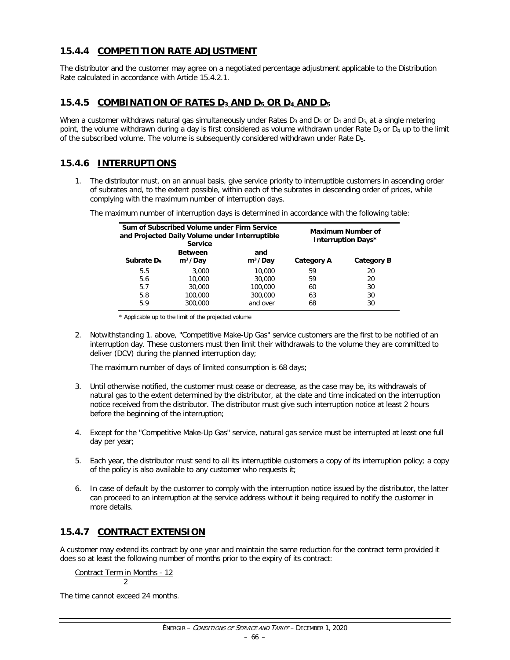# **15.4.4 COMPETITION RATE ADJUSTMENT**

The distributor and the customer may agree on a negotiated percentage adjustment applicable to the Distribution Rate calculated in accordance with Article 15.4.2.1.

### **15.4.5 COMBINATION OF RATES D3 AND D5 OR D4 AND D5**

When a customer withdraws natural gas simultaneously under Rates  $D_3$  and  $D_5$  or  $D_4$  and  $D_5$ , at a single metering point, the volume withdrawn during a day is first considered as volume withdrawn under Rate  $D_3$  or  $D_4$  up to the limit of the subscribed volume. The volume is subsequently considered withdrawn under Rate D<sub>5</sub>.

# **15.4.6 INTERRUPTIONS**

1. The distributor must, on an annual basis, give service priority to interruptible customers in ascending order of subrates and, to the extent possible, within each of the subrates in descending order of prices, while complying with the maximum number of interruption days.

| Sum of Subscribed Volume under Firm Service<br>and Projected Daily Volume under Interruptible<br><b>Service</b> |                                       |                            | <b>Maximum Number of</b><br><b>Interruption Days*</b> |                   |
|-----------------------------------------------------------------------------------------------------------------|---------------------------------------|----------------------------|-------------------------------------------------------|-------------------|
| <b>Subrate D<sub>5</sub></b>                                                                                    | <b>Between</b><br>m <sup>3</sup> /Day | and<br>m <sup>3</sup> /Day | Category A                                            | <b>Category B</b> |
| 5.5                                                                                                             | 3,000                                 | 10,000                     | 59                                                    | 20                |
| 5.6                                                                                                             | 10,000                                | 30,000                     | 59                                                    | 20                |
| 5.7                                                                                                             | 30,000                                | 100,000                    | 60                                                    | 30                |
| 5.8                                                                                                             | 100,000                               | 300,000                    | 63                                                    | 30                |
| 5.9                                                                                                             | 300,000                               | and over                   | 68                                                    | 30                |

The maximum number of interruption days is determined in accordance with the following table:

\* Applicable up to the limit of the projected volume

2. Notwithstanding 1. above, "Competitive Make-Up Gas" service customers are the first to be notified of an interruption day. These customers must then limit their withdrawals to the volume they are committed to deliver (DCV) during the planned interruption day;

The maximum number of days of limited consumption is 68 days;

- 3. Until otherwise notified, the customer must cease or decrease, as the case may be, its withdrawals of natural gas to the extent determined by the distributor, at the date and time indicated on the interruption notice received from the distributor. The distributor must give such interruption notice at least 2 hours before the beginning of the interruption;
- 4. Except for the "Competitive Make-Up Gas" service, natural gas service must be interrupted at least one full day per year;
- 5. Each year, the distributor must send to all its interruptible customers a copy of its interruption policy; a copy of the policy is also available to any customer who requests it;
- 6. In case of default by the customer to comply with the interruption notice issued by the distributor, the latter can proceed to an interruption at the service address without it being required to notify the customer in more details.

### **15.4.7 CONTRACT EXTENSION**

A customer may extend its contract by one year and maintain the same reduction for the contract term provided it does so at least the following number of months prior to the expiry of its contract:

Contract Term in Months - 12  $\overline{2}$ 

The time cannot exceed 24 months.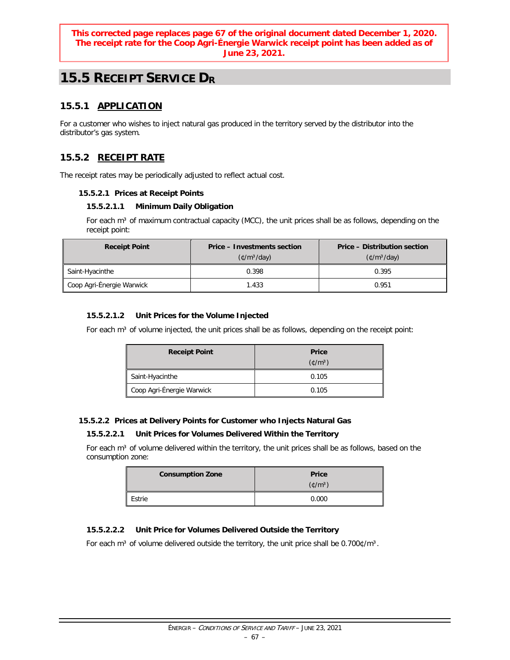#### **This corrected page replaces page 67 of the original document dated December 1, 2020. The receipt rate for the Coop Agri-Énergie Warwick receipt point has been added as of June 23, 2021.**

# **15.5 RECEIPT SERVICE DR**

# **15.5.1 APPLICATION**

For a customer who wishes to inject natural gas produced in the territory served by the distributor into the distributor's gas system.

# **15.5.2 RECEIPT RATE**

The receipt rates may be periodically adjusted to reflect actual cost.

#### **15.5.2.1 Prices at Receipt Points**

#### **15.5.2.1.1 Minimum Daily Obligation**

For each  $m<sup>3</sup>$  of maximum contractual capacity (MCC), the unit prices shall be as follows, depending on the receipt point:

| <b>Receipt Point</b>      | <b>Price – Investments section</b><br>$(\text{C/m}^3/\text{day})$ | <b>Price - Distribution section</b><br>$(\text{C/m}^3/\text{day})$ |
|---------------------------|-------------------------------------------------------------------|--------------------------------------------------------------------|
| Saint-Hyacinthe           | 0.398                                                             | 0.395                                                              |
| Coop Agri-Énergie Warwick | 1.433                                                             | 0.951                                                              |

#### **15.5.2.1.2 Unit Prices for the Volume Injected**

For each m<sup>3</sup> of volume injected, the unit prices shall be as follows, depending on the receipt point:

| <b>Receipt Point</b>      | <b>Price</b><br>$(\text{C/m}^3)$ |
|---------------------------|----------------------------------|
| Saint-Hyacinthe           | 0.105                            |
| Coop Agri-Énergie Warwick | 0.105                            |

#### **15.5.2.2 Prices at Delivery Points for Customer who Injects Natural Gas**

#### **15.5.2.2.1 Unit Prices for Volumes Delivered Within the Territory**

For each m<sup>3</sup> of volume delivered within the territory, the unit prices shall be as follows, based on the consumption zone:

| <b>Consumption Zone</b> | <b>Price</b><br>$(\text{C/m}^3)$ |
|-------------------------|----------------------------------|
| Estrie                  | 0.000                            |

#### **15.5.2.2.2 Unit Price for Volumes Delivered Outside the Territory**

For each m<sup>3</sup> of volume delivered outside the territory, the unit price shall be  $0.700 \sqrt[6]{m^3}$ .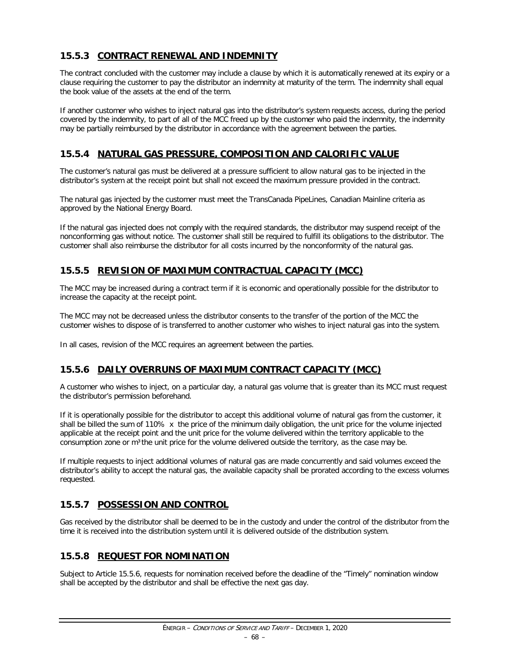# **15.5.3 CONTRACT RENEWAL AND INDEMNITY**

The contract concluded with the customer may include a clause by which it is automatically renewed at its expiry or a clause requiring the customer to pay the distributor an indemnity at maturity of the term. The indemnity shall equal the book value of the assets at the end of the term.

If another customer who wishes to inject natural gas into the distributor's system requests access, during the period covered by the indemnity, to part of all of the MCC freed up by the customer who paid the indemnity, the indemnity may be partially reimbursed by the distributor in accordance with the agreement between the parties.

# **15.5.4 NATURAL GAS PRESSURE, COMPOSITION AND CALORIFIC VALUE**

The customer's natural gas must be delivered at a pressure sufficient to allow natural gas to be injected in the distributor's system at the receipt point but shall not exceed the maximum pressure provided in the contract.

The natural gas injected by the customer must meet the TransCanada PipeLines, Canadian Mainline criteria as approved by the National Energy Board.

If the natural gas injected does not comply with the required standards, the distributor may suspend receipt of the nonconforming gas without notice. The customer shall still be required to fulfill its obligations to the distributor. The customer shall also reimburse the distributor for all costs incurred by the nonconformity of the natural gas.

# **15.5.5 REVISION OF MAXIMUM CONTRACTUAL CAPACITY (MCC)**

The MCC may be increased during a contract term if it is economic and operationally possible for the distributor to increase the capacity at the receipt point.

The MCC may not be decreased unless the distributor consents to the transfer of the portion of the MCC the customer wishes to dispose of is transferred to another customer who wishes to inject natural gas into the system.

In all cases, revision of the MCC requires an agreement between the parties.

### **15.5.6 DAILY OVERRUNS OF MAXIMUM CONTRACT CAPACITY (MCC)**

A customer who wishes to inject, on a particular day, a natural gas volume that is greater than its MCC must request the distributor's permission beforehand.

If it is operationally possible for the distributor to accept this additional volume of natural gas from the customer, it shall be billed the sum of 110% x the price of the minimum daily obligation, the unit price for the volume injected applicable at the receipt point and the unit price for the volume delivered within the territory applicable to the consumption zone or  $m<sup>3</sup>$ the unit price for the volume delivered outside the territory, as the case may be.

If multiple requests to inject additional volumes of natural gas are made concurrently and said volumes exceed the distributor's ability to accept the natural gas, the available capacity shall be prorated according to the excess volumes requested.

### **15.5.7 POSSESSION AND CONTROL**

Gas received by the distributor shall be deemed to be in the custody and under the control of the distributor from the time it is received into the distribution system until it is delivered outside of the distribution system.

### **15.5.8 REQUEST FOR NOMINATION**

Subject to Article 15.5.6, requests for nomination received before the deadline of the "Timely" nomination window shall be accepted by the distributor and shall be effective the next gas day.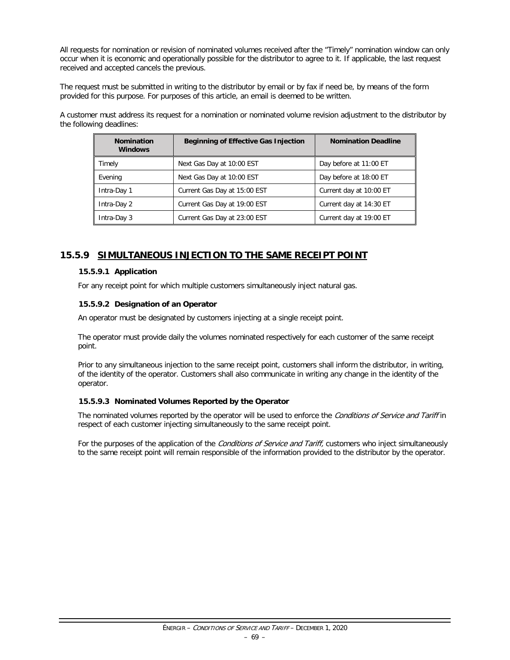All requests for nomination or revision of nominated volumes received after the "Timely" nomination window can only occur when it is economic and operationally possible for the distributor to agree to it. If applicable, the last request received and accepted cancels the previous.

The request must be submitted in writing to the distributor by email or by fax if need be, by means of the form provided for this purpose. For purposes of this article, an email is deemed to be written.

A customer must address its request for a nomination or nominated volume revision adjustment to the distributor by the following deadlines:

| <b>Nomination</b><br><b>Windows</b> | <b>Beginning of Effective Gas Injection</b> | <b>Nomination Deadline</b> |
|-------------------------------------|---------------------------------------------|----------------------------|
| Timely                              | Next Gas Day at 10:00 EST                   | Day before at 11:00 ET     |
| Evening                             | Next Gas Day at 10:00 EST                   | Day before at 18:00 ET     |
| Intra-Day 1                         | Current Gas Day at 15:00 EST                | Current day at 10:00 ET    |
| Intra-Day 2                         | Current Gas Day at 19:00 EST                | Current day at 14:30 ET    |
| Intra-Day 3                         | Current Gas Day at 23:00 EST                | Current day at 19:00 ET    |

### **15.5.9 SIMULTANEOUS INJECTION TO THE SAME RECEIPT POINT**

#### **15.5.9.1 Application**

For any receipt point for which multiple customers simultaneously inject natural gas.

#### **15.5.9.2 Designation of an Operator**

An operator must be designated by customers injecting at a single receipt point.

The operator must provide daily the volumes nominated respectively for each customer of the same receipt point.

Prior to any simultaneous injection to the same receipt point, customers shall inform the distributor, in writing, of the identity of the operator. Customers shall also communicate in writing any change in the identity of the operator.

#### **15.5.9.3 Nominated Volumes Reported by the Operator**

The nominated volumes reported by the operator will be used to enforce the Conditions of Service and Tariff in respect of each customer injecting simultaneously to the same receipt point.

For the purposes of the application of the *Conditions of Service and Tariff*, customers who inject simultaneously to the same receipt point will remain responsible of the information provided to the distributor by the operator.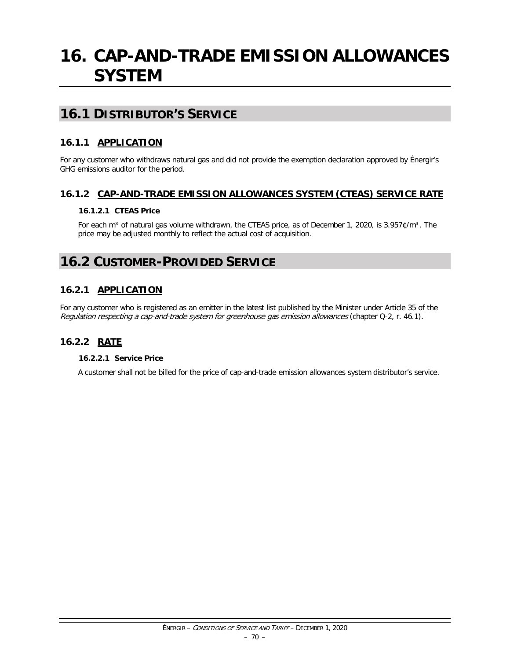# **16. CAP-AND-TRADE EMISSION ALLOWANCES SYSTEM**

# **16.1 DISTRIBUTOR'S SERVICE**

# **16.1.1 APPLICATION**

For any customer who withdraws natural gas and did not provide the exemption declaration approved by Énergir's GHG emissions auditor for the period.

### **16.1.2 CAP-AND-TRADE EMISSION ALLOWANCES SYSTEM (CTEAS) SERVICE RATE**

#### **16.1.2.1 CTEAS Price**

For each m<sup>3</sup> of natural gas volume withdrawn, the CTEAS price, as of December 1, 2020, is 3.957¢/m<sup>3</sup>. The price may be adjusted monthly to reflect the actual cost of acquisition.

# **16.2 CUSTOMER-PROVIDED SERVICE**

# **16.2.1 APPLICATION**

For any customer who is registered as an emitter in the latest list published by the Minister under Article 35 of the Regulation respecting a cap-and-trade system for greenhouse gas emission allowances (chapter Q-2, r. 46.1).

### **16.2.2 RATE**

#### **16.2.2.1 Service Price**

A customer shall not be billed for the price of cap-and-trade emission allowances system distributor's service.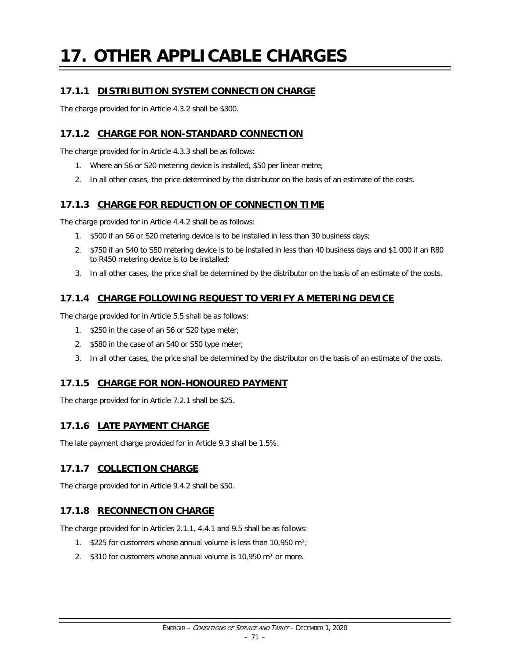## **17. OTHER APPLICABLE CHARGES**

### **17.1.1 DISTRIBUTION SYSTEM CONNECTION CHARGE**

The charge provided for in Article 4.3.2 shall be \$300.

### **17.1.2 CHARGE FOR NON-STANDARD CONNECTION**

The charge provided for in Article 4.3.3 shall be as follows:

- 1. Where an S6 or S20 metering device is installed, \$50 per linear metre;
- 2. In all other cases, the price determined by the distributor on the basis of an estimate of the costs.

### **17.1.3 CHARGE FOR REDUCTION OF CONNECTION TIME**

The charge provided for in Article 4.4.2 shall be as follows:

- 1. \$500 if an S6 or S20 metering device is to be installed in less than 30 business days;
- 2. \$750 if an S40 to S50 metering device is to be installed in less than 40 business days and \$1 000 if an R80 to R450 metering device is to be installed;
- 3. In all other cases, the price shall be determined by the distributor on the basis of an estimate of the costs.

### **17.1.4 CHARGE FOLLOWING REQUEST TO VERIFY A METERING DEVICE**

The charge provided for in Article 5.5 shall be as follows:

- 1. \$250 in the case of an S6 or S20 type meter;
- 2. \$580 in the case of an S40 or S50 type meter;
- 3. In all other cases, the price shall be determined by the distributor on the basis of an estimate of the costs.

### **17.1.5 CHARGE FOR NON-HONOURED PAYMENT**

The charge provided for in Article 7.2.1 shall be \$25.

### **17.1.6 LATE PAYMENT CHARGE**

The late payment charge provided for in Article 9.3 shall be 1.5%.

### **17.1.7 COLLECTION CHARGE**

The charge provided for in Article 9.4.2 shall be \$50.

### **17.1.8 RECONNECTION CHARGE**

The charge provided for in Articles 2.1.1, 4.4.1 and 9.5 shall be as follows:

- 1.  $$225$  for customers whose annual volume is less than 10,950 m<sup>3</sup>;
- 2.  $$310$  for customers whose annual volume is 10,950 m<sup>3</sup> or more.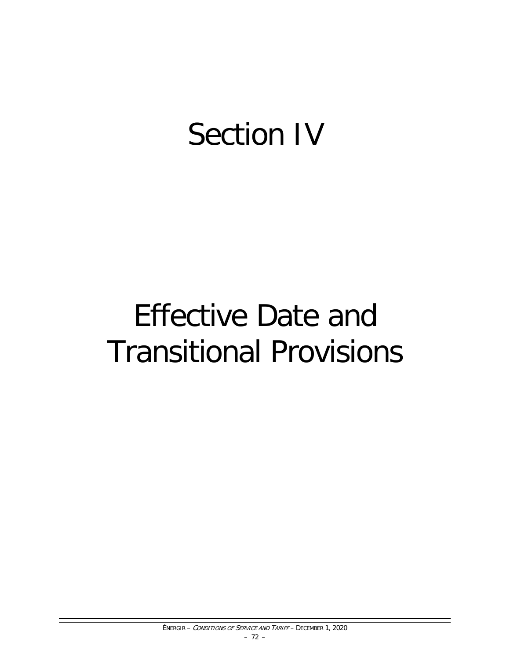# Section IV

# Effective Date and Transitional Provisions